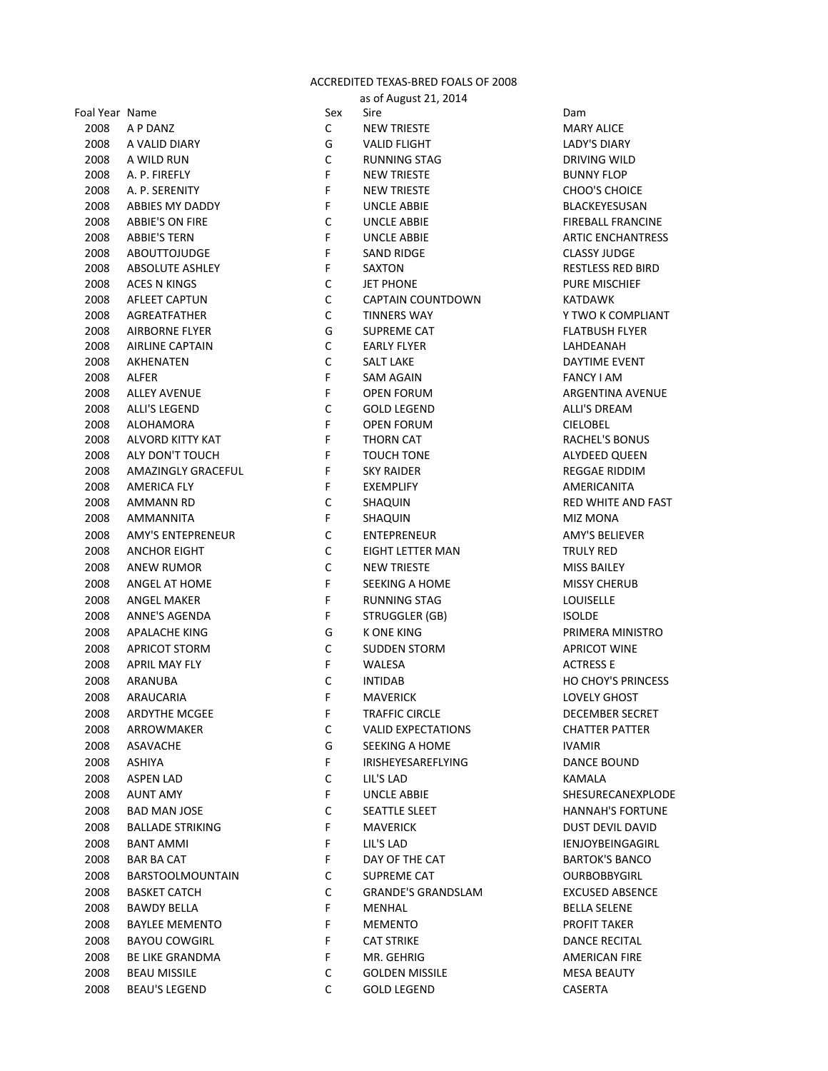## ACCREDITED TEXAS-BRED FOALS OF 2008

|                |                          |             | as of August 21, 2014     |                           |
|----------------|--------------------------|-------------|---------------------------|---------------------------|
| Foal Year Name |                          | Sex         | Sire                      | Dam                       |
| 2008           | A P DANZ                 | $\mathsf C$ | <b>NEW TRIESTE</b>        | <b>MARY ALICE</b>         |
| 2008           | A VALID DIARY            | G           | VALID FLIGHT              | <b>LADY'S DIARY</b>       |
| 2008           | A WILD RUN               | $\mathsf C$ | <b>RUNNING STAG</b>       | DRIVING WILD              |
| 2008           | A. P. FIREFLY            | F           | <b>NEW TRIESTE</b>        | <b>BUNNY FLOP</b>         |
| 2008           | A. P. SERENITY           | F           | <b>NEW TRIESTE</b>        | <b>CHOO'S CHOICE</b>      |
| 2008           | ABBIES MY DADDY          | F           | UNCLE ABBIE               | BLACKEYESUSAN             |
| 2008           | <b>ABBIE'S ON FIRE</b>   | $\mathsf C$ | UNCLE ABBIE               | <b>FIREBALL FRANCINE</b>  |
| 2008           | <b>ABBIE'S TERN</b>      | F           | UNCLE ABBIE               | <b>ARTIC ENCHANTRESS</b>  |
| 2008           | <b>ABOUTTOJUDGE</b>      | F           | SAND RIDGE                | <b>CLASSY JUDGE</b>       |
| 2008           | <b>ABSOLUTE ASHLEY</b>   | F           | SAXTON                    | <b>RESTLESS RED BIRD</b>  |
| 2008           | <b>ACES N KINGS</b>      | C           | <b>JET PHONE</b>          | <b>PURE MISCHIEF</b>      |
| 2008           | <b>AFLEET CAPTUN</b>     | $\mathsf C$ | <b>CAPTAIN COUNTDOWN</b>  | <b>KATDAWK</b>            |
| 2008           | AGREATFATHER             | $\mathsf C$ | <b>TINNERS WAY</b>        | Y TWO K COMPLIANT         |
| 2008           | <b>AIRBORNE FLYER</b>    | G           | SUPREME CAT               | <b>FLATBUSH FLYER</b>     |
| 2008           | <b>AIRLINE CAPTAIN</b>   | $\mathsf C$ | <b>EARLY FLYER</b>        | LAHDEANAH                 |
| 2008           | AKHENATEN                | $\mathsf C$ | <b>SALT LAKE</b>          | DAYTIME EVENT             |
| 2008           | <b>ALFER</b>             | F           | SAM AGAIN                 | <b>FANCY LAM</b>          |
| 2008           | <b>ALLEY AVENUE</b>      | F           | <b>OPEN FORUM</b>         | ARGENTINA AVENUE          |
| 2008           | <b>ALLI'S LEGEND</b>     | $\mathsf C$ | <b>GOLD LEGEND</b>        | ALLI'S DREAM              |
| 2008           | ALOHAMORA                | F           | <b>OPEN FORUM</b>         | <b>CIELOBEL</b>           |
| 2008           | ALVORD KITTY KAT         | F           | <b>THORN CAT</b>          | <b>RACHEL'S BONUS</b>     |
| 2008           | ALY DON'T TOUCH          | F           | TOUCH TONE                | ALYDEED QUEEN             |
| 2008           | AMAZINGLY GRACEFUL       | F           | <b>SKY RAIDER</b>         | <b>REGGAE RIDDIM</b>      |
| 2008           | AMERICA FLY              | F           | <b>EXEMPLIFY</b>          | AMERICANITA               |
| 2008           | AMMANN RD                | $\mathsf C$ | SHAQUIN                   | RED WHITE AND FAST        |
| 2008           | AMMANNITA                | F           | SHAQUIN                   | <b>MIZ MONA</b>           |
| 2008           | <b>AMY'S ENTEPRENEUR</b> | $\mathsf C$ | <b>ENTEPRENEUR</b>        | <b>AMY'S BELIEVER</b>     |
| 2008           | <b>ANCHOR EIGHT</b>      | $\mathsf C$ | EIGHT LETTER MAN          | <b>TRULY RED</b>          |
| 2008           | <b>ANEW RUMOR</b>        | $\mathsf C$ | <b>NEW TRIESTE</b>        | <b>MISS BAILEY</b>        |
| 2008           | ANGEL AT HOME            | F           | SEEKING A HOME            | <b>MISSY CHERUB</b>       |
| 2008           | <b>ANGEL MAKER</b>       | F           | <b>RUNNING STAG</b>       | LOUISELLE                 |
|                | <b>ANNE'S AGENDA</b>     | F           | <b>STRUGGLER (GB)</b>     |                           |
| 2008           |                          |             | <b>K ONE KING</b>         | <b>ISOLDE</b>             |
| 2008           | <b>APALACHE KING</b>     | G           |                           | PRIMERA MINISTRO          |
| 2008           | <b>APRICOT STORM</b>     | $\mathsf C$ | <b>SUDDEN STORM</b>       | <b>APRICOT WINE</b>       |
| 2008           | APRIL MAY FLY            | F           | WALESA                    | <b>ACTRESS E</b>          |
| 2008           | ARANUBA                  | $\mathsf C$ | <b>INTIDAB</b>            | <b>HO CHOY'S PRINCESS</b> |
| 2008           | ARAUCARIA                | F           | <b>MAVERICK</b>           | LOVELY GHOST              |
| 2008           | ARDYTHE MCGEE            | F.          | <b>TRAFFIC CIRCLE</b>     | DECEMBER SECRET           |
| 2008           | ARROWMAKER               | C           | <b>VALID EXPECTATIONS</b> | <b>CHATTER PATTER</b>     |
| 2008           | ASAVACHE                 | G           | SEEKING A HOME            | <b>IVAMIR</b>             |
| 2008           | ASHIYA                   | F.          | <b>IRISHEYESAREFLYING</b> | <b>DANCE BOUND</b>        |
| 2008           | <b>ASPEN LAD</b>         | C           | LIL'S LAD                 | KAMALA                    |
| 2008           | <b>AUNT AMY</b>          | F.          | UNCLE ABBIE               | SHESURECANEXPLODE         |
| 2008           | BAD MAN JOSE             | C           | SEATTLE SLEET             | <b>HANNAH'S FORTUNE</b>   |
| 2008           | <b>BALLADE STRIKING</b>  | F.          | <b>MAVERICK</b>           | DUST DEVIL DAVID          |
| 2008           | <b>BANT AMMI</b>         | F           | LIL'S LAD                 | IENJOYBEINGAGIRL          |
| 2008           | <b>BAR BA CAT</b>        | F.          | DAY OF THE CAT            | <b>BARTOK'S BANCO</b>     |
| 2008           | <b>BARSTOOLMOUNTAIN</b>  | C           | <b>SUPREME CAT</b>        | <b>OURBOBBYGIRL</b>       |
| 2008           | <b>BASKET CATCH</b>      | C           | <b>GRANDE'S GRANDSLAM</b> | <b>EXCUSED ABSENCE</b>    |
| 2008           | <b>BAWDY BELLA</b>       | F.          | MENHAL                    | <b>BELLA SELENE</b>       |
| 2008           | <b>BAYLEE MEMENTO</b>    | F           | <b>MEMENTO</b>            | PROFIT TAKER              |
| 2008           | <b>BAYOU COWGIRL</b>     | F           | <b>CAT STRIKE</b>         | <b>DANCE RECITAL</b>      |
| 2008           | <b>BE LIKE GRANDMA</b>   | F           | MR. GEHRIG                | AMERICAN FIRE             |
| 2008           | <b>BEAU MISSILE</b>      | C           | <b>GOLDEN MISSILE</b>     | <b>MESA BEAUTY</b>        |
| 2008           | <b>BEAU'S LEGEND</b>     | C           | <b>GOLD LEGEND</b>        | CASERTA                   |
|                |                          |             |                           |                           |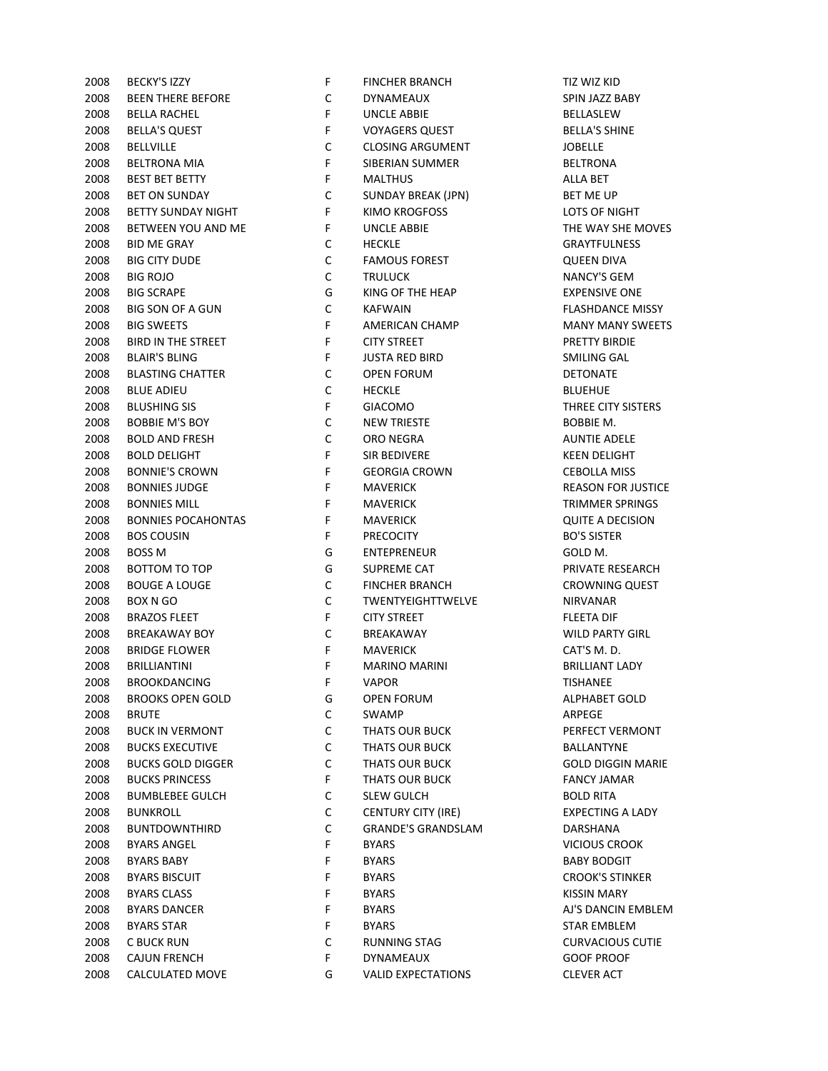| 2008 | BECKY'S IZZY              | F, | <b>FINCHER BRANCH</b>     | TIZ WIZ KID          |
|------|---------------------------|----|---------------------------|----------------------|
| 2008 | <b>BEEN THERE BEFORE</b>  | С  | DYNAMEAUX                 | SPIN JAZZ BAI        |
| 2008 | <b>BELLA RACHEL</b>       | F  | <b>UNCLE ABBIE</b>        | BELLASLEW            |
| 2008 | <b>BELLA'S QUEST</b>      | F  | <b>VOYAGERS QUEST</b>     | <b>BELLA'S SHINI</b> |
| 2008 | <b>BELLVILLE</b>          | C  | <b>CLOSING ARGUMENT</b>   | <b>JOBELLE</b>       |
| 2008 | <b>BELTRONA MIA</b>       | F  | SIBERIAN SUMMER           | <b>BELTRONA</b>      |
| 2008 | <b>BEST BET BETTY</b>     | F  | <b>MALTHUS</b>            | <b>ALLA BET</b>      |
| 2008 | <b>BET ON SUNDAY</b>      | C  | SUNDAY BREAK (JPN)        | BET ME UP            |
| 2008 | <b>BETTY SUNDAY NIGHT</b> | F  | KIMO KROGFOSS             | LOTS OF NIGH         |
| 2008 | BETWEEN YOU AND ME        | F  | <b>UNCLE ABBIE</b>        | THE WAY SHE          |
| 2008 | <b>BID ME GRAY</b>        | С  | <b>HECKLE</b>             | <b>GRAYTFULNE:</b>   |
| 2008 | <b>BIG CITY DUDE</b>      | C  | <b>FAMOUS FOREST</b>      | <b>QUEEN DIVA</b>    |
| 2008 | <b>BIG ROJO</b>           | C  | <b>TRULUCK</b>            | <b>NANCY'S GEN</b>   |
| 2008 | <b>BIG SCRAPE</b>         | G  | KING OF THE HEAP          | <b>EXPENSIVE OF</b>  |
| 2008 | <b>BIG SON OF A GUN</b>   | C  | <b>KAFWAIN</b>            | <b>FLASHDANCE</b>    |
| 2008 | <b>BIG SWEETS</b>         | F  | AMERICAN CHAMP            | <b>MANY MANY</b>     |
| 2008 | BIRD IN THE STREET        | F  | <b>CITY STREET</b>        | PRETTY BIRDI         |
| 2008 | <b>BLAIR'S BLING</b>      | F  | <b>JUSTA RED BIRD</b>     | SMILING GAL          |
| 2008 | <b>BLASTING CHATTER</b>   | C  | <b>OPEN FORUM</b>         | <b>DETONATE</b>      |
| 2008 | <b>BLUE ADIEU</b>         | C  | <b>HECKLE</b>             | <b>BLUEHUE</b>       |
| 2008 | <b>BLUSHING SIS</b>       | F  | <b>GIACOMO</b>            | THREE CITY SI        |
| 2008 | <b>BOBBIE M'S BOY</b>     | C  | <b>NEW TRIESTE</b>        | <b>BOBBIE M.</b>     |
| 2008 | <b>BOLD AND FRESH</b>     | C  | ORO NEGRA                 | <b>AUNTIE ADEL</b>   |
| 2008 | <b>BOLD DELIGHT</b>       | F  | <b>SIR BEDIVERE</b>       | <b>KEEN DELIGHT</b>  |
| 2008 | <b>BONNIE'S CROWN</b>     | F  | <b>GEORGIA CROWN</b>      | <b>CEBOLLA MIS</b>   |
| 2008 | <b>BONNIES JUDGE</b>      | F  | <b>MAVERICK</b>           | <b>REASON FOR</b>    |
| 2008 | <b>BONNIES MILL</b>       | F  | <b>MAVERICK</b>           | <b>TRIMMER SPF</b>   |
| 2008 | <b>BONNIES POCAHONTAS</b> | F  | <b>MAVERICK</b>           | <b>QUITE A DECI</b>  |
| 2008 | <b>BOS COUSIN</b>         | F  | <b>PRECOCITY</b>          | <b>BO'S SISTER</b>   |
| 2008 | <b>BOSS M</b>             | G  | <b>ENTEPRENEUR</b>        | GOLD M.              |
| 2008 | BOTTOM TO TOP             | G  | <b>SUPREME CAT</b>        | <b>PRIVATE RESE</b>  |
| 2008 | <b>BOUGE A LOUGE</b>      | C  | <b>FINCHER BRANCH</b>     | <b>CROWNING C</b>    |
| 2008 | BOX N GO                  | C  | <b>TWENTYEIGHTTWELVE</b>  | <b>NIRVANAR</b>      |
| 2008 | <b>BRAZOS FLEET</b>       | F  | <b>CITY STREET</b>        | <b>FLEETA DIF</b>    |
| 2008 | <b>BREAKAWAY BOY</b>      | C  | BREAKAWAY                 | <b>WILD PARTY O</b>  |
| 2008 | <b>BRIDGE FLOWER</b>      | F  | <b>MAVERICK</b>           | CAT'S M.D.           |
| 2008 | <b>BRILLIANTINI</b>       | F  | <b>MARINO MARINI</b>      | <b>BRILLIANT LAI</b> |
| 2008 | <b>BROOKDANCING</b>       | F  | <b>VAPOR</b>              | <b>TISHANEE</b>      |
| 2008 | <b>BROOKS OPEN GOLD</b>   | G  | OPEN FORUM                | ALPHABET GC          |
| 2008 | <b>BRUTE</b>              | С  | <b>SWAMP</b>              | ARPEGE               |
| 2008 | <b>BUCK IN VERMONT</b>    | С  | THATS OUR BUCK            | PERFECT VERI         |
| 2008 | <b>BUCKS EXECUTIVE</b>    | C  | THATS OUR BUCK            | BALLANTYNE           |
| 2008 | <b>BUCKS GOLD DIGGER</b>  | С  | THATS OUR BUCK            | <b>GOLD DIGGIN</b>   |
| 2008 | <b>BUCKS PRINCESS</b>     | F  | THATS OUR BUCK            | <b>FANCY JAMAR</b>   |
| 2008 | <b>BUMBLEBEE GULCH</b>    | С  | <b>SLEW GULCH</b>         | <b>BOLD RITA</b>     |
| 2008 | <b>BUNKROLL</b>           | C  | <b>CENTURY CITY (IRE)</b> | <b>EXPECTING A</b>   |
| 2008 | <b>BUNTDOWNTHIRD</b>      | С  | <b>GRANDE'S GRANDSLAM</b> | DARSHANA             |
| 2008 | <b>BYARS ANGEL</b>        | F  | <b>BYARS</b>              | VICIOUS CRO          |
| 2008 | <b>BYARS BABY</b>         | F  | <b>BYARS</b>              | <b>BABY BODGIT</b>   |
| 2008 | <b>BYARS BISCUIT</b>      | F  | <b>BYARS</b>              | <b>CROOK'S STIN</b>  |
| 2008 | <b>BYARS CLASS</b>        | F  | <b>BYARS</b>              | <b>KISSIN MARY</b>   |
| 2008 | <b>BYARS DANCER</b>       | F  | <b>BYARS</b>              | AJ'S DANCIN I        |
| 2008 | <b>BYARS STAR</b>         | F  | <b>BYARS</b>              | <b>STAR EMBLEN</b>   |
| 2008 | C BUCK RUN                | С  |                           | <b>CURVACIOUS</b>    |
|      |                           | F  | RUNNING STAG              |                      |
| 2008 | <b>CAJUN FRENCH</b>       |    | DYNAMEAUX                 | <b>GOOF PROOF</b>    |
| 2008 | CALCULATED MOVE           | G  | <b>VALID EXPECTATIONS</b> | <b>CLEVER ACT</b>    |

| 2008 | <b>BECKY'S IZZY</b>       | F           | <b>FINCHER BRANCH</b>     | TIZ WIZ KID        |
|------|---------------------------|-------------|---------------------------|--------------------|
| 2008 | <b>BEEN THERE BEFORE</b>  | $\mathsf C$ | <b>DYNAMEAUX</b>          | SPIN JAZZ B        |
| 2008 | <b>BELLA RACHEL</b>       | F           | UNCLE ABBIE               | <b>BELLASLEW</b>   |
| 2008 | <b>BELLA'S QUEST</b>      | F           | <b>VOYAGERS QUEST</b>     | <b>BELLA'S SHI</b> |
| 2008 | <b>BELLVILLE</b>          | C           | <b>CLOSING ARGUMENT</b>   | <b>JOBELLE</b>     |
| 2008 | <b>BELTRONA MIA</b>       | $\mathsf F$ | SIBERIAN SUMMER           | <b>BELTRONA</b>    |
| 2008 | <b>BEST BET BETTY</b>     | F           | <b>MALTHUS</b>            | ALLA BET           |
| 2008 | <b>BET ON SUNDAY</b>      | C           | SUNDAY BREAK (JPN)        | <b>BET ME UP</b>   |
| 2008 | <b>BETTY SUNDAY NIGHT</b> | F           | <b>KIMO KROGFOSS</b>      | LOTS OF NI         |
| 2008 | BETWEEN YOU AND ME        | F           | <b>UNCLE ABBIE</b>        | THE WAY SI         |
| 2008 | <b>BID ME GRAY</b>        | С           | <b>HECKLE</b>             | <b>GRAYTFULM</b>   |
| 2008 | <b>BIG CITY DUDE</b>      | $\mathsf C$ | <b>FAMOUS FOREST</b>      | <b>QUEEN DIV</b>   |
| 2008 | <b>BIG ROJO</b>           | $\mathsf C$ | <b>TRULUCK</b>            | <b>NANCY'S GI</b>  |
| 2008 | <b>BIG SCRAPE</b>         | G           | KING OF THE HEAP          | <b>EXPENSIVE</b>   |
| 2008 | BIG SON OF A GUN          | $\mathsf C$ | <b>KAFWAIN</b>            | <b>FLASHDAN</b>    |
| 2008 | <b>BIG SWEETS</b>         | $\mathsf F$ | AMERICAN CHAMP            | <b>MANY MAN</b>    |
| 2008 | BIRD IN THE STREET        | F           | <b>CITY STREET</b>        | <b>PRETTY BIR</b>  |
| 2008 | <b>BLAIR'S BLING</b>      | F           | <b>JUSTA RED BIRD</b>     | SMILING GA         |
| 2008 | <b>BLASTING CHATTER</b>   | C           | <b>OPEN FORUM</b>         | <b>DETONATE</b>    |
| 2008 | <b>BLUE ADIEU</b>         | $\mathsf C$ | <b>HECKLE</b>             | <b>BLUEHUE</b>     |
| 2008 | <b>BLUSHING SIS</b>       | $\mathsf F$ | <b>GIACOMO</b>            | <b>THREE CITY</b>  |
| 2008 | <b>BOBBIE M'S BOY</b>     | С           | <b>NEW TRIESTE</b>        | BOBBIE M.          |
| 2008 | <b>BOLD AND FRESH</b>     | $\mathsf C$ | ORO NEGRA                 | <b>AUNTIE AD</b>   |
| 2008 | <b>BOLD DELIGHT</b>       | $\mathsf F$ | SIR BEDIVERE              | <b>KEEN DELIG</b>  |
| 2008 | <b>BONNIE'S CROWN</b>     | F           | <b>GEORGIA CROWN</b>      | <b>CEBOLLA M</b>   |
| 2008 | <b>BONNIES JUDGE</b>      | F           | <b>MAVERICK</b>           | <b>REASON FO</b>   |
| 2008 | <b>BONNIES MILL</b>       | F           | <b>MAVERICK</b>           | <b>TRIMMERS</b>    |
| 2008 | <b>BONNIES POCAHONTAS</b> | F           | <b>MAVERICK</b>           | <b>QUITE A DE</b>  |
| 2008 | <b>BOS COUSIN</b>         | F           | <b>PRECOCITY</b>          | <b>BO'S SISTEF</b> |
| 2008 | <b>BOSS M</b>             | G           | ENTEPRENEUR               | GOLD M.            |
| 2008 | <b>BOTTOM TO TOP</b>      | G           | SUPREME CAT               | <b>PRIVATE RE</b>  |
| 2008 | <b>BOUGE A LOUGE</b>      | $\mathsf C$ | <b>FINCHER BRANCH</b>     | <b>CROWNING</b>    |
| 2008 | <b>BOX N GO</b>           | $\mathsf C$ | TWENTYEIGHTTWELVE         | NIRVANAR           |
| 2008 | <b>BRAZOS FLEET</b>       | F           | <b>CITY STREET</b>        | <b>FLEETA DIF</b>  |
| 2008 | <b>BREAKAWAY BOY</b>      | C           | BREAKAWAY                 | <b>WILD PART</b>   |
| 2008 | <b>BRIDGE FLOWER</b>      | $\mathsf F$ | <b>MAVERICK</b>           | CAT'S M.D.         |
| 2008 | <b>BRILLIANTINI</b>       | $\mathsf F$ | <b>MARINO MARINI</b>      | <b>BRILLIANT L</b> |
|      | <b>BROOKDANCING</b>       |             |                           |                    |
| 2008 |                           | F.          | VAPOR                     | TISHANEE           |
| 2008 | <b>BROOKS OPEN GOLD</b>   | G           | OPEN FORUM                | <b>ALPHABET</b>    |
| 2008 | <b>BRUTE</b>              | C           | SWAMP                     | ARPEGE             |
| 2008 | <b>BUCK IN VERMONT</b>    | C           | THATS OUR BUCK            | PERFECT VE         |
| 2008 | <b>BUCKS EXECUTIVE</b>    | C           | THATS OUR BUCK            | <b>BALLANTYN</b>   |
| 2008 | <b>BUCKS GOLD DIGGER</b>  | C           | THATS OUR BUCK            | <b>GOLD DIGG</b>   |
| 2008 | <b>BUCKS PRINCESS</b>     | F.          | <b>THATS OUR BUCK</b>     | <b>FANCY JAM</b>   |
| 2008 | <b>BUMBLEBEE GULCH</b>    | C           | <b>SLEW GULCH</b>         | <b>BOLD RITA</b>   |
| 2008 | <b>BUNKROLL</b>           | C           | <b>CENTURY CITY (IRE)</b> | <b>EXPECTING</b>   |
| 2008 | <b>BUNTDOWNTHIRD</b>      | C           | <b>GRANDE'S GRANDSLAM</b> | DARSHANA           |
| 2008 | <b>BYARS ANGEL</b>        | F           | <b>BYARS</b>              | <b>VICIOUS CR</b>  |
| 2008 | <b>BYARS BABY</b>         | F           | <b>BYARS</b>              | <b>BABY BODG</b>   |
| 2008 | <b>BYARS BISCUIT</b>      | F           | <b>BYARS</b>              | <b>CROOK'S ST</b>  |
| 2008 | <b>BYARS CLASS</b>        | F           | <b>BYARS</b>              | <b>KISSIN MAR</b>  |
| 2008 | <b>BYARS DANCER</b>       | F           | <b>BYARS</b>              | AJ'S DANCII        |
| 2008 | <b>BYARS STAR</b>         | F           | <b>BYARS</b>              | <b>STAR EMBL</b>   |
| 2008 | C BUCK RUN                | C           | RUNNING STAG              | CURVACIOL          |
| 2008 | <b>CAJUN FRENCH</b>       | F.          | DYNAMEAUX                 | <b>GOOF PROO</b>   |
|      | 2008 CALCULATED MOVE      | G           | <b>VALID EXPECTATIONS</b> | <b>CLEVER ACT</b>  |

SPIN JAZZ BABY BELLA'S SHINE LOTS OF NIGHT THE WAY SHE MOVES **GRAYTFULNESS** QUEEN DIVA **NANCY'S GEM EXPENSIVE ONE** FLASHDANCE MISSY **MANY MANY SWEETS** PRETTY BIRDIE SMILING GAL THREE CITY SISTERS AUNTIE ADELE KEEN DELIGHT **CEBOLLA MISS** REASON FOR JUSTICE **TRIMMER SPRINGS** QUITE A DECISION PRIVATE RESEARCH CROWNING QUEST WILD PARTY GIRL BRILLIANT LADY ALPHABET GOLD PERFECT VERMONT **GOLD DIGGIN MARIE** FANCY JAMAR EXPECTING A LADY **VICIOUS CROOK** CROOK'S STINKER KISSIN MARY AJ'S DANCIN EMBLEM **STAR EMBLEM CURVACIOUS CUTIE** GOOF PROOF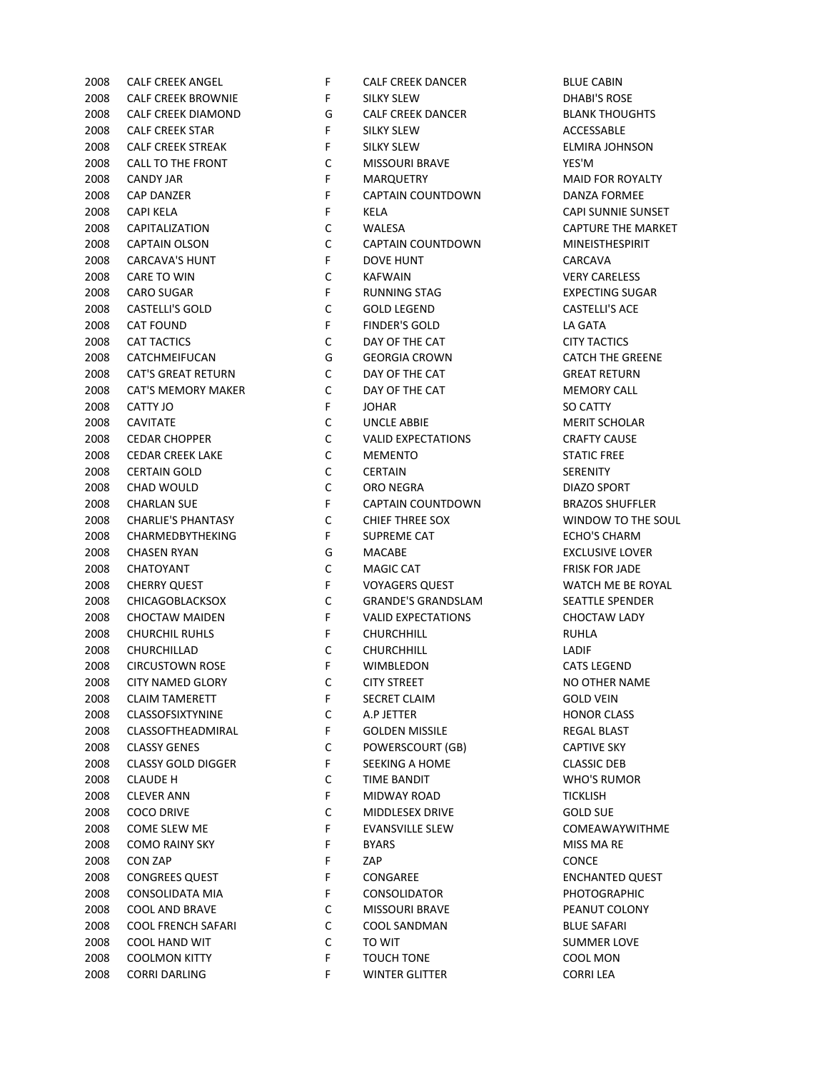CALF CREEK ANGEL F CALF CREEK DANCER BLUE CABIN CALF CREEK BROWNIE F SILKY SLEW DHABI'S ROSE CALF CREEK DIAMOND G CALF CREEK DANCER BLANK THOUGHTS 2008 CALF CREEK STAR F SILKY SLEW F SILKY SLEW ACCESSABLE 2008 CALF CREEK STREAK F SILKY SLEW F SILKY SLEW F SILKY SLEW F SILKY SLEW 2008 CALL TO THE FRONT C MISSOURI BRAVE YES'M 2008 CANDY JAR F MARQUETRY MANU HOR ROYALTY 2008 CAP DANZER F CAPTAIN COUNTDOWN DANZA FORMEE CAPI KELA F KELA CAPI SUNNIE SUNSET CAPITALIZATION C WALESA CAPTURE THE MARKET CAPTAIN OLSON C CAPTAIN COUNTDOWN MINEISTHESPIRIT CARCAVA'S HUNT F DOVE HUNT CARCAVA CARE TO WIN C KAFWAIN VERY CARELESS CARO SUGAR F RUNNING STAG EXPECTING SUGAR CASTELLI'S GOLD C GOLD LEGEND CASTELLI'S ACE CAT FOUND F FINDER'S GOLD LA GATA 2008 CAT TACTICS CONSERVED CONSERVATIVE CAT CITY TACTICS CATCHMEIFUCAN G GEORGIA CROWN CATCH THE GREENE CAT'S GREAT RETURN C DAY OF THE CAT GREAT RETURN 2008 CAT'S MEMORY MAKER C DAY OF THE CAT **MEMORY CALL**  CATTY JO F JOHAR SO CATTY CAVITATE C UNCLE ABBIE MERIT SCHOLAR 2008 CEDAR CHOPPER C C VALID EXPECTATIONS CRAFTY CAUSE CEDAR CREEK LAKE C MEMENTO STATIC FREE CERTAIN GOLD C CERTAIN SERENITY CHAD WOULD C ORO NEGRA DIAZO SPORT CHARLAN SUE F CAPTAIN COUNTDOWN BRAZOS SHUFFLER CHARLIE'S PHANTASY C CHIEF THREE SOX WINDOW TO THE SOUL 2008 CHARMEDBYTHEKING F SUPREME CAT FOR ECHO'S CHARM CHASEN RYAN G MACABE EXCLUSIVE LOVER CHATOYANT C MAGIC CAT FRISK FOR JADE 2008 CHERRY QUEST THE ROYAGERS QUEST THE ROYAL STATE OF STATE WATCH ME BE ROYAL CHICAGOBLACKSOX C GRANDE'S GRANDSLAM SEATTLE SPENDER CHOCTAW MAIDEN F VALID EXPECTATIONS CHOCTAW LADY CHURCHIL RUHLS F CHURCHHILL RUHLA CHURCHILLAD C CHURCHHILL LADIF CIRCUSTOWN ROSE F WIMBLEDON CATS LEGEND 2008 CITY NAMED GLORY C CITY STREET NO OTHER NAME 2008 CLAIM TAMERETT THE SECRET CLAIM COLD VEIN CLASSOFSIXTYNINE C A.P JETTER HONOR CLASS CLASSOFTHEADMIRAL F GOLDEN MISSILE REGAL BLAST 2008 CLASSY GENES CONVERSCOURT (GB) CAPTIVE SKY CLASSY GOLD DIGGER F SEEKING A HOME CLASSIC DEB CLAUDE H C TIME BANDIT WHO'S RUMOR CLEVER ANN F MIDWAY ROAD TICKLISH COCO DRIVE C MIDDLESEX DRIVE GOLD SUE COME SLEW ME F EVANSVILLE SLEW COMEAWAYWITHME 2008 COMO RAINY SKY FBYARS BY THE STARS MISS MA RE CON ZAP F ZAP CONCE 2008 CONGREES QUEST THE STATE ONGAREE THE SENSEMENTED QUEST 2008 CONSOLIDATA MIA **F** CONSOLIDATOR **PHOTOGRAPHIC**  COOL AND BRAVE C MISSOURI BRAVE PEANUT COLONY COOL FRENCH SAFARI C COOL SANDMAN BLUE SAFARI 2008 COOL HAND WIT C TO WIT C TO WIT SUMMER LOVE COOLMON KITTY F TOUCH TONE COOL MON CORRI DARLING F WINTER GLITTER CORRI LEA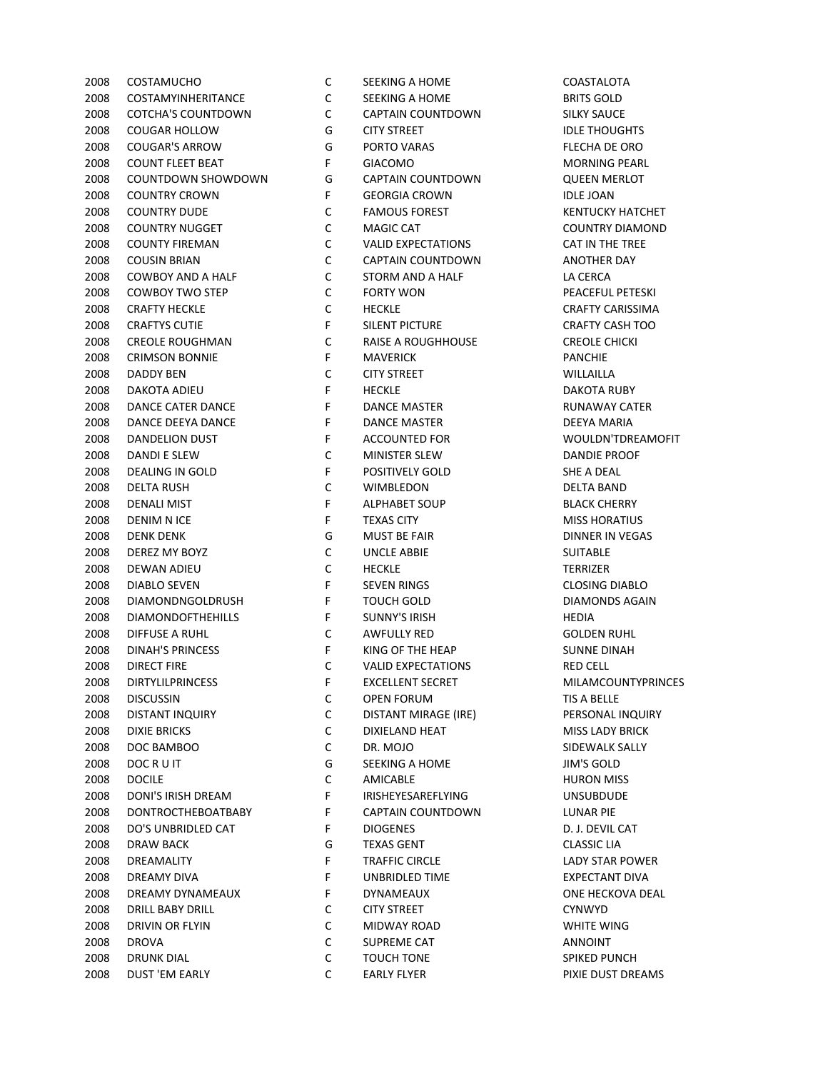COSTAMYINHERITANCE C SEEKING A HOME BRITS GOLD COTCHA'S COUNTDOWN C CAPTAIN COUNTDOWN SILKY SAUCE 2008 COUGAR HOLLOW G CITY STREET STREET STATES ON A LIDLE THOUGHTS COUGAR'S ARROW G PORTO VARAS FLECHA DE ORO 2008 COUNT FLEET BEAT FREET ALL THE GIACOMO COUNT FLEET BEAT COUNTDOWN SHOWDOWN G CAPTAIN COUNTDOWN QUEEN MERLOT 2008 COUNTRY CROWN F GEORGIA CROWN IDLE JOAN 2008 COUNTRY DUDE C FAMOUS FOREST COUNTRY HATCHET COUNTRY NUGGET C MAGIC CAT COUNTRY DIAMOND COUNTY FIREMAN C VALID EXPECTATIONS CAT IN THE TREE 2008 COUSIN BRIAN C CAPTAIN COUNTDOWN ANOTHER DAY COWBOY AND A HALF C STORM AND A HALF LA CERCA 2008 COWBOY TWO STEP C FORTY WON C FORTY WORK PEACEFUL PETESKI 2008 CRAFTY HECKLE C HECKLE C HECKLE CRAFTY CARISSIMA 2008 CRAFTYS CUTIE THE SILENT PICTURE THE CRAFTY CASH TOO CREOLE ROUGHMAN C RAISE A ROUGHHOUSE CREOLE CHICKI CRIMSON BONNIE F MAVERICK PANCHIE DADDY BEN C CITY STREET WILLAILLA DAKOTA ADIEU F HECKLE DAKOTA RUBY 2008 DANCE CATER DANCE THE RUNAWAY CATER CATER CATER THE BANCE MASTER SERVICE OF SERVICE RUNAWAY CATER 2008 DANCE DEEYA DANCE **F** DANCE MASTER **DEEYA MARIA** 2008 DANDELION DUST THE ACCOUNTED FOR THE WOULDN'TDREAMOFIT DANDI E SLEW C MINISTER SLEW DANDIE PROOF 2008 DEALING IN GOLD F POSITIVELY GOLD SHE A DEAL DELTA RUSH C WIMBLEDON DELTA BAND 2008 DENALI MIST **FALPHABET SOUP SEARCH CHERRY** BLACK CHERRY 2008 DENIM N ICE **FRICK ASSESSESSES TO A RESEASE OF TEXAS CITY** A RISS HORATIUS DENK DENK G MUST BE FAIR DINNER IN VEGAS DEREZ MY BOYZ C UNCLE ABBIE SUITABLE DEWAN ADIEU C HECKLE TERRIZER 2008 DIABLO SEVEN FSEVEN RINGS CLOSING DIABLO DIAMONDNGOLDRUSH F TOUCH GOLD DIAMONDS AGAIN DIAMONDOFTHEHILLS F SUNNY'S IRISH HEDIA DIFFUSE A RUHL C AWFULLY RED GOLDEN RUHL 2008 DINAH'S PRINCESS FRIED THE HEAP SUNNE DINAH DIRECT FIRE C VALID EXPECTATIONS RED CELL 2008 DIRTYLILPRINCESS TELLENT SECRET THE MILAMCOUNTYPRINCES DISCUSSIN C OPEN FORUM TIS A BELLE DISTANT INQUIRY C DISTANT MIRAGE (IRE) PERSONAL INQUIRY 2008 DIXIE BRICKS CONSERVED BY DIXIELAND HEAT MISS LADY BRICK DOC BAMBOO C DR. MOJO SIDEWALK SALLY 2008 DOC R U IT GEEKING A HOME THE SEEKING A HOME THAT SAID MY'S GOLD DOCILE C AMICABLE HURON MISS DONI'S IRISH DREAM F IRISHEYESAREFLYING UNSUBDUDE DONTROCTHEBOATBABY F CAPTAIN COUNTDOWN LUNAR PIE 2008 DO'S UNBRIDLED CAT THE PROGENES FOR SALE ON A REVIL CAT DRAW BACK G TEXAS GENT CLASSIC LIA 2008 DREAMALITY **F** TRAFFIC CIRCLE TRACKLE LADY STAR POWER DREAMY DIVA F UNBRIDLED TIME EXPECTANT DIVA DREAMY DYNAMEAUX F DYNAMEAUX ONE HECKOVA DEAL DRILL BABY DRILL C CITY STREET CYNWYD DRIVIN OR FLYIN C MIDWAY ROAD WHITE WING DROVA C SUPREME CAT ANNOINT DRUNK DIAL C TOUCH TONE SPIKED PUNCH DUST 'EM EARLY C EARLY FLYER PIXIE DUST DREAMS

COSTAMUCHO C SEEKING A HOME COASTALOTA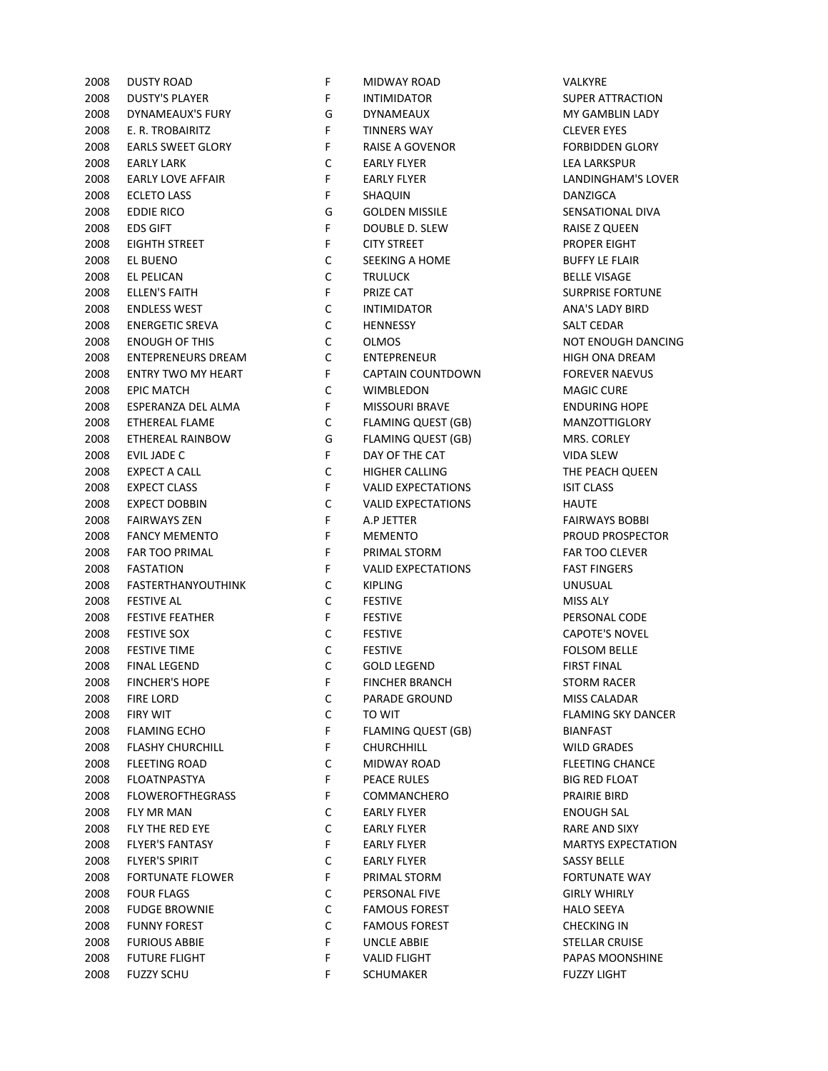| 2008 | <b>DUSTY ROAD</b>         | F.          | <b>MIDWAY ROAD</b>        | VALKYKE              |
|------|---------------------------|-------------|---------------------------|----------------------|
| 2008 | <b>DUSTY'S PLAYER</b>     | F           | <b>INTIMIDATOR</b>        | <b>SUPER ATTRA</b>   |
| 2008 | DYNAMEAUX'S FURY          | G           | <b>DYNAMEAUX</b>          | MY GAMBLIN           |
| 2008 | E. R. TROBAIRITZ          | $\mathsf F$ | <b>TINNERS WAY</b>        | <b>CLEVER EYES</b>   |
| 2008 | <b>EARLS SWEET GLORY</b>  | $\mathsf F$ | <b>RAISE A GOVENOR</b>    | <b>FORBIDDEN G</b>   |
| 2008 | <b>EARLY LARK</b>         | C           | <b>EARLY FLYER</b>        | <b>LEA LARKSPUF</b>  |
| 2008 | <b>EARLY LOVE AFFAIR</b>  | $\mathsf F$ | <b>EARLY FLYER</b>        | LANDINGHAN           |
| 2008 | <b>ECLETO LASS</b>        | $\mathsf F$ | SHAQUIN                   | <b>DANZIGCA</b>      |
| 2008 | <b>EDDIE RICO</b>         | G           | <b>GOLDEN MISSILE</b>     | SENSATIONAL          |
| 2008 | <b>EDS GIFT</b>           | $\mathsf F$ | DOUBLE D. SLEW            | RAISE Z QUEE         |
| 2008 | <b>EIGHTH STREET</b>      | $\mathsf F$ | <b>CITY STREET</b>        | PROPER EIGHT         |
| 2008 | EL BUENO                  | $\mathsf C$ | SEEKING A HOME            | <b>BUFFY LE FLAI</b> |
| 2008 | EL PELICAN                | $\mathsf C$ | <b>TRULUCK</b>            | <b>BELLE VISAGE</b>  |
| 2008 | <b>ELLEN'S FAITH</b>      | $\mathsf F$ | PRIZE CAT                 | <b>SURPRISE FOR</b>  |
| 2008 | <b>ENDLESS WEST</b>       | $\mathsf C$ | <b>INTIMIDATOR</b>        | ANA'S LADY B         |
| 2008 | <b>ENERGETIC SREVA</b>    | $\mathsf C$ | <b>HENNESSY</b>           | SALT CEDAR           |
| 2008 | <b>ENOUGH OF THIS</b>     | $\mathsf C$ | <b>OLMOS</b>              | <b>NOT ENOUGH</b>    |
| 2008 | <b>ENTEPRENEURS DREAM</b> | $\mathsf C$ | ENTEPRENEUR               | <b>HIGH ONA DR</b>   |
| 2008 | <b>ENTRY TWO MY HEART</b> | $\mathsf F$ | <b>CAPTAIN COUNTDOWN</b>  | <b>FOREVER NAE</b>   |
| 2008 | <b>EPIC MATCH</b>         | $\mathsf C$ | WIMBLEDON                 | <b>MAGIC CURE</b>    |
| 2008 | ESPERANZA DEL ALMA        | $\mathsf F$ | <b>MISSOURI BRAVE</b>     | <b>ENDURING HO</b>   |
| 2008 | ETHEREAL FLAME            | $\mathsf C$ | <b>FLAMING QUEST (GB)</b> | <b>MANZOTTIGL</b>    |
| 2008 | <b>ETHEREAL RAINBOW</b>   | G           | FLAMING QUEST (GB)        | MRS. CORLEY          |
| 2008 | EVIL JADE C               | $\mathsf F$ | DAY OF THE CAT            | <b>VIDA SLEW</b>     |
| 2008 | <b>EXPECT A CALL</b>      | $\mathsf C$ | HIGHER CALLING            | THE PEACH QI         |
| 2008 | <b>EXPECT CLASS</b>       | $\mathsf F$ | <b>VALID EXPECTATIONS</b> | <b>ISIT CLASS</b>    |
| 2008 | <b>EXPECT DOBBIN</b>      | $\mathsf C$ | <b>VALID EXPECTATIONS</b> | <b>HAUTE</b>         |
|      |                           | $\mathsf F$ |                           |                      |
| 2008 | <b>FAIRWAYS ZEN</b>       | $\mathsf F$ | A.P JETTER                | <b>FAIRWAYS BO</b>   |
| 2008 | <b>FANCY MEMENTO</b>      |             | <b>MEMENTO</b>            | <b>PROUD PROSE</b>   |
| 2008 | <b>FAR TOO PRIMAL</b>     | $\mathsf F$ | PRIMAL STORM              | <b>FAR TOO CLEV</b>  |
| 2008 | <b>FASTATION</b>          | $\mathsf F$ | <b>VALID EXPECTATIONS</b> | <b>FAST FINGERS</b>  |
| 2008 | <b>FASTERTHANYOUTHINK</b> | C           | <b>KIPLING</b>            | <b>UNUSUAL</b>       |
| 2008 | <b>FESTIVE AL</b>         | $\mathsf C$ | <b>FESTIVE</b>            | MISS ALY             |
| 2008 | <b>FESTIVE FEATHER</b>    | $\mathsf F$ | <b>FESTIVE</b>            | PERSONAL CO          |
| 2008 | <b>FESTIVE SOX</b>        | C           | <b>FESTIVE</b>            | <b>CAPOTE'S NO'</b>  |
| 2008 | <b>FESTIVE TIME</b>       | $\mathsf C$ | <b>FESTIVE</b>            | <b>FOLSOM BELL</b>   |
| 2008 | <b>FINAL LEGEND</b>       | $\mathsf C$ | <b>GOLD LEGEND</b>        | <b>FIRST FINAL</b>   |
| 2008 | <b>FINCHER'S HOPE</b>     | F           | <b>FINCHER BRANCH</b>     | <b>STORM RACER</b>   |
| 2008 | <b>FIRE LORD</b>          | C           | PARADE GROUND             | MISS CALADA          |
| 2008 | <b>FIRY WIT</b>           | C           | TO WIT                    | <b>FLAMING SKY</b>   |
| 2008 | <b>FLAMING ECHO</b>       | F           | <b>FLAMING QUEST (GB)</b> | <b>BIANFAST</b>      |
| 2008 | <b>FLASHY CHURCHILL</b>   | F           | CHURCHHILL                | <b>WILD GRADES</b>   |
| 2008 | <b>FLEETING ROAD</b>      | С           | MIDWAY ROAD               | <b>FLEETING CHA</b>  |
| 2008 | <b>FLOATNPASTYA</b>       | F           | PEACE RULES               | <b>BIG RED FLOA</b>  |
| 2008 | <b>FLOWEROFTHEGRASS</b>   | F           | <b>COMMANCHERO</b>        | PRAIRIE BIRD         |
| 2008 | FLY MR MAN                | C           | <b>EARLY FLYER</b>        | <b>ENOUGH SAL</b>    |
| 2008 | FLY THE RED EYE           | С           | <b>EARLY FLYER</b>        | <b>RARE AND SIX</b>  |
| 2008 | <b>FLYER'S FANTASY</b>    | F           | <b>EARLY FLYER</b>        | <b>MARTYS EXPE</b>   |
| 2008 | <b>FLYER'S SPIRIT</b>     | C           | <b>EARLY FLYER</b>        | <b>SASSY BELLE</b>   |
| 2008 | <b>FORTUNATE FLOWER</b>   | F           | PRIMAL STORM              | <b>FORTUNATE V</b>   |
| 2008 | <b>FOUR FLAGS</b>         | С           | PERSONAL FIVE             | <b>GIRLY WHIRLY</b>  |
| 2008 | <b>FUDGE BROWNIE</b>      | C           | <b>FAMOUS FOREST</b>      | <b>HALO SEEYA</b>    |
| 2008 | <b>FUNNY FOREST</b>       | C           | <b>FAMOUS FOREST</b>      | <b>CHECKING IN</b>   |
| 2008 | <b>FURIOUS ABBIE</b>      | F           | <b>UNCLE ABBIE</b>        | <b>STELLAR CRUI</b>  |
| 2008 | <b>FUTURE FLIGHT</b>      | F           | <b>VALID FLIGHT</b>       | PAPAS MOON           |
| 2008 | <b>FUZZY SCHU</b>         | F           | SCHUMAKER                 | <b>FUZZY LIGHT</b>   |
|      |                           |             |                           |                      |

| 2008 | <b>DUSTY ROAD</b>        | F            | MIDWAY ROAD               | VALKYRE            |
|------|--------------------------|--------------|---------------------------|--------------------|
| 2008 | <b>DUSTY'S PLAYER</b>    | F            | INTIMIDATOR               | SUPER AT           |
| 2008 | DYNAMEAUX'S FURY         | G            | DYNAMEAUX                 | MY GAM             |
| 2008 | E. R. TROBAIRITZ         | F.           | <b>TINNERS WAY</b>        | <b>CLEVER E</b>    |
| 2008 | <b>EARLS SWEET GLORY</b> | F            | RAISE A GOVENOR           | <b>FORBIDD</b>     |
| 2008 | <b>EARLY LARK</b>        | C            | <b>EARLY FLYER</b>        | <b>LEA LARK</b>    |
| 2008 | <b>EARLY LOVE AFFAIR</b> | F            | <b>EARLY FLYER</b>        | <b>LANDING</b>     |
| 2008 | <b>ECLETO LASS</b>       | F            | SHAQUIN                   | <b>DANZIGC</b>     |
| 2008 | <b>EDDIE RICO</b>        | G            | <b>GOLDEN MISSILE</b>     | <b>SENSATIO</b>    |
| 2008 | <b>EDS GIFT</b>          | F            | DOUBLE D. SLEW            | RAISE Z C          |
| 2008 | EIGHTH STREET            | F            | <b>CITY STREET</b>        | <b>PROPER</b>      |
| 2008 | EL BUENO                 | C            | SEEKING A HOME            | <b>BUFFY LE</b>    |
| 2008 | EL PELICAN               | C            | <b>TRULUCK</b>            | <b>BELLE VIS</b>   |
| 2008 | ELLEN'S FAITH            | F            | PRIZE CAT                 | <b>SURPRISI</b>    |
| 2008 | <b>ENDLESS WEST</b>      | C            | INTIMIDATOR               | ANA'S LA           |
| 2008 | <b>ENERGETIC SREVA</b>   | $\mathsf{C}$ | <b>HENNESSY</b>           | <b>SALT CED</b>    |
| 2008 | <b>ENOUGH OF THIS</b>    | $\mathsf{C}$ | <b>OLMOS</b>              | <b>NOT ENC</b>     |
| 2008 | ENTEPRENEURS DREAM       | $\mathsf{C}$ | ENTEPRENEUR               | <b>HIGH ON</b>     |
| 2008 | ENTRY TWO MY HEART       | F            | CAPTAIN COUNTDOWN         | <b>FOREVER</b>     |
| 2008 | <b>EPIC MATCH</b>        | $\mathsf{C}$ | WIMBLEDON                 | MAGIC C            |
| 2008 | ESPERANZA DEL ALMA       | F            | <b>MISSOURI BRAVE</b>     | <b>ENDURIN</b>     |
| 2008 | <b>ETHEREAL FLAME</b>    | C            | FLAMING QUEST (GB)        | <b>MANZOT</b>      |
| 2008 | ETHEREAL RAINBOW         | G            | FLAMING QUEST (GB)        | MRS. CO            |
| 2008 | EVIL JADE C              | F.           | DAY OF THE CAT            | <b>VIDA SLE</b>    |
| 2008 | EXPECT A CALL            | C            | <b>HIGHER CALLING</b>     | THE PEA            |
| 2008 | <b>EXPECT CLASS</b>      | F.           | <b>VALID EXPECTATIONS</b> | <b>ISIT CLAS</b>   |
| 2008 | <b>EXPECT DOBBIN</b>     | C            | VALID EXPECTATIONS        | <b>HAUTE</b>       |
| 2008 | <b>FAIRWAYS ZEN</b>      | F.           | A.P JETTER                | <b>FAIRWAY</b>     |
| 2008 | <b>FANCY MEMENTO</b>     | F            | <b>MEMENTO</b>            | <b>PROUD P</b>     |
| 2008 | FAR TOO PRIMAL           | $\mathsf{F}$ | PRIMAL STORM              | <b>FAR TOO</b>     |
| 2008 | <b>FASTATION</b>         | F.           | <b>VALID EXPECTATIONS</b> | <b>FAST FIN</b>    |
| 2008 | FASTERTHANYOUTHINK       | C            | <b>KIPLING</b>            | <b>UNUSUA</b>      |
| 2008 | <b>FESTIVE AL</b>        | C            | <b>FESTIVE</b>            | MISS ALY           |
| 2008 | <b>FESTIVE FEATHER</b>   | F            | <b>FESTIVE</b>            | <b>PERSONA</b>     |
| 2008 | <b>FESTIVE SOX</b>       | C            | <b>FESTIVE</b>            | <b>CAPOTE'</b>     |
| 2008 | <b>FESTIVE TIME</b>      | C            | <b>FESTIVE</b>            | <b>FOLSOM</b>      |
| 2008 | <b>FINAL LEGEND</b>      | $\mathsf C$  | <b>GOLD LEGEND</b>        | <b>FIRST FIN</b>   |
| 2008 | <b>FINCHER'S HOPE</b>    | F.           | FINCHER BRANCH            | <b>STORM F</b>     |
| 2008 | FIRE LORD                | С            | PARADE GROUND             | MISS CAI           |
| 2008 | <b>FIRY WIT</b>          | C            | TO WIT                    | <b>FLAMING</b>     |
| 2008 | <b>FLAMING ECHO</b>      | F.           | FLAMING QUEST (GB)        | <b>BIANFAS</b>     |
| 2008 | <b>FLASHY CHURCHILL</b>  | F.           | <b>CHURCHHILL</b>         | WILD GR            |
| 2008 | <b>FLEETING ROAD</b>     | C            | MIDWAY ROAD               | <b>FLEETING</b>    |
| 2008 | FLOATNPASTYA             | F.           | PEACE RULES               | <b>BIG RED</b>     |
| 2008 | <b>FLOWEROFTHEGRASS</b>  | F.           | COMMANCHERO               | <b>PRAIRIE</b>     |
|      | <b>FLY MR MAN</b>        | С            | <b>EARLY FLYER</b>        |                    |
| 2008 |                          |              | <b>EARLY FLYER</b>        | <b>ENOUGH</b>      |
| 2008 | FLY THE RED EYE          | С<br>F.      |                           | <b>RARE AN</b>     |
| 2008 | <b>FLYER'S FANTASY</b>   |              | <b>EARLY FLYER</b>        | <b>MARTYS</b>      |
| 2008 | <b>FLYER'S SPIRIT</b>    | C            | <b>EARLY FLYER</b>        | <b>SASSY BE</b>    |
| 2008 | <b>FORTUNATE FLOWER</b>  | F.           | PRIMAL STORM              | <b>FORTUN</b>      |
| 2008 | <b>FOUR FLAGS</b>        | C            | PERSONAL FIVE             | <b>GIRLY WI</b>    |
| 2008 | <b>FUDGE BROWNIE</b>     | C            | <b>FAMOUS FOREST</b>      | <b>HALO SEI</b>    |
| 2008 | <b>FUNNY FOREST</b>      | C            | <b>FAMOUS FOREST</b>      | <b>CHECKIN</b>     |
| 2008 | <b>FURIOUS ABBIE</b>     | F.           | <b>UNCLE ABBIE</b>        | STELLAR            |
| 2008 | <b>FUTURE FLIGHT</b>     | F.           | <b>VALID FLIGHT</b>       | PAPAS <sub>M</sub> |
|      | 2008 FUZZY SCHU          | F.           | SCHUMAKER                 | <b>FUZZY LI</b>    |

SUPER ATTRACTION MY GAMBLIN LADY **CLEVER EYES FORBIDDEN GLORY** LEA LARKSPUR LANDINGHAM'S LOVER SENSATIONAL DIVA RAISE Z QUEEN PROPER EIGHT **BUFFY LE FLAIR BELLE VISAGE** SURPRISE FORTUNE ANA'S LADY BIRD NOT ENOUGH DANCING HIGH ONA DREAM FOREVER NAEVUS ENDURING HOPE MANZOTTIGLORY MRS. CORLEY THE PEACH QUEEN **FAIRWAYS BOBBI** PROUD PROSPECTOR FAR TOO CLEVER PERSONAL CODE CAPOTE'S NOVEL **FOLSOM BELLE** STORM RACER MISS CALADAR FLAMING SKY DANCER WILD GRADES FLEETING CHANCE **BIG RED FLOAT** PRAIRIE BIRD **ENOUGH SAL** RARE AND SIXY MARTYS EXPECTATION FORTUNATE WAY **GIRLY WHIRLY** STELLAR CRUISE PAPAS MOONSHINE **FUZZY LIGHT**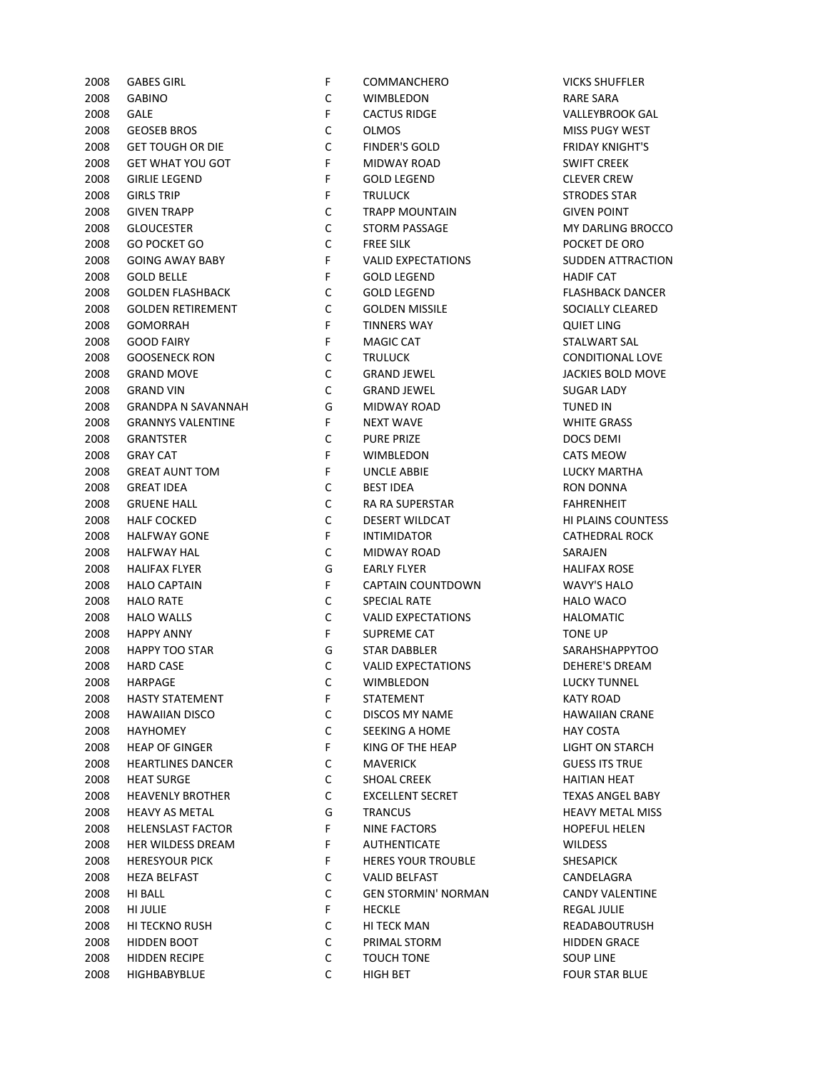| С<br><b>GABINO</b><br>WIMBLEDON<br>RARE SARA<br>F<br><b>GALE</b><br><b>CACTUS RIDGE</b><br><b>VALLEYBROO</b><br>$\mathsf C$<br>MISS PUGY W<br><b>GEOSEB BROS</b><br>OLMOS<br>C<br><b>GET TOUGH OR DIE</b><br><b>FINDER'S GOLD</b><br><b>FRIDAY KNIGI</b><br>F<br><b>SWIFT CREEK</b><br><b>GET WHAT YOU GOT</b><br>MIDWAY ROAD<br>F<br><b>CLEVER CREV</b><br><b>GIRLIE LEGEND</b><br><b>GOLD LEGEND</b><br>F<br><b>STRODES STA</b><br><b>GIRLS TRIP</b><br>TRULUCK<br>$\mathsf C$<br><b>GIVEN POINT</b><br><b>GIVEN TRAPP</b><br>TRAPP MOUNTAIN<br>$\mathsf C$<br><b>GLOUCESTER</b><br><b>STORM PASSAGE</b><br><b>MY DARLING</b><br>C<br>POCKET DE O<br><b>GO POCKET GO</b><br><b>FREE SILK</b><br>F<br><b>SUDDEN ATT</b><br><b>GOING AWAY BABY</b><br><b>VALID EXPECTATIONS</b><br>F<br><b>HADIF CAT</b><br><b>GOLD BELLE</b><br><b>GOLD LEGEND</b><br>C<br><b>GOLDEN FLASHBACK</b><br><b>GOLD LEGEND</b><br><b>FLASHBACK D</b><br>С<br>2008<br><b>GOLDEN RETIREMENT</b><br><b>GOLDEN MISSILE</b><br><b>SOCIALLY CLE</b><br>F<br>2008<br><b>GOMORRAH</b><br><b>TINNERS WAY</b><br><b>QUIET LING</b><br>F<br>2008<br><b>GOOD FAIRY</b><br><b>MAGIC CAT</b><br><b>STALWART SA</b><br>C<br>CONDITIONA<br>2008<br><b>GOOSENECK RON</b><br>TRULUCK<br>2008<br>C<br><b>JACKIES BOLD</b><br><b>GRAND MOVE</b><br><b>GRAND JEWEL</b><br>C<br>2008<br><b>GRAND VIN</b><br><b>GRAND JEWEL</b><br><b>SUGAR LADY</b><br>G<br>2008<br><b>GRANDPA N SAVANNAH</b><br>MIDWAY ROAD<br><b>TUNED IN</b><br>F<br><b>WHITE GRASS</b><br>2008<br><b>GRANNYS VALENTINE</b><br><b>NEXT WAVE</b><br>C<br>2008<br><b>GRANTSTER</b><br><b>PURE PRIZE</b><br>DOCS DEMI<br>F<br>2008<br><b>GRAY CAT</b><br>WIMBLEDON<br><b>CATS MEOW</b><br>F<br>2008<br><b>GREAT AUNT TOM</b><br>UNCLE ABBIE<br><b>LUCKY MART</b><br>C<br>2008<br><b>GREAT IDEA</b><br><b>BEST IDEA</b><br><b>RON DONNA</b><br>C<br><b>FAHRENHEIT</b><br>2008<br><b>GRUENE HALL</b><br>RA RA SUPERSTAR<br>C<br>HI PLAINS CO<br>2008<br><b>HALF COCKED</b><br>DESERT WILDCAT<br>F<br><b>CATHEDRAL F</b><br>2008<br><b>HALFWAY GONE</b><br><b>INTIMIDATOR</b><br>C<br>2008<br><b>HALFWAY HAL</b><br>MIDWAY ROAD<br>SARAJEN<br>G<br>2008<br><b>HALIFAX FLYER</b><br><b>EARLY FLYER</b><br><b>HALIFAX ROS</b><br>F<br><b>WAVY'S HALC</b><br>2008<br><b>HALO CAPTAIN</b><br>CAPTAIN COUNTDOWN<br>C<br>2008<br><b>HALO RATE</b><br><b>SPECIAL RATE</b><br>HALO WACO<br>$\mathsf C$<br><b>VALID EXPECTATIONS</b><br>2008<br><b>HALO WALLS</b><br><b>HALOMATIC</b><br>F<br>2008<br><b>HAPPY ANNY</b><br>SUPREME CAT<br><b>TONE UP</b><br>G<br>2008<br><b>HAPPY TOO STAR</b><br><b>STAR DABBLER</b><br>SARAHSHAPP<br>C<br>2008<br><b>HARD CASE</b><br><b>VALID EXPECTATIONS</b><br><b>DEHERE'S DR</b><br>C<br>WIMBLEDON<br><b>LUCKY TUNN</b><br>2008<br><b>HARPAGE</b><br>2008<br>F<br><b>HASTY STATEMENT</b><br>STATEMENT<br>KATY ROAD<br>2008<br><b>HAWAIIAN DISCO</b><br>С<br><b>DISCOS MY NAME</b><br><b>HAWAIIAN CI</b><br>2008<br>HAYHOMEY<br>С<br>SEEKING A HOME<br>HAY COSTA<br>2008<br><b>HEAP OF GINGER</b><br>F.<br>KING OF THE HEAP<br>LIGHT ON STA<br>2008<br>C<br><b>HEARTLINES DANCER</b><br><b>MAVERICK</b><br><b>GUESS ITS TR</b><br>2008<br>C<br><b>HEAT SURGE</b><br><b>SHOAL CREEK</b><br><b>HAITIAN HEA</b><br>2008<br>C<br><b>HEAVENLY BROTHER</b><br><b>EXCELLENT SECRET</b><br><b>TEXAS ANGEL</b><br>2008<br><b>HEAVY AS METAL</b><br>G<br><b>TRANCUS</b><br><b>HEAVY META</b><br>F.<br><b>HELENSLAST FACTOR</b><br>NINE FACTORS<br><b>HOPEFUL HEI</b><br>HER WILDESS DREAM<br>F<br>AUTHENTICATE<br><b>WILDESS</b><br><b>HERESYOUR PICK</b><br>F<br><b>HERES YOUR TROUBLE</b><br>SHESAPICK<br>C<br><b>HEZA BELFAST</b><br><b>VALID BELFAST</b><br><b>CANDELAGRA</b><br>C<br>HI BALL<br><b>GEN STORMIN' NORMAN</b><br><b>CANDY VALEI</b><br>F.<br>HI JULIE<br><b>HECKLE</b><br>REGAL JULIE<br>C<br>HI TECKNO RUSH<br>HI TECK MAN<br>READABOUTI<br>C<br>HIDDEN BOOT<br>PRIMAL STORM<br><b>HIDDEN GRA</b><br>C<br><b>HIDDEN RECIPE</b><br>TOUCH TONE<br><b>SOUP LINE</b> | 2008 | <b>GABES GIRL</b> | F | COMMANCHERO | VICKS SHUFFI |
|--------------------------------------------------------------------------------------------------------------------------------------------------------------------------------------------------------------------------------------------------------------------------------------------------------------------------------------------------------------------------------------------------------------------------------------------------------------------------------------------------------------------------------------------------------------------------------------------------------------------------------------------------------------------------------------------------------------------------------------------------------------------------------------------------------------------------------------------------------------------------------------------------------------------------------------------------------------------------------------------------------------------------------------------------------------------------------------------------------------------------------------------------------------------------------------------------------------------------------------------------------------------------------------------------------------------------------------------------------------------------------------------------------------------------------------------------------------------------------------------------------------------------------------------------------------------------------------------------------------------------------------------------------------------------------------------------------------------------------------------------------------------------------------------------------------------------------------------------------------------------------------------------------------------------------------------------------------------------------------------------------------------------------------------------------------------------------------------------------------------------------------------------------------------------------------------------------------------------------------------------------------------------------------------------------------------------------------------------------------------------------------------------------------------------------------------------------------------------------------------------------------------------------------------------------------------------------------------------------------------------------------------------------------------------------------------------------------------------------------------------------------------------------------------------------------------------------------------------------------------------------------------------------------------------------------------------------------------------------------------------------------------------------------------------------------------------------------------------------------------------------------------------------------------------------------------------------------------------------------------------------------------------------------------------------------------------------------------------------------------------------------------------------------------------------------------------------------------------------------------------------------------------------------------------------------------------------------------------------------------------------------------------------------------------------------------------------------------------------------------------------------------------------------------------------------------------------------------------------------------------------------------------------------------------------------------------------------------------------------------------------------------------|------|-------------------|---|-------------|--------------|
|                                                                                                                                                                                                                                                                                                                                                                                                                                                                                                                                                                                                                                                                                                                                                                                                                                                                                                                                                                                                                                                                                                                                                                                                                                                                                                                                                                                                                                                                                                                                                                                                                                                                                                                                                                                                                                                                                                                                                                                                                                                                                                                                                                                                                                                                                                                                                                                                                                                                                                                                                                                                                                                                                                                                                                                                                                                                                                                                                                                                                                                                                                                                                                                                                                                                                                                                                                                                                                                                                                                                                                                                                                                                                                                                                                                                                                                                                                                                                                                                                          | 2008 |                   |   |             |              |
|                                                                                                                                                                                                                                                                                                                                                                                                                                                                                                                                                                                                                                                                                                                                                                                                                                                                                                                                                                                                                                                                                                                                                                                                                                                                                                                                                                                                                                                                                                                                                                                                                                                                                                                                                                                                                                                                                                                                                                                                                                                                                                                                                                                                                                                                                                                                                                                                                                                                                                                                                                                                                                                                                                                                                                                                                                                                                                                                                                                                                                                                                                                                                                                                                                                                                                                                                                                                                                                                                                                                                                                                                                                                                                                                                                                                                                                                                                                                                                                                                          | 2008 |                   |   |             |              |
|                                                                                                                                                                                                                                                                                                                                                                                                                                                                                                                                                                                                                                                                                                                                                                                                                                                                                                                                                                                                                                                                                                                                                                                                                                                                                                                                                                                                                                                                                                                                                                                                                                                                                                                                                                                                                                                                                                                                                                                                                                                                                                                                                                                                                                                                                                                                                                                                                                                                                                                                                                                                                                                                                                                                                                                                                                                                                                                                                                                                                                                                                                                                                                                                                                                                                                                                                                                                                                                                                                                                                                                                                                                                                                                                                                                                                                                                                                                                                                                                                          | 2008 |                   |   |             |              |
|                                                                                                                                                                                                                                                                                                                                                                                                                                                                                                                                                                                                                                                                                                                                                                                                                                                                                                                                                                                                                                                                                                                                                                                                                                                                                                                                                                                                                                                                                                                                                                                                                                                                                                                                                                                                                                                                                                                                                                                                                                                                                                                                                                                                                                                                                                                                                                                                                                                                                                                                                                                                                                                                                                                                                                                                                                                                                                                                                                                                                                                                                                                                                                                                                                                                                                                                                                                                                                                                                                                                                                                                                                                                                                                                                                                                                                                                                                                                                                                                                          | 2008 |                   |   |             |              |
|                                                                                                                                                                                                                                                                                                                                                                                                                                                                                                                                                                                                                                                                                                                                                                                                                                                                                                                                                                                                                                                                                                                                                                                                                                                                                                                                                                                                                                                                                                                                                                                                                                                                                                                                                                                                                                                                                                                                                                                                                                                                                                                                                                                                                                                                                                                                                                                                                                                                                                                                                                                                                                                                                                                                                                                                                                                                                                                                                                                                                                                                                                                                                                                                                                                                                                                                                                                                                                                                                                                                                                                                                                                                                                                                                                                                                                                                                                                                                                                                                          | 2008 |                   |   |             |              |
|                                                                                                                                                                                                                                                                                                                                                                                                                                                                                                                                                                                                                                                                                                                                                                                                                                                                                                                                                                                                                                                                                                                                                                                                                                                                                                                                                                                                                                                                                                                                                                                                                                                                                                                                                                                                                                                                                                                                                                                                                                                                                                                                                                                                                                                                                                                                                                                                                                                                                                                                                                                                                                                                                                                                                                                                                                                                                                                                                                                                                                                                                                                                                                                                                                                                                                                                                                                                                                                                                                                                                                                                                                                                                                                                                                                                                                                                                                                                                                                                                          | 2008 |                   |   |             |              |
|                                                                                                                                                                                                                                                                                                                                                                                                                                                                                                                                                                                                                                                                                                                                                                                                                                                                                                                                                                                                                                                                                                                                                                                                                                                                                                                                                                                                                                                                                                                                                                                                                                                                                                                                                                                                                                                                                                                                                                                                                                                                                                                                                                                                                                                                                                                                                                                                                                                                                                                                                                                                                                                                                                                                                                                                                                                                                                                                                                                                                                                                                                                                                                                                                                                                                                                                                                                                                                                                                                                                                                                                                                                                                                                                                                                                                                                                                                                                                                                                                          | 2008 |                   |   |             |              |
|                                                                                                                                                                                                                                                                                                                                                                                                                                                                                                                                                                                                                                                                                                                                                                                                                                                                                                                                                                                                                                                                                                                                                                                                                                                                                                                                                                                                                                                                                                                                                                                                                                                                                                                                                                                                                                                                                                                                                                                                                                                                                                                                                                                                                                                                                                                                                                                                                                                                                                                                                                                                                                                                                                                                                                                                                                                                                                                                                                                                                                                                                                                                                                                                                                                                                                                                                                                                                                                                                                                                                                                                                                                                                                                                                                                                                                                                                                                                                                                                                          | 2008 |                   |   |             |              |
|                                                                                                                                                                                                                                                                                                                                                                                                                                                                                                                                                                                                                                                                                                                                                                                                                                                                                                                                                                                                                                                                                                                                                                                                                                                                                                                                                                                                                                                                                                                                                                                                                                                                                                                                                                                                                                                                                                                                                                                                                                                                                                                                                                                                                                                                                                                                                                                                                                                                                                                                                                                                                                                                                                                                                                                                                                                                                                                                                                                                                                                                                                                                                                                                                                                                                                                                                                                                                                                                                                                                                                                                                                                                                                                                                                                                                                                                                                                                                                                                                          | 2008 |                   |   |             |              |
|                                                                                                                                                                                                                                                                                                                                                                                                                                                                                                                                                                                                                                                                                                                                                                                                                                                                                                                                                                                                                                                                                                                                                                                                                                                                                                                                                                                                                                                                                                                                                                                                                                                                                                                                                                                                                                                                                                                                                                                                                                                                                                                                                                                                                                                                                                                                                                                                                                                                                                                                                                                                                                                                                                                                                                                                                                                                                                                                                                                                                                                                                                                                                                                                                                                                                                                                                                                                                                                                                                                                                                                                                                                                                                                                                                                                                                                                                                                                                                                                                          | 2008 |                   |   |             |              |
|                                                                                                                                                                                                                                                                                                                                                                                                                                                                                                                                                                                                                                                                                                                                                                                                                                                                                                                                                                                                                                                                                                                                                                                                                                                                                                                                                                                                                                                                                                                                                                                                                                                                                                                                                                                                                                                                                                                                                                                                                                                                                                                                                                                                                                                                                                                                                                                                                                                                                                                                                                                                                                                                                                                                                                                                                                                                                                                                                                                                                                                                                                                                                                                                                                                                                                                                                                                                                                                                                                                                                                                                                                                                                                                                                                                                                                                                                                                                                                                                                          | 2008 |                   |   |             |              |
|                                                                                                                                                                                                                                                                                                                                                                                                                                                                                                                                                                                                                                                                                                                                                                                                                                                                                                                                                                                                                                                                                                                                                                                                                                                                                                                                                                                                                                                                                                                                                                                                                                                                                                                                                                                                                                                                                                                                                                                                                                                                                                                                                                                                                                                                                                                                                                                                                                                                                                                                                                                                                                                                                                                                                                                                                                                                                                                                                                                                                                                                                                                                                                                                                                                                                                                                                                                                                                                                                                                                                                                                                                                                                                                                                                                                                                                                                                                                                                                                                          | 2008 |                   |   |             |              |
|                                                                                                                                                                                                                                                                                                                                                                                                                                                                                                                                                                                                                                                                                                                                                                                                                                                                                                                                                                                                                                                                                                                                                                                                                                                                                                                                                                                                                                                                                                                                                                                                                                                                                                                                                                                                                                                                                                                                                                                                                                                                                                                                                                                                                                                                                                                                                                                                                                                                                                                                                                                                                                                                                                                                                                                                                                                                                                                                                                                                                                                                                                                                                                                                                                                                                                                                                                                                                                                                                                                                                                                                                                                                                                                                                                                                                                                                                                                                                                                                                          | 2008 |                   |   |             |              |
|                                                                                                                                                                                                                                                                                                                                                                                                                                                                                                                                                                                                                                                                                                                                                                                                                                                                                                                                                                                                                                                                                                                                                                                                                                                                                                                                                                                                                                                                                                                                                                                                                                                                                                                                                                                                                                                                                                                                                                                                                                                                                                                                                                                                                                                                                                                                                                                                                                                                                                                                                                                                                                                                                                                                                                                                                                                                                                                                                                                                                                                                                                                                                                                                                                                                                                                                                                                                                                                                                                                                                                                                                                                                                                                                                                                                                                                                                                                                                                                                                          |      |                   |   |             |              |
|                                                                                                                                                                                                                                                                                                                                                                                                                                                                                                                                                                                                                                                                                                                                                                                                                                                                                                                                                                                                                                                                                                                                                                                                                                                                                                                                                                                                                                                                                                                                                                                                                                                                                                                                                                                                                                                                                                                                                                                                                                                                                                                                                                                                                                                                                                                                                                                                                                                                                                                                                                                                                                                                                                                                                                                                                                                                                                                                                                                                                                                                                                                                                                                                                                                                                                                                                                                                                                                                                                                                                                                                                                                                                                                                                                                                                                                                                                                                                                                                                          |      |                   |   |             |              |
|                                                                                                                                                                                                                                                                                                                                                                                                                                                                                                                                                                                                                                                                                                                                                                                                                                                                                                                                                                                                                                                                                                                                                                                                                                                                                                                                                                                                                                                                                                                                                                                                                                                                                                                                                                                                                                                                                                                                                                                                                                                                                                                                                                                                                                                                                                                                                                                                                                                                                                                                                                                                                                                                                                                                                                                                                                                                                                                                                                                                                                                                                                                                                                                                                                                                                                                                                                                                                                                                                                                                                                                                                                                                                                                                                                                                                                                                                                                                                                                                                          |      |                   |   |             |              |
|                                                                                                                                                                                                                                                                                                                                                                                                                                                                                                                                                                                                                                                                                                                                                                                                                                                                                                                                                                                                                                                                                                                                                                                                                                                                                                                                                                                                                                                                                                                                                                                                                                                                                                                                                                                                                                                                                                                                                                                                                                                                                                                                                                                                                                                                                                                                                                                                                                                                                                                                                                                                                                                                                                                                                                                                                                                                                                                                                                                                                                                                                                                                                                                                                                                                                                                                                                                                                                                                                                                                                                                                                                                                                                                                                                                                                                                                                                                                                                                                                          |      |                   |   |             |              |
|                                                                                                                                                                                                                                                                                                                                                                                                                                                                                                                                                                                                                                                                                                                                                                                                                                                                                                                                                                                                                                                                                                                                                                                                                                                                                                                                                                                                                                                                                                                                                                                                                                                                                                                                                                                                                                                                                                                                                                                                                                                                                                                                                                                                                                                                                                                                                                                                                                                                                                                                                                                                                                                                                                                                                                                                                                                                                                                                                                                                                                                                                                                                                                                                                                                                                                                                                                                                                                                                                                                                                                                                                                                                                                                                                                                                                                                                                                                                                                                                                          |      |                   |   |             |              |
|                                                                                                                                                                                                                                                                                                                                                                                                                                                                                                                                                                                                                                                                                                                                                                                                                                                                                                                                                                                                                                                                                                                                                                                                                                                                                                                                                                                                                                                                                                                                                                                                                                                                                                                                                                                                                                                                                                                                                                                                                                                                                                                                                                                                                                                                                                                                                                                                                                                                                                                                                                                                                                                                                                                                                                                                                                                                                                                                                                                                                                                                                                                                                                                                                                                                                                                                                                                                                                                                                                                                                                                                                                                                                                                                                                                                                                                                                                                                                                                                                          |      |                   |   |             |              |
|                                                                                                                                                                                                                                                                                                                                                                                                                                                                                                                                                                                                                                                                                                                                                                                                                                                                                                                                                                                                                                                                                                                                                                                                                                                                                                                                                                                                                                                                                                                                                                                                                                                                                                                                                                                                                                                                                                                                                                                                                                                                                                                                                                                                                                                                                                                                                                                                                                                                                                                                                                                                                                                                                                                                                                                                                                                                                                                                                                                                                                                                                                                                                                                                                                                                                                                                                                                                                                                                                                                                                                                                                                                                                                                                                                                                                                                                                                                                                                                                                          |      |                   |   |             |              |
|                                                                                                                                                                                                                                                                                                                                                                                                                                                                                                                                                                                                                                                                                                                                                                                                                                                                                                                                                                                                                                                                                                                                                                                                                                                                                                                                                                                                                                                                                                                                                                                                                                                                                                                                                                                                                                                                                                                                                                                                                                                                                                                                                                                                                                                                                                                                                                                                                                                                                                                                                                                                                                                                                                                                                                                                                                                                                                                                                                                                                                                                                                                                                                                                                                                                                                                                                                                                                                                                                                                                                                                                                                                                                                                                                                                                                                                                                                                                                                                                                          |      |                   |   |             |              |
|                                                                                                                                                                                                                                                                                                                                                                                                                                                                                                                                                                                                                                                                                                                                                                                                                                                                                                                                                                                                                                                                                                                                                                                                                                                                                                                                                                                                                                                                                                                                                                                                                                                                                                                                                                                                                                                                                                                                                                                                                                                                                                                                                                                                                                                                                                                                                                                                                                                                                                                                                                                                                                                                                                                                                                                                                                                                                                                                                                                                                                                                                                                                                                                                                                                                                                                                                                                                                                                                                                                                                                                                                                                                                                                                                                                                                                                                                                                                                                                                                          |      |                   |   |             |              |
|                                                                                                                                                                                                                                                                                                                                                                                                                                                                                                                                                                                                                                                                                                                                                                                                                                                                                                                                                                                                                                                                                                                                                                                                                                                                                                                                                                                                                                                                                                                                                                                                                                                                                                                                                                                                                                                                                                                                                                                                                                                                                                                                                                                                                                                                                                                                                                                                                                                                                                                                                                                                                                                                                                                                                                                                                                                                                                                                                                                                                                                                                                                                                                                                                                                                                                                                                                                                                                                                                                                                                                                                                                                                                                                                                                                                                                                                                                                                                                                                                          |      |                   |   |             |              |
|                                                                                                                                                                                                                                                                                                                                                                                                                                                                                                                                                                                                                                                                                                                                                                                                                                                                                                                                                                                                                                                                                                                                                                                                                                                                                                                                                                                                                                                                                                                                                                                                                                                                                                                                                                                                                                                                                                                                                                                                                                                                                                                                                                                                                                                                                                                                                                                                                                                                                                                                                                                                                                                                                                                                                                                                                                                                                                                                                                                                                                                                                                                                                                                                                                                                                                                                                                                                                                                                                                                                                                                                                                                                                                                                                                                                                                                                                                                                                                                                                          |      |                   |   |             |              |
|                                                                                                                                                                                                                                                                                                                                                                                                                                                                                                                                                                                                                                                                                                                                                                                                                                                                                                                                                                                                                                                                                                                                                                                                                                                                                                                                                                                                                                                                                                                                                                                                                                                                                                                                                                                                                                                                                                                                                                                                                                                                                                                                                                                                                                                                                                                                                                                                                                                                                                                                                                                                                                                                                                                                                                                                                                                                                                                                                                                                                                                                                                                                                                                                                                                                                                                                                                                                                                                                                                                                                                                                                                                                                                                                                                                                                                                                                                                                                                                                                          |      |                   |   |             |              |
|                                                                                                                                                                                                                                                                                                                                                                                                                                                                                                                                                                                                                                                                                                                                                                                                                                                                                                                                                                                                                                                                                                                                                                                                                                                                                                                                                                                                                                                                                                                                                                                                                                                                                                                                                                                                                                                                                                                                                                                                                                                                                                                                                                                                                                                                                                                                                                                                                                                                                                                                                                                                                                                                                                                                                                                                                                                                                                                                                                                                                                                                                                                                                                                                                                                                                                                                                                                                                                                                                                                                                                                                                                                                                                                                                                                                                                                                                                                                                                                                                          |      |                   |   |             |              |
|                                                                                                                                                                                                                                                                                                                                                                                                                                                                                                                                                                                                                                                                                                                                                                                                                                                                                                                                                                                                                                                                                                                                                                                                                                                                                                                                                                                                                                                                                                                                                                                                                                                                                                                                                                                                                                                                                                                                                                                                                                                                                                                                                                                                                                                                                                                                                                                                                                                                                                                                                                                                                                                                                                                                                                                                                                                                                                                                                                                                                                                                                                                                                                                                                                                                                                                                                                                                                                                                                                                                                                                                                                                                                                                                                                                                                                                                                                                                                                                                                          |      |                   |   |             |              |
|                                                                                                                                                                                                                                                                                                                                                                                                                                                                                                                                                                                                                                                                                                                                                                                                                                                                                                                                                                                                                                                                                                                                                                                                                                                                                                                                                                                                                                                                                                                                                                                                                                                                                                                                                                                                                                                                                                                                                                                                                                                                                                                                                                                                                                                                                                                                                                                                                                                                                                                                                                                                                                                                                                                                                                                                                                                                                                                                                                                                                                                                                                                                                                                                                                                                                                                                                                                                                                                                                                                                                                                                                                                                                                                                                                                                                                                                                                                                                                                                                          |      |                   |   |             |              |
|                                                                                                                                                                                                                                                                                                                                                                                                                                                                                                                                                                                                                                                                                                                                                                                                                                                                                                                                                                                                                                                                                                                                                                                                                                                                                                                                                                                                                                                                                                                                                                                                                                                                                                                                                                                                                                                                                                                                                                                                                                                                                                                                                                                                                                                                                                                                                                                                                                                                                                                                                                                                                                                                                                                                                                                                                                                                                                                                                                                                                                                                                                                                                                                                                                                                                                                                                                                                                                                                                                                                                                                                                                                                                                                                                                                                                                                                                                                                                                                                                          |      |                   |   |             |              |
|                                                                                                                                                                                                                                                                                                                                                                                                                                                                                                                                                                                                                                                                                                                                                                                                                                                                                                                                                                                                                                                                                                                                                                                                                                                                                                                                                                                                                                                                                                                                                                                                                                                                                                                                                                                                                                                                                                                                                                                                                                                                                                                                                                                                                                                                                                                                                                                                                                                                                                                                                                                                                                                                                                                                                                                                                                                                                                                                                                                                                                                                                                                                                                                                                                                                                                                                                                                                                                                                                                                                                                                                                                                                                                                                                                                                                                                                                                                                                                                                                          |      |                   |   |             |              |
|                                                                                                                                                                                                                                                                                                                                                                                                                                                                                                                                                                                                                                                                                                                                                                                                                                                                                                                                                                                                                                                                                                                                                                                                                                                                                                                                                                                                                                                                                                                                                                                                                                                                                                                                                                                                                                                                                                                                                                                                                                                                                                                                                                                                                                                                                                                                                                                                                                                                                                                                                                                                                                                                                                                                                                                                                                                                                                                                                                                                                                                                                                                                                                                                                                                                                                                                                                                                                                                                                                                                                                                                                                                                                                                                                                                                                                                                                                                                                                                                                          |      |                   |   |             |              |
|                                                                                                                                                                                                                                                                                                                                                                                                                                                                                                                                                                                                                                                                                                                                                                                                                                                                                                                                                                                                                                                                                                                                                                                                                                                                                                                                                                                                                                                                                                                                                                                                                                                                                                                                                                                                                                                                                                                                                                                                                                                                                                                                                                                                                                                                                                                                                                                                                                                                                                                                                                                                                                                                                                                                                                                                                                                                                                                                                                                                                                                                                                                                                                                                                                                                                                                                                                                                                                                                                                                                                                                                                                                                                                                                                                                                                                                                                                                                                                                                                          |      |                   |   |             |              |
|                                                                                                                                                                                                                                                                                                                                                                                                                                                                                                                                                                                                                                                                                                                                                                                                                                                                                                                                                                                                                                                                                                                                                                                                                                                                                                                                                                                                                                                                                                                                                                                                                                                                                                                                                                                                                                                                                                                                                                                                                                                                                                                                                                                                                                                                                                                                                                                                                                                                                                                                                                                                                                                                                                                                                                                                                                                                                                                                                                                                                                                                                                                                                                                                                                                                                                                                                                                                                                                                                                                                                                                                                                                                                                                                                                                                                                                                                                                                                                                                                          |      |                   |   |             |              |
|                                                                                                                                                                                                                                                                                                                                                                                                                                                                                                                                                                                                                                                                                                                                                                                                                                                                                                                                                                                                                                                                                                                                                                                                                                                                                                                                                                                                                                                                                                                                                                                                                                                                                                                                                                                                                                                                                                                                                                                                                                                                                                                                                                                                                                                                                                                                                                                                                                                                                                                                                                                                                                                                                                                                                                                                                                                                                                                                                                                                                                                                                                                                                                                                                                                                                                                                                                                                                                                                                                                                                                                                                                                                                                                                                                                                                                                                                                                                                                                                                          |      |                   |   |             |              |
|                                                                                                                                                                                                                                                                                                                                                                                                                                                                                                                                                                                                                                                                                                                                                                                                                                                                                                                                                                                                                                                                                                                                                                                                                                                                                                                                                                                                                                                                                                                                                                                                                                                                                                                                                                                                                                                                                                                                                                                                                                                                                                                                                                                                                                                                                                                                                                                                                                                                                                                                                                                                                                                                                                                                                                                                                                                                                                                                                                                                                                                                                                                                                                                                                                                                                                                                                                                                                                                                                                                                                                                                                                                                                                                                                                                                                                                                                                                                                                                                                          |      |                   |   |             |              |
|                                                                                                                                                                                                                                                                                                                                                                                                                                                                                                                                                                                                                                                                                                                                                                                                                                                                                                                                                                                                                                                                                                                                                                                                                                                                                                                                                                                                                                                                                                                                                                                                                                                                                                                                                                                                                                                                                                                                                                                                                                                                                                                                                                                                                                                                                                                                                                                                                                                                                                                                                                                                                                                                                                                                                                                                                                                                                                                                                                                                                                                                                                                                                                                                                                                                                                                                                                                                                                                                                                                                                                                                                                                                                                                                                                                                                                                                                                                                                                                                                          |      |                   |   |             |              |
|                                                                                                                                                                                                                                                                                                                                                                                                                                                                                                                                                                                                                                                                                                                                                                                                                                                                                                                                                                                                                                                                                                                                                                                                                                                                                                                                                                                                                                                                                                                                                                                                                                                                                                                                                                                                                                                                                                                                                                                                                                                                                                                                                                                                                                                                                                                                                                                                                                                                                                                                                                                                                                                                                                                                                                                                                                                                                                                                                                                                                                                                                                                                                                                                                                                                                                                                                                                                                                                                                                                                                                                                                                                                                                                                                                                                                                                                                                                                                                                                                          |      |                   |   |             |              |
|                                                                                                                                                                                                                                                                                                                                                                                                                                                                                                                                                                                                                                                                                                                                                                                                                                                                                                                                                                                                                                                                                                                                                                                                                                                                                                                                                                                                                                                                                                                                                                                                                                                                                                                                                                                                                                                                                                                                                                                                                                                                                                                                                                                                                                                                                                                                                                                                                                                                                                                                                                                                                                                                                                                                                                                                                                                                                                                                                                                                                                                                                                                                                                                                                                                                                                                                                                                                                                                                                                                                                                                                                                                                                                                                                                                                                                                                                                                                                                                                                          |      |                   |   |             |              |
|                                                                                                                                                                                                                                                                                                                                                                                                                                                                                                                                                                                                                                                                                                                                                                                                                                                                                                                                                                                                                                                                                                                                                                                                                                                                                                                                                                                                                                                                                                                                                                                                                                                                                                                                                                                                                                                                                                                                                                                                                                                                                                                                                                                                                                                                                                                                                                                                                                                                                                                                                                                                                                                                                                                                                                                                                                                                                                                                                                                                                                                                                                                                                                                                                                                                                                                                                                                                                                                                                                                                                                                                                                                                                                                                                                                                                                                                                                                                                                                                                          |      |                   |   |             |              |
|                                                                                                                                                                                                                                                                                                                                                                                                                                                                                                                                                                                                                                                                                                                                                                                                                                                                                                                                                                                                                                                                                                                                                                                                                                                                                                                                                                                                                                                                                                                                                                                                                                                                                                                                                                                                                                                                                                                                                                                                                                                                                                                                                                                                                                                                                                                                                                                                                                                                                                                                                                                                                                                                                                                                                                                                                                                                                                                                                                                                                                                                                                                                                                                                                                                                                                                                                                                                                                                                                                                                                                                                                                                                                                                                                                                                                                                                                                                                                                                                                          |      |                   |   |             |              |
|                                                                                                                                                                                                                                                                                                                                                                                                                                                                                                                                                                                                                                                                                                                                                                                                                                                                                                                                                                                                                                                                                                                                                                                                                                                                                                                                                                                                                                                                                                                                                                                                                                                                                                                                                                                                                                                                                                                                                                                                                                                                                                                                                                                                                                                                                                                                                                                                                                                                                                                                                                                                                                                                                                                                                                                                                                                                                                                                                                                                                                                                                                                                                                                                                                                                                                                                                                                                                                                                                                                                                                                                                                                                                                                                                                                                                                                                                                                                                                                                                          |      |                   |   |             |              |
|                                                                                                                                                                                                                                                                                                                                                                                                                                                                                                                                                                                                                                                                                                                                                                                                                                                                                                                                                                                                                                                                                                                                                                                                                                                                                                                                                                                                                                                                                                                                                                                                                                                                                                                                                                                                                                                                                                                                                                                                                                                                                                                                                                                                                                                                                                                                                                                                                                                                                                                                                                                                                                                                                                                                                                                                                                                                                                                                                                                                                                                                                                                                                                                                                                                                                                                                                                                                                                                                                                                                                                                                                                                                                                                                                                                                                                                                                                                                                                                                                          |      |                   |   |             |              |
|                                                                                                                                                                                                                                                                                                                                                                                                                                                                                                                                                                                                                                                                                                                                                                                                                                                                                                                                                                                                                                                                                                                                                                                                                                                                                                                                                                                                                                                                                                                                                                                                                                                                                                                                                                                                                                                                                                                                                                                                                                                                                                                                                                                                                                                                                                                                                                                                                                                                                                                                                                                                                                                                                                                                                                                                                                                                                                                                                                                                                                                                                                                                                                                                                                                                                                                                                                                                                                                                                                                                                                                                                                                                                                                                                                                                                                                                                                                                                                                                                          |      |                   |   |             |              |
|                                                                                                                                                                                                                                                                                                                                                                                                                                                                                                                                                                                                                                                                                                                                                                                                                                                                                                                                                                                                                                                                                                                                                                                                                                                                                                                                                                                                                                                                                                                                                                                                                                                                                                                                                                                                                                                                                                                                                                                                                                                                                                                                                                                                                                                                                                                                                                                                                                                                                                                                                                                                                                                                                                                                                                                                                                                                                                                                                                                                                                                                                                                                                                                                                                                                                                                                                                                                                                                                                                                                                                                                                                                                                                                                                                                                                                                                                                                                                                                                                          |      |                   |   |             |              |
|                                                                                                                                                                                                                                                                                                                                                                                                                                                                                                                                                                                                                                                                                                                                                                                                                                                                                                                                                                                                                                                                                                                                                                                                                                                                                                                                                                                                                                                                                                                                                                                                                                                                                                                                                                                                                                                                                                                                                                                                                                                                                                                                                                                                                                                                                                                                                                                                                                                                                                                                                                                                                                                                                                                                                                                                                                                                                                                                                                                                                                                                                                                                                                                                                                                                                                                                                                                                                                                                                                                                                                                                                                                                                                                                                                                                                                                                                                                                                                                                                          |      |                   |   |             |              |
|                                                                                                                                                                                                                                                                                                                                                                                                                                                                                                                                                                                                                                                                                                                                                                                                                                                                                                                                                                                                                                                                                                                                                                                                                                                                                                                                                                                                                                                                                                                                                                                                                                                                                                                                                                                                                                                                                                                                                                                                                                                                                                                                                                                                                                                                                                                                                                                                                                                                                                                                                                                                                                                                                                                                                                                                                                                                                                                                                                                                                                                                                                                                                                                                                                                                                                                                                                                                                                                                                                                                                                                                                                                                                                                                                                                                                                                                                                                                                                                                                          |      |                   |   |             |              |
|                                                                                                                                                                                                                                                                                                                                                                                                                                                                                                                                                                                                                                                                                                                                                                                                                                                                                                                                                                                                                                                                                                                                                                                                                                                                                                                                                                                                                                                                                                                                                                                                                                                                                                                                                                                                                                                                                                                                                                                                                                                                                                                                                                                                                                                                                                                                                                                                                                                                                                                                                                                                                                                                                                                                                                                                                                                                                                                                                                                                                                                                                                                                                                                                                                                                                                                                                                                                                                                                                                                                                                                                                                                                                                                                                                                                                                                                                                                                                                                                                          | 2008 |                   |   |             |              |
|                                                                                                                                                                                                                                                                                                                                                                                                                                                                                                                                                                                                                                                                                                                                                                                                                                                                                                                                                                                                                                                                                                                                                                                                                                                                                                                                                                                                                                                                                                                                                                                                                                                                                                                                                                                                                                                                                                                                                                                                                                                                                                                                                                                                                                                                                                                                                                                                                                                                                                                                                                                                                                                                                                                                                                                                                                                                                                                                                                                                                                                                                                                                                                                                                                                                                                                                                                                                                                                                                                                                                                                                                                                                                                                                                                                                                                                                                                                                                                                                                          | 2008 |                   |   |             |              |
|                                                                                                                                                                                                                                                                                                                                                                                                                                                                                                                                                                                                                                                                                                                                                                                                                                                                                                                                                                                                                                                                                                                                                                                                                                                                                                                                                                                                                                                                                                                                                                                                                                                                                                                                                                                                                                                                                                                                                                                                                                                                                                                                                                                                                                                                                                                                                                                                                                                                                                                                                                                                                                                                                                                                                                                                                                                                                                                                                                                                                                                                                                                                                                                                                                                                                                                                                                                                                                                                                                                                                                                                                                                                                                                                                                                                                                                                                                                                                                                                                          | 2008 |                   |   |             |              |
|                                                                                                                                                                                                                                                                                                                                                                                                                                                                                                                                                                                                                                                                                                                                                                                                                                                                                                                                                                                                                                                                                                                                                                                                                                                                                                                                                                                                                                                                                                                                                                                                                                                                                                                                                                                                                                                                                                                                                                                                                                                                                                                                                                                                                                                                                                                                                                                                                                                                                                                                                                                                                                                                                                                                                                                                                                                                                                                                                                                                                                                                                                                                                                                                                                                                                                                                                                                                                                                                                                                                                                                                                                                                                                                                                                                                                                                                                                                                                                                                                          | 2008 |                   |   |             |              |
|                                                                                                                                                                                                                                                                                                                                                                                                                                                                                                                                                                                                                                                                                                                                                                                                                                                                                                                                                                                                                                                                                                                                                                                                                                                                                                                                                                                                                                                                                                                                                                                                                                                                                                                                                                                                                                                                                                                                                                                                                                                                                                                                                                                                                                                                                                                                                                                                                                                                                                                                                                                                                                                                                                                                                                                                                                                                                                                                                                                                                                                                                                                                                                                                                                                                                                                                                                                                                                                                                                                                                                                                                                                                                                                                                                                                                                                                                                                                                                                                                          | 2008 |                   |   |             |              |
|                                                                                                                                                                                                                                                                                                                                                                                                                                                                                                                                                                                                                                                                                                                                                                                                                                                                                                                                                                                                                                                                                                                                                                                                                                                                                                                                                                                                                                                                                                                                                                                                                                                                                                                                                                                                                                                                                                                                                                                                                                                                                                                                                                                                                                                                                                                                                                                                                                                                                                                                                                                                                                                                                                                                                                                                                                                                                                                                                                                                                                                                                                                                                                                                                                                                                                                                                                                                                                                                                                                                                                                                                                                                                                                                                                                                                                                                                                                                                                                                                          | 2008 |                   |   |             |              |
|                                                                                                                                                                                                                                                                                                                                                                                                                                                                                                                                                                                                                                                                                                                                                                                                                                                                                                                                                                                                                                                                                                                                                                                                                                                                                                                                                                                                                                                                                                                                                                                                                                                                                                                                                                                                                                                                                                                                                                                                                                                                                                                                                                                                                                                                                                                                                                                                                                                                                                                                                                                                                                                                                                                                                                                                                                                                                                                                                                                                                                                                                                                                                                                                                                                                                                                                                                                                                                                                                                                                                                                                                                                                                                                                                                                                                                                                                                                                                                                                                          | 2008 |                   |   |             |              |
|                                                                                                                                                                                                                                                                                                                                                                                                                                                                                                                                                                                                                                                                                                                                                                                                                                                                                                                                                                                                                                                                                                                                                                                                                                                                                                                                                                                                                                                                                                                                                                                                                                                                                                                                                                                                                                                                                                                                                                                                                                                                                                                                                                                                                                                                                                                                                                                                                                                                                                                                                                                                                                                                                                                                                                                                                                                                                                                                                                                                                                                                                                                                                                                                                                                                                                                                                                                                                                                                                                                                                                                                                                                                                                                                                                                                                                                                                                                                                                                                                          | 2008 |                   |   |             |              |
|                                                                                                                                                                                                                                                                                                                                                                                                                                                                                                                                                                                                                                                                                                                                                                                                                                                                                                                                                                                                                                                                                                                                                                                                                                                                                                                                                                                                                                                                                                                                                                                                                                                                                                                                                                                                                                                                                                                                                                                                                                                                                                                                                                                                                                                                                                                                                                                                                                                                                                                                                                                                                                                                                                                                                                                                                                                                                                                                                                                                                                                                                                                                                                                                                                                                                                                                                                                                                                                                                                                                                                                                                                                                                                                                                                                                                                                                                                                                                                                                                          | 2008 |                   |   |             |              |
| C<br><b>FOUR STAR B</b><br>HIGHBABYBLUE<br><b>HIGH BET</b>                                                                                                                                                                                                                                                                                                                                                                                                                                                                                                                                                                                                                                                                                                                                                                                                                                                                                                                                                                                                                                                                                                                                                                                                                                                                                                                                                                                                                                                                                                                                                                                                                                                                                                                                                                                                                                                                                                                                                                                                                                                                                                                                                                                                                                                                                                                                                                                                                                                                                                                                                                                                                                                                                                                                                                                                                                                                                                                                                                                                                                                                                                                                                                                                                                                                                                                                                                                                                                                                                                                                                                                                                                                                                                                                                                                                                                                                                                                                                               | 2008 |                   |   |             |              |

| F  | COMMANCHERO                | VICKS SHUFFLER           |
|----|----------------------------|--------------------------|
| С  | WIMBLEDON                  | RARE SARA                |
| F  | <b>CACTUS RIDGE</b>        | <b>VALLEYBROOK GAL</b>   |
| С  | <b>OLMOS</b>               | <b>MISS PUGY WEST</b>    |
| C  | <b>FINDER'S GOLD</b>       | <b>FRIDAY KNIGHT'S</b>   |
| F  | <b>MIDWAY ROAD</b>         | <b>SWIFT CREEK</b>       |
| F  | GOLD LEGEND                | <b>CLEVER CREW</b>       |
| F  | <b>TRULUCK</b>             | <b>STRODES STAR</b>      |
| С  | <b>TRAPP MOUNTAIN</b>      | <b>GIVEN POINT</b>       |
| C  | <b>STORM PASSAGE</b>       | <b>MY DARLING BROCC</b>  |
| C  | <b>FREE SILK</b>           | POCKET DE ORO            |
| F  | <b>VALID EXPECTATIONS</b>  | <b>SUDDEN ATTRACTIC</b>  |
| F  | <b>GOLD LEGEND</b>         | <b>HADIF CAT</b>         |
| С  | GOLD LEGEND                | <b>FLASHBACK DANCER</b>  |
| C  |                            | SOCIALLY CLEARED         |
|    | <b>GOLDEN MISSILE</b>      |                          |
| F  | <b>TINNERS WAY</b>         | QUIET LING               |
| F  | <b>MAGIC CAT</b>           | STALWART SAL             |
| С  | <b>TRULUCK</b>             | <b>CONDITIONAL LOVE</b>  |
| C  | <b>GRAND JEWEL</b>         | <b>JACKIES BOLD MOVI</b> |
| C  | <b>GRAND JEWEL</b>         | <b>SUGAR LADY</b>        |
| G  | MIDWAY ROAD                | <b>TUNED IN</b>          |
| F  | <b>NEXT WAVE</b>           | <b>WHITE GRASS</b>       |
| C  | <b>PURE PRIZE</b>          | <b>DOCS DEMI</b>         |
| F  | WIMBLEDON                  | CATS MEOW                |
| F  | <b>UNCLE ABBIE</b>         | LUCKY MARTHA             |
| С  | <b>BEST IDEA</b>           | <b>RON DONNA</b>         |
| C  | RA RA SUPERSTAR            | <b>FAHRENHEIT</b>        |
| C  | <b>DESERT WILDCAT</b>      | <b>HI PLAINS COUNTES</b> |
| F  | <b>INTIMIDATOR</b>         | <b>CATHEDRAL ROCK</b>    |
| С  | <b>MIDWAY ROAD</b>         | SARAJEN                  |
| G  | <b>EARLY FLYER</b>         | <b>HALIFAX ROSE</b>      |
| F  | <b>CAPTAIN COUNTDOWN</b>   | WAVY'S HALO              |
| С  | <b>SPECIAL RATE</b>        | <b>HALO WACO</b>         |
| C  | <b>VALID EXPECTATIONS</b>  | <b>HALOMATIC</b>         |
| F  | <b>SUPREME CAT</b>         | <b>TONE UP</b>           |
| G  | <b>STAR DABBLER</b>        | SARAHSHAPPYTOO           |
| C  | <b>VALID EXPECTATIONS</b>  | <b>DEHERE'S DREAM</b>    |
|    | <b>WIMBLEDON</b>           |                          |
| С  |                            | LUCKY TUNNEL             |
| F  | STATEMENT                  | <b>KATY ROAD</b>         |
| C  | <b>DISCOS MY NAME</b>      | <b>HAWAIIAN CRANE</b>    |
| C  | <b>SEEKING A HOME</b>      | <b>HAY COSTA</b>         |
| F  | KING OF THE HEAP           | <b>LIGHT ON STARCH</b>   |
| C  | <b>MAVERICK</b>            | <b>GUESS ITS TRUE</b>    |
| C  | <b>SHOAL CREEK</b>         | <b>HAITIAN HEAT</b>      |
| C  | <b>EXCELLENT SECRET</b>    | TEXAS ANGEL BABY         |
| G  | <b>TRANCUS</b>             | <b>HEAVY METAL MISS</b>  |
| F. | <b>NINE FACTORS</b>        | <b>HOPEFUL HELEN</b>     |
| F  | <b>AUTHENTICATE</b>        | <b>WILDESS</b>           |
| F  | <b>HERES YOUR TROUBLE</b>  | SHESAPICK                |
| С  | <b>VALID BELFAST</b>       | CANDELAGRA               |
| C  | <b>GEN STORMIN' NORMAN</b> | <b>CANDY VALENTINE</b>   |
| F  | <b>HECKLE</b>              | <b>REGAL JULIE</b>       |
| C  | <b>HI TECK MAN</b>         | READABOUTRUSH            |
| C  | PRIMAL STORM               | <b>HIDDEN GRACE</b>      |
| C  | <b>TOUCH TONE</b>          | <b>SOUP LINE</b>         |
| C  | <b>HIGH BET</b>            | <b>FOUR STAR BLUE</b>    |
|    |                            |                          |

**VICKS SHUFFLER VALLEYBROOK GAL FRIDAY KNIGHT'S** SWIFT CREEK **CLEVER CREW** STRODES STAR MY DARLING BROCCO SUDDEN ATTRACTION **FLASHBACK DANCER** STALWART SAL CONDITIONAL LOVE JACKIES BOLD MOVE WHITE GRASS CATS MEOW LUCKY MARTHA RON DONNA HI PLAINS COUNTESS CATHEDRAL ROCK WAVY'S HALO **HALOMATIC** SARAHSHAPPYTOO HAWAIIAN CRANE LIGHT ON STARCH **GUESS ITS TRUE** TEXAS ANGEL BABY HOPEFUL HELEN CANDELAGRA READABOUTRUSH HIDDEN GRACE **FOUR STAR BLUE**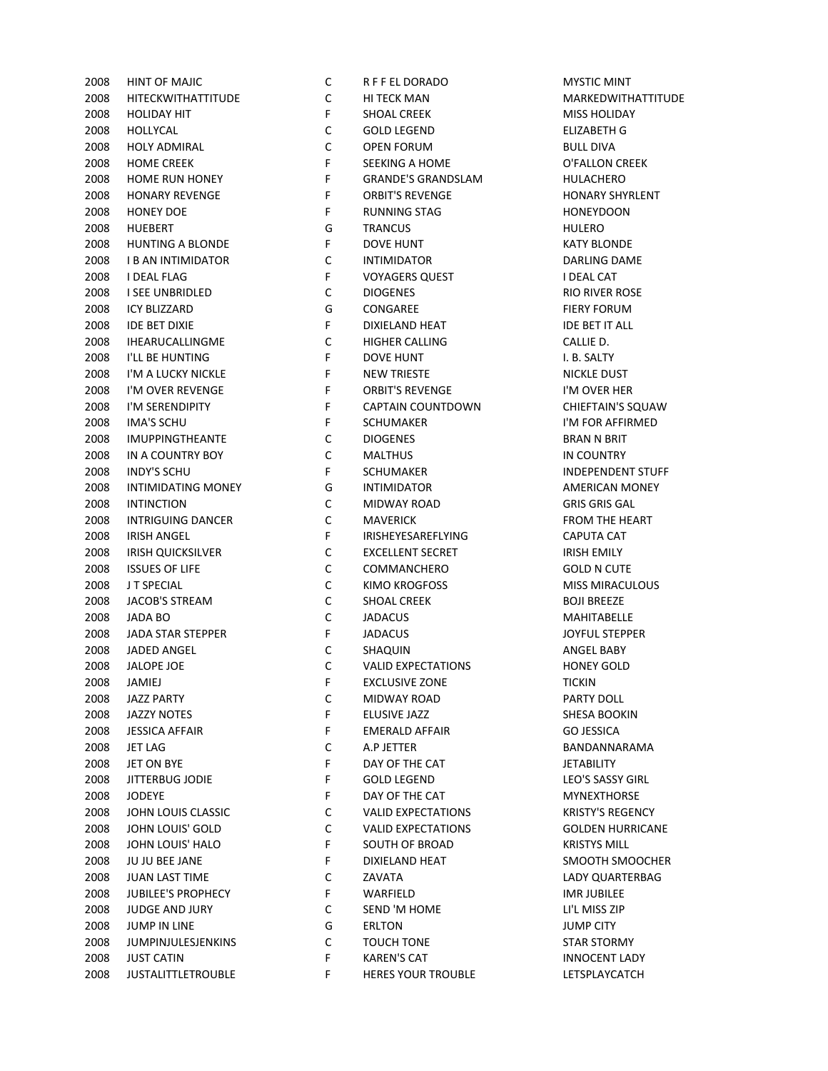| 2008 | HINT OF MAJIC             | С           | R F F EL DORADO           | <b>MYSTIC MINT</b>    |
|------|---------------------------|-------------|---------------------------|-----------------------|
| 2008 | <b>HITECKWITHATTITUDE</b> | $\mathsf C$ | HI TECK MAN               | <b>MARKEDWITH</b>     |
| 2008 | <b>HOLIDAY HIT</b>        | F           | <b>SHOAL CREEK</b>        | MISS HOLIDAY          |
| 2008 | HOLLYCAL                  | C           | <b>GOLD LEGEND</b>        | ELIZABETH G           |
| 2008 | <b>HOLY ADMIRAL</b>       | $\mathsf C$ | <b>OPEN FORUM</b>         | <b>BULL DIVA</b>      |
| 2008 | <b>HOME CREEK</b>         | F           | SEEKING A HOME            | O'FALLON CRI          |
| 2008 | <b>HOME RUN HONEY</b>     | F           | <b>GRANDE'S GRANDSLAM</b> | <b>HULACHERO</b>      |
| 2008 | <b>HONARY REVENGE</b>     | F           | <b>ORBIT'S REVENGE</b>    | <b>HONARY SHYR</b>    |
| 2008 | <b>HONEY DOE</b>          | F           | <b>RUNNING STAG</b>       | <b>HONEYDOON</b>      |
| 2008 | <b>HUEBERT</b>            | G           | <b>TRANCUS</b>            | <b>HULERO</b>         |
| 2008 | <b>HUNTING A BLONDE</b>   | F           | <b>DOVE HUNT</b>          | <b>KATY BLONDE</b>    |
| 2008 | <b>I B AN INTIMIDATOR</b> | С           | <b>INTIMIDATOR</b>        | <b>DARLING DAN</b>    |
| 2008 | I DEAL FLAG               | F           | <b>VOYAGERS QUEST</b>     | I DEAL CAT            |
| 2008 | I SEE UNBRIDLED           | C           | <b>DIOGENES</b>           | <b>RIO RIVER RO</b>   |
| 2008 | <b>ICY BLIZZARD</b>       | G           | CONGAREE                  | <b>FIERY FORUM</b>    |
| 2008 | <b>IDE BET DIXIE</b>      | F           | DIXIELAND HEAT            | <b>IDE BET IT ALL</b> |
| 2008 | <b>IHEARUCALLINGME</b>    | C           | <b>HIGHER CALLING</b>     | CALLIE D.             |
| 2008 | I'LL BE HUNTING           | F           | <b>DOVE HUNT</b>          | I. B. SALTY           |
| 2008 | I'M A LUCKY NICKLE        | F           | <b>NEW TRIESTE</b>        | NICKLE DUST           |
| 2008 | I'M OVER REVENGE          | F           | <b>ORBIT'S REVENGE</b>    | I'M OVER HER          |
| 2008 | I'M SERENDIPITY           | F           | CAPTAIN COUNTDOWN         | <b>CHIEFTAIN'S S</b>  |
| 2008 | <b>IMA'S SCHU</b>         | F           | <b>SCHUMAKER</b>          | I'M FOR AFFIF         |
| 2008 | <b>IMUPPINGTHEANTE</b>    | C           | <b>DIOGENES</b>           | BRAN N BRIT           |
| 2008 | IN A COUNTRY BOY          | C           | <b>MALTHUS</b>            | IN COUNTRY            |
| 2008 | <b>INDY'S SCHU</b>        | F           | <b>SCHUMAKER</b>          | INDEPENDEN            |
| 2008 | INTIMIDATING MONEY        | G           | <b>INTIMIDATOR</b>        | <b>AMERICAN M</b>     |
| 2008 | <b>INTINCTION</b>         | C           | MIDWAY ROAD               | <b>GRIS GRIS GAI</b>  |
| 2008 | INTRIGUING DANCER         | $\mathsf C$ | <b>MAVERICK</b>           | <b>FROM THE HE</b>    |
| 2008 | IRISH ANGEL               | F           | IRISHEYESAREFLYING        | CAPUTA CAT            |
| 2008 | <b>IRISH QUICKSILVER</b>  | C           | <b>EXCELLENT SECRET</b>   | <b>IRISH EMILY</b>    |
| 2008 | <b>ISSUES OF LIFE</b>     | C           | COMMANCHERO               | <b>GOLD N CUTE</b>    |
| 2008 | J T SPECIAL               | C           | KIMO KROGFOSS             | <b>MISS MIRACU</b>    |
| 2008 | JACOB'S STREAM            | C           | <b>SHOAL CREEK</b>        | <b>BOJI BREEZE</b>    |
| 2008 | <b>JADA BO</b>            | C           | <b>JADACUS</b>            | MAHITABELLE           |
| 2008 | <b>JADA STAR STEPPER</b>  | F           | <b>JADACUS</b>            | <b>JOYFUL STEPP</b>   |
| 2008 | JADED ANGEL               | C           | SHAQUIN                   | ANGEL BABY            |
| 2008 | JALOPE JOE                | $\mathsf C$ | <b>VALID EXPECTATIONS</b> | <b>HONEY GOLD</b>     |
| 2008 | JAMIEJ                    | F           | <b>EXCLUSIVE ZONE</b>     | TICKIN                |
| 2008 | JAZZ PARTY                | С           | MIDWAY ROAD               | PARTY DOLL            |
| 2008 | JAZZY NOTES               | F.          | ELUSIVE JAZZ              | SHESA BOOKI           |
| 2008 | <b>JESSICA AFFAIR</b>     | F           | EMERALD AFFAIR            | <b>GO JESSICA</b>     |
| 2008 | JET LAG                   | С           | A.P JETTER                | <b>BANDANNAR</b>      |
| 2008 | JET ON BYE                | F.          | DAY OF THE CAT            | <b>JETABILITY</b>     |
|      | JITTERBUG JODIE           |             |                           | LEO'S SASSY G         |
| 2008 |                           | F           | <b>GOLD LEGEND</b>        |                       |
| 2008 | <b>JODEYE</b>             | F           | DAY OF THE CAT            | <b>MYNEXTHORS</b>     |
| 2008 | JOHN LOUIS CLASSIC        | С           | <b>VALID EXPECTATIONS</b> | <b>KRISTY'S REGE</b>  |
| 2008 | JOHN LOUIS' GOLD          | С           | <b>VALID EXPECTATIONS</b> | <b>GOLDEN HUR</b>     |
| 2008 | JOHN LOUIS' HALO          | F           | SOUTH OF BROAD            | <b>KRISTYS MILL</b>   |
| 2008 | JU JU BEE JANE            | F           | DIXIELAND HEAT            | <b>SMOOTH SMO</b>     |
| 2008 | <b>JUAN LAST TIME</b>     | С           | ZAVATA                    | <b>LADY QUARTE</b>    |
| 2008 | <b>JUBILEE'S PROPHECY</b> | F.          | WARFIELD                  | IMR JUBILEE           |
| 2008 | <b>JUDGE AND JURY</b>     | С           | SEND 'M HOME              | LI'L MISS ZIP         |
| 2008 | <b>JUMP IN LINE</b>       | G           | <b>ERLTON</b>             | <b>JUMP CITY</b>      |
| 2008 | <b>JUMPINJULESJENKINS</b> | C           | <b>TOUCH TONE</b>         | <b>STAR STORMY</b>    |
| 2008 | <b>JUST CATIN</b>         | F.          | <b>KAREN'S CAT</b>        | <b>INNOCENT LA</b>    |
| 2008 | <b>JUSTALITTLETROUBLE</b> | F.          | <b>HERES YOUR TROUBLE</b> | LETSPLAYCAT           |

| C | R F F EL DORADO           |
|---|---------------------------|
| С | HI TECK MAN               |
| F | SHOAL CREEK               |
| С | GOLD LEGEND               |
| C | <b>OPEN FORUM</b>         |
| F | <b>SEEKING A HOME</b>     |
| F | <b>GRANDE'S GRANDSLAM</b> |
| F | <b>ORBIT'S REVENGE</b>    |
| F | <b>RUNNING STAG</b>       |
| G | <b>TRANCUS</b>            |
| F | <b>DOVE HUNT</b>          |
| С | <b>INTIMIDATOR</b>        |
| F | <b>VOYAGERS QUEST</b>     |
| С | <b>DIOGENES</b>           |
| G | CONGAREE                  |
| F | DIXIELAND HEAT            |
| C | <b>HIGHER CALLING</b>     |
| F | <b>DOVE HUNT</b>          |
| F | <b>NEW TRIESTE</b>        |
| F | <b>ORBIT'S REVENGE</b>    |
| F | CAPTAIN COUNTDOWN         |
| F | <b>SCHUMAKER</b>          |
| С | <b>DIOGENES</b>           |
| C | <b>MALTHUS</b>            |
| F | <b>SCHUMAKER</b>          |
| G | <b>INTIMIDATOR</b>        |
| C | <b>MIDWAY ROAD</b>        |
| C | <b>MAVERICK</b>           |
| F | IRISHEYESAREFLYING        |
| C | <b>EXCELLENT SECRET</b>   |
| C | COMMANCHERO               |
| C | KIMO KROGFOSS             |
| C | <b>SHOAL CREEK</b>        |
| C | <b>JADACUS</b>            |
| F | <b>JADACUS</b>            |
| C | SHAQUIN                   |
| C | <b>VALID EXPECTATIONS</b> |
| F | <b>EXCLUSIVE ZONE</b>     |
| с | <b>MIDWAY ROAD</b>        |
| F | <b>ELUSIVE JAZZ</b>       |
| F | <b>EMERALD AFFAIR</b>     |
| C | A.P JETTER                |
| F | DAY OF THE CAT            |
| F | <b>GOLD LEGEND</b>        |
| F | DAY OF THE CAT            |
| C | <b>VALID EXPECTATIONS</b> |
| C | <b>VALID EXPECTATIONS</b> |
| F | <b>SOUTH OF BROAD</b>     |
| F | <b>DIXIELAND HEAT</b>     |
| C | ZAVATA                    |
| F | WARFIELD                  |
| C | <b>SEND 'M HOME</b>       |
| G | <b>ERLTON</b>             |
| C | <b>TOUCH TONE</b>         |
| F | <b>KAREN'S CAT</b>        |
| F | <b>HERES YOUR TROUBLE</b> |

**MYSTIC MINT MARKEDWITHATTITUDE** MISS HOLIDAY ELIZABETH G O'FALLON CREEK HONARY SHYRLENT KATY BLONDE DARLING DAME **RIO RIVER ROSE FIERY FORUM IDE BET IT ALL** NICKLE DUST I'M OVER HER CHIEFTAIN'S SQUAW I'M FOR AFFIRMED BRAN N BRIT IN COUNTRY INDEPENDENT STUFF AMERICAN MONEY **GRIS GRIS GAL** FROM THE HEART IRISH EMILY MISS MIRACULOUS **MAHITABELLE** JOYFUL STEPPER HONEY GOLD SHESA BOOKIN BANDANNARAMA LEO'S SASSY GIRL **MYNEXTHORSE** KRISTY'S REGENCY **GOLDEN HURRICANE** KRISTYS MILL SMOOTH SMOOCHER LADY QUARTERBAG STAR STORMY **INNOCENT LADY** LETSPLAYCATCH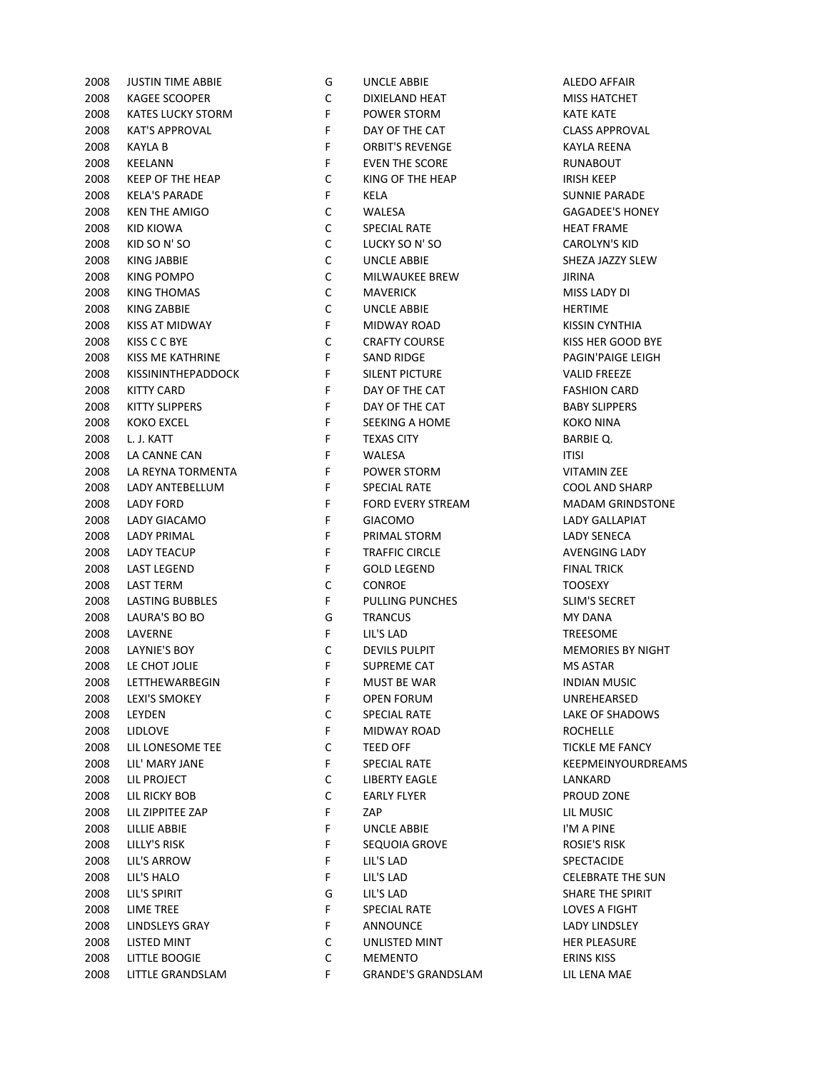| 2008 | <b>JUSTIN TIME ABBIE</b>  | G           | UNCLE ABBIE              | ALEDO AFFAII        |
|------|---------------------------|-------------|--------------------------|---------------------|
| 2008 | <b>KAGEE SCOOPER</b>      | С           | DIXIELAND HEAT           | <b>MISS HATCHE</b>  |
| 2008 | <b>KATES LUCKY STORM</b>  | F           | POWER STORM              | <b>KATE KATE</b>    |
| 2008 | <b>KAT'S APPROVAL</b>     | F           | DAY OF THE CAT           | <b>CLASS APPRO</b>  |
| 2008 | <b>KAYLA B</b>            | F           | <b>ORBIT'S REVENGE</b>   | <b>KAYLA REENA</b>  |
| 2008 | KEELANN                   | F           | <b>EVEN THE SCORE</b>    | <b>RUNABOUT</b>     |
| 2008 | <b>KEEP OF THE HEAP</b>   | С           | KING OF THE HEAP         | <b>IRISH KEEP</b>   |
| 2008 | <b>KELA'S PARADE</b>      | F           | KELA                     | <b>SUNNIE PARA</b>  |
| 2008 | <b>KEN THE AMIGO</b>      | C           | WALESA                   | <b>GAGADEE'S H</b>  |
| 2008 | KID KIOWA                 | C           | <b>SPECIAL RATE</b>      | <b>HEAT FRAME</b>   |
| 2008 | KID SO N' SO              | $\mathsf C$ | LUCKY SO N'SO            | <b>CAROLYN'S KI</b> |
| 2008 | KING JABBIE               | $\mathsf C$ | <b>UNCLE ABBIE</b>       | SHEZA JAZZY :       |
| 2008 | KING POMPO                | С           | MILWAUKEE BREW           | JIRINA              |
| 2008 | <b>KING THOMAS</b>        | С           | <b>MAVERICK</b>          | MISS LADY DI        |
| 2008 | <b>KING ZABBIE</b>        | $\mathsf C$ | <b>UNCLE ABBIE</b>       | <b>HERTIME</b>      |
| 2008 | KISS AT MIDWAY            | F           | MIDWAY ROAD              | <b>KISSIN CYNTH</b> |
| 2008 | KISS C C BYE              | $\mathsf C$ | <b>CRAFTY COURSE</b>     | KISS HER GOC        |
| 2008 | KISS ME KATHRINE          | F           | <b>SAND RIDGE</b>        | PAGIN'PAIGE         |
| 2008 | <b>KISSININTHEPADDOCK</b> | F           | SILENT PICTURE           | <b>VALID FREEZE</b> |
| 2008 | <b>KITTY CARD</b>         | F           | DAY OF THE CAT           | <b>FASHION CAR</b>  |
| 2008 | <b>KITTY SLIPPERS</b>     | F           | DAY OF THE CAT           | <b>BABY SLIPPER</b> |
| 2008 | <b>KOKO EXCEL</b>         | F           | SEEKING A HOME           | KOKO NINA           |
| 2008 | L. J. KATT                | F           | <b>TEXAS CITY</b>        | <b>BARBIE Q.</b>    |
| 2008 |                           | F           |                          |                     |
|      | LA CANNE CAN              |             | WALESA                   | <b>ITISI</b>        |
| 2008 | LA REYNA TORMENTA         | F           | POWER STORM              | <b>VITAMIN ZEE</b>  |
| 2008 | LADY ANTEBELLUM           | F           | <b>SPECIAL RATE</b>      | COOL AND SH         |
| 2008 | <b>LADY FORD</b>          | F           | <b>FORD EVERY STREAM</b> | <b>MADAM GRIN</b>   |
| 2008 | LADY GIACAMO              | F           | <b>GIACOMO</b>           | <b>LADY GALLAP</b>  |
| 2008 | <b>LADY PRIMAL</b>        | F           | PRIMAL STORM             | <b>LADY SENECA</b>  |
| 2008 | <b>LADY TEACUP</b>        | F           | TRAFFIC CIRCLE           | <b>AVENGING LA</b>  |
| 2008 | <b>LAST LEGEND</b>        | F           | <b>GOLD LEGEND</b>       | <b>FINAL TRICK</b>  |
| 2008 | <b>LAST TERM</b>          | С           | <b>CONROE</b>            | <b>TOOSEXY</b>      |
| 2008 | LASTING BUBBLES           | F           | PULLING PUNCHES          | SLIM'S SECRE        |
| 2008 | LAURA'S BO BO             | G           | <b>TRANCUS</b>           | MY DANA             |
| 2008 | <b>LAVERNE</b>            | F           | LIL'S LAD                | <b>TREESOME</b>     |
| 2008 | LAYNIE'S BOY              | С           | <b>DEVILS PULPIT</b>     | <b>MEMORIES BY</b>  |
| 2008 | LE CHOT JOLIE             | F           | <b>SUPREME CAT</b>       | <b>MS ASTAR</b>     |
| 2008 | LETTHEWARBEGIN            | F           | <b>MUST BE WAR</b>       | <b>INDIAN MUSI</b>  |
| 2008 | LEXI'S SMOKEY             | F           | OPEN FORUM               | UNREHEARSE          |
| 2008 | LEYDEN                    | С           | SPECIAL RATE             | <b>LAKE OF SHAD</b> |
| 2008 | <b>LIDLOVE</b>            | F.          | <b>MIDWAY ROAD</b>       | <b>ROCHELLE</b>     |
| 2008 | LIL LONESOME TEE          | С           | TEED OFF                 | <b>TICKLE ME FA</b> |
| 2008 | LIL' MARY JANE            | F.          | <b>SPECIAL RATE</b>      | <b>KEEPMEINYO</b>   |
| 2008 | LIL PROJECT               | C           | <b>LIBERTY EAGLE</b>     | LANKARD             |
| 2008 | LIL RICKY BOB             | C           | <b>EARLY FLYER</b>       | PROUD ZONE          |
| 2008 | LIL ZIPPITEE ZAP          | F.          | ZAP                      | LIL MUSIC           |
| 2008 | LILLIE ABBIE              | F           | <b>UNCLE ABBIE</b>       | I'M A PINE          |
| 2008 | LILLY'S RISK              | F           | SEQUOIA GROVE            | <b>ROSIE'S RISK</b> |
| 2008 | LIL'S ARROW               | F           | LIL'S LAD                | SPECTACIDE          |
| 2008 | LIL'S HALO                | F           | LIL'S LAD                | <b>CELEBRATE TH</b> |
| 2008 | LIL'S SPIRIT              | G           | LIL'S LAD                | <b>SHARE THE SF</b> |
| 2008 | <b>LIME TREE</b>          | F           | <b>SPECIAL RATE</b>      | <b>LOVES A FIGH</b> |
| 2008 | LINDSLEYS GRAY            | F           | ANNOUNCE                 | <b>LADY LINDSLE</b> |
| 2008 | LISTED MINT               | C           | UNLISTED MINT            | <b>HER PLEASUR</b>  |
| 2008 | <b>LITTLE BOOGIE</b>      | С           | <b>MEMENTO</b>           | <b>ERINS KISS</b>   |
|      | 2008 LITTLE GRANDSLAM     | F.          | GRANDE'S GRANDSLAM       | LIL LENA MAE        |
|      |                           |             |                          |                     |

| G           | UNCLE ABBIE               | <b>ALEDO AFFAIF</b>  |
|-------------|---------------------------|----------------------|
| C           | <b>DIXIELAND HEAT</b>     | <b>MISS HATCHE</b>   |
| F           | POWER STORM               | <b>KATE KATE</b>     |
| F           | DAY OF THE CAT            | <b>CLASS APPROY</b>  |
| F           | <b>ORBIT'S REVENGE</b>    | <b>KAYLA REENA</b>   |
| F           | <b>EVEN THE SCORE</b>     | RUNABOUT             |
| C           | KING OF THE HEAP          | IRISH KEEP           |
| F           | KELA                      | <b>SUNNIE PARA</b>   |
| С           | WALESA                    | <b>GAGADEE'S H</b>   |
| C           | <b>SPECIAL RATE</b>       | <b>HEAT FRAME</b>    |
| C           | LUCKY SO N' SO            | <b>CAROLYN'S KI</b>  |
| C           | <b>UNCLE ABBIE</b>        | SHEZA JAZZY S        |
| C           | <b>MILWAUKEE BREW</b>     | JIRINA               |
| C           | <b>MAVERICK</b>           | MISS LADY DI         |
| C           | <b>UNCLE ABBIE</b>        | <b>HERTIME</b>       |
| F           | MIDWAY ROAD               |                      |
|             |                           | <b>KISSIN CYNTH</b>  |
| C           | <b>CRAFTY COURSE</b>      | KISS HER GOO         |
| F           | <b>SAND RIDGE</b>         | <b>PAGIN'PAIGE</b>   |
| F           | <b>SILENT PICTURE</b>     | <b>VALID FREEZE</b>  |
| F           | DAY OF THE CAT            | <b>FASHION CAR</b>   |
| F           | DAY OF THE CAT            | <b>BABY SLIPPER:</b> |
| F           | <b>SEEKING A HOME</b>     | KOKO NINA            |
| F           | <b>TEXAS CITY</b>         | BARBIE Q.            |
| F           | WALESA                    | <b>ITISI</b>         |
| F           | <b>POWER STORM</b>        | <b>VITAMIN ZEE</b>   |
| F           | <b>SPECIAL RATE</b>       | COOL AND SH          |
| F           | <b>FORD EVERY STREAM</b>  | <b>MADAM GRIN</b>    |
| F           | <b>GIACOMO</b>            | <b>LADY GALLAPI</b>  |
| F           | PRIMAL STORM              | <b>LADY SENECA</b>   |
| F           | <b>TRAFFIC CIRCLE</b>     | <b>AVENGING LA</b>   |
| F           | <b>GOLD LEGEND</b>        | <b>FINAL TRICK</b>   |
| C           | <b>CONROE</b>             | TOOSEXY              |
| F           | PULLING PUNCHES           | <b>SLIM'S SECRET</b> |
| G           | <b>TRANCUS</b>            | MY DANA              |
| F           | LIL'S LAD                 | TREESOME             |
| C           | <b>DEVILS PULPIT</b>      | <b>MEMORIES BY</b>   |
| F           | <b>SUPREME CAT</b>        | <b>MS ASTAR</b>      |
| $\mathsf F$ | MUST BE WAR               | <b>INDIAN MUSK</b>   |
| F           | <b>OPEN FORUM</b>         | UNREHEARSEI          |
| C           | <b>SPECIAL RATE</b>       | <b>LAKE OF SHAD</b>  |
| F           | <b>MIDWAY ROAD</b>        | <b>ROCHELLE</b>      |
| С           | <b>TEED OFF</b>           | <b>TICKLE ME FAI</b> |
| F           | <b>SPECIAL RATE</b>       | KEEPMEINYOU          |
| С           | <b>LIBERTY EAGLE</b>      | LANKARD              |
| C           | <b>EARLY FLYER</b>        | PROUD ZONE           |
| F           |                           | LIL MUSIC            |
| F           | ZAP                       | I'M A PINE           |
|             | UNCLE ABBIE               |                      |
| F           | <b>SEQUOIA GROVE</b>      | ROSIE'S RISK         |
| F           | LIL'S LAD                 | SPECTACIDE           |
| F           | LIL'S LAD                 | <b>CELEBRATE TH</b>  |
| G           | LIL'S LAD                 | <b>SHARE THE SP</b>  |
| F           | <b>SPECIAL RATE</b>       | <b>LOVES A FIGHT</b> |
| F           | <b>ANNOUNCE</b>           | <b>LADY LINDSLE</b>  |
| С           | UNLISTED MINT             | <b>HER PLEASURI</b>  |
| С           | <b>MEMENTO</b>            | <b>ERINS KISS</b>    |
| F           | <b>GRANDE'S GRANDSLAM</b> | LIL LENA MAE         |

ALEDO AFFAIR MISS HATCHET CLASS APPROVAL SUNNIE PARADE **GAGADEE'S HONEY** HEAT FRAME CAROLYN'S KID SHEZA JAZZY SLEW KISSIN CYNTHIA KISS HER GOOD BYE PAGIN'PAIGE LEIGH VALID FREEZE **FASHION CARD** BABY SLIPPERS COOL AND SHARP **MADAM GRINDSTONE** LADY GALLAPIAT AVENGING LADY SLIM'S SECRET **MEMORIES BY NIGHT INDIAN MUSIC** UNREHEARSED LAKE OF SHADOWS TICKLE ME FANCY KEEPMEINYOURDREAMS PROUD ZONE ROSIE'S RISK CELEBRATE THE SUN SHARE THE SPIRIT LOVES A FIGHT LADY LINDSLEY HER PLEASURE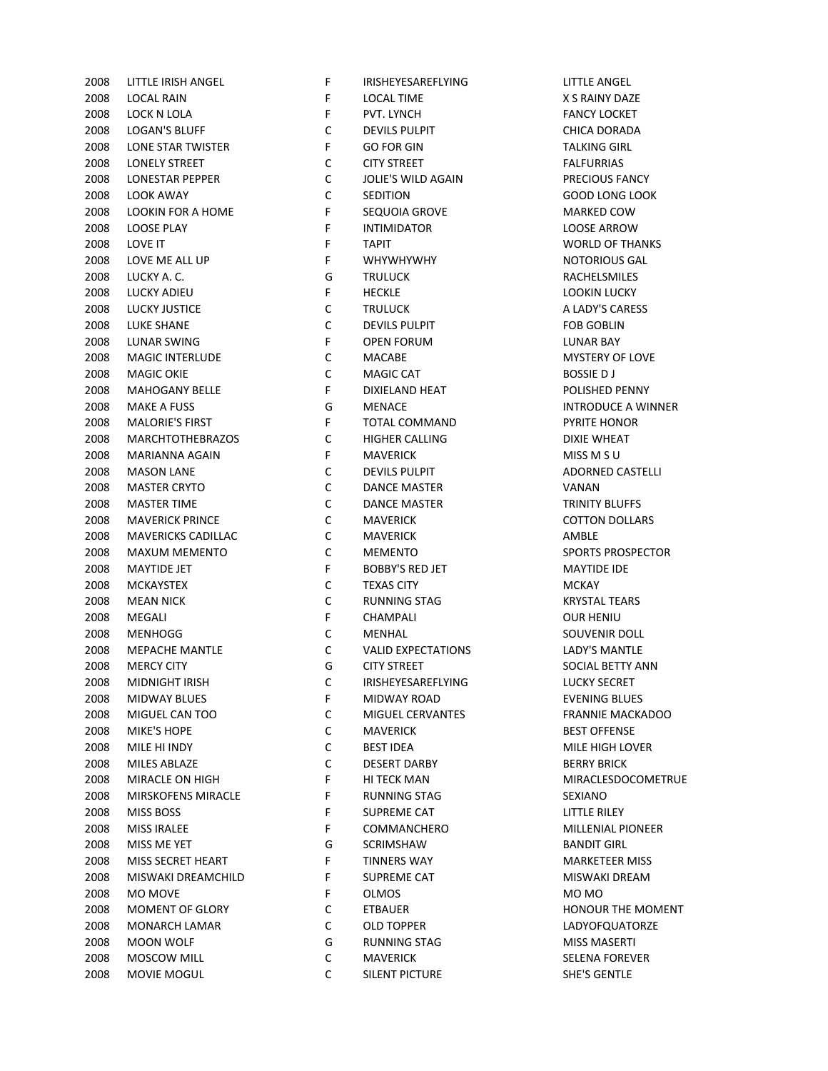2008 LOCAL RAIN F LOCAL TIME X S RAINY DAZE 2008 LOCK N LOLA F PVT. LYNCH FANCY LOCKET 2008 LOGAN'S BLUFF C DEVILS PULPIT CHICA DORADA 2008 LONE STAR TWISTER F GO FOR GIN 2008 LONELY STREET CONTREET CONTREET CONTREET FALFURRIAS 2008 LONESTAR PEPPER C JOLIE'S WILD AGAIN PRECIOUS FANCY 2008 LOOK AWAY C SEDITION GOOD LONG LOOK 2008 LOOKIN FOR A HOME F SEQUOIA GROVE THE MARKED COW 2008 LOOSE PLAY F INTIMIDATOR LOOSE ARROW 2008 LOVE IT TAPIT FTAPIT TAPIT WORLD OF THANKS 2008 LOVE ME ALL UP THE REALL WHYWHYWHY THE SERVICE OF SALL MOTORIOUS GALL 2008 LUCKY A. C. G TRULUCK RACHELSMILES 2008 LUCKY ADIEU F HECKLE LOOKIN LUCKY 2008 LUCKY JUSTICE C TRULUCK A LADY'S CARESS 2008 LUKE SHANE C DEVILS PULPIT FOB GOBLIN 2008 LUNAR SWING F OPEN FORUM LUNAR BAY 2008 MAGIC INTERLUDE C MACABE MYSTERY OF LOVE 2008 MAGIC OKIE COMAGIC CAT BOSSIE D J 2008 MAHOGANY BELLE F DIXIELAND HEAT POLISHED PENNY 2008 MAKE A FUSS GOOD GOOD MENACE THE STATE OF STATE ON THE STATE OF STATE A WINNER 2008 MALORIE'S FIRST F TOTAL COMMAND PYRITE HONOR 2008 MARCHTOTHEBRAZOS C HIGHER CALLING DIXIE WHEAT 2008 MARIANNA AGAIN F MAVERICK MISS M SU 2008 MASON LANE C DEVILS PULPIT ADORNED CASTELLI 2008 MASTER CRYTO C DANCE MASTER VANAN 2008 MASTER TIME C DANCE MASTER TRINITY BLUFFS 2008 MAVERICK PRINCE **COLLARS** COTTON DOLLARS 2008 MAVERICKS CADILLAC C MAVERICK AMBLE 2008 MAXUM MEMENTO C MEMENTO SPORTS PROSPECTOR 2008 MAYTIDE JET FBOBBY'S RED JET MAYTIDE IDE 2008 MCKAYSTEX C TEXAS CITY MCKAY 2008 MEAN NICK C RUNNING STAG KRYSTAL TEARS 2008 MEGALI F CHAMPALI OUR HENIU **2008 MENHOGG COMENTAL SOUVENIR DOLL** 2008 MEPACHE MANTLE C VALID EXPECTATIONS LADY'S MANTLE 2008 MERCY CITY CONSUMING GUITY STREET SOCIAL BETTY ANN 2008 MIDNIGHT IRISH C IRISHEYESAREFLYING LUCKY SECRET 2008 MIDWAY BLUES F MIDWAY ROAD EVENING BLUES 2008 MIGUEL CAN TOO C MIGUEL CERVANTES FRANNIE MACKADOO 2008 MIKE'S HOPE C MAVERICK BEST OFFENSE 2008 MILE HI INDY C BEST IDEA MILE HIGH LOVER 2008 MILES ABLAZE C DESERT DARBY BERRY BRICK 2008 MIRACLE ON HIGH F HI TECK MAN MIRACLESDOCOMETRUE 2008 MIRSKOFENS MIRACLE THE RUNNING STAG SEXIANO 2008 MISS BOSS F SUPREME CAT LITTLE RILEY 2008 MISS IRALEE FOOMMANCHERO MILLENIAL PIONEER 2008 MISS ME YET G SCRIMSHAW BANDIT GIRL 2008 MISS SECRET HEART FINNERS WAY FINDERS WAY MARKETEER MISS 2008 MISWAKI DREAMCHILD F SUPREME CAT MISWAKI DREAM 2008 MO MOVE F OLMOS MO MO 2008 MOMENT OF GLORY C ETBAUER HONOUR THE MOMENT 2008 MONARCH LAMAR C OLD TOPPER LADYOFQUATORZE 2008 MOON WOLF G RUNNING STAG MISS MASERTI 2008 MOSCOW MILL C MAVERICK SELENA FOREVER 2008 MOVIE MOGUL C SILENT PICTURE SHE'S GENTLE

2008 LITTLE IRISH ANGEL F IRISHEYESAREFLYING LITTLE ANGEL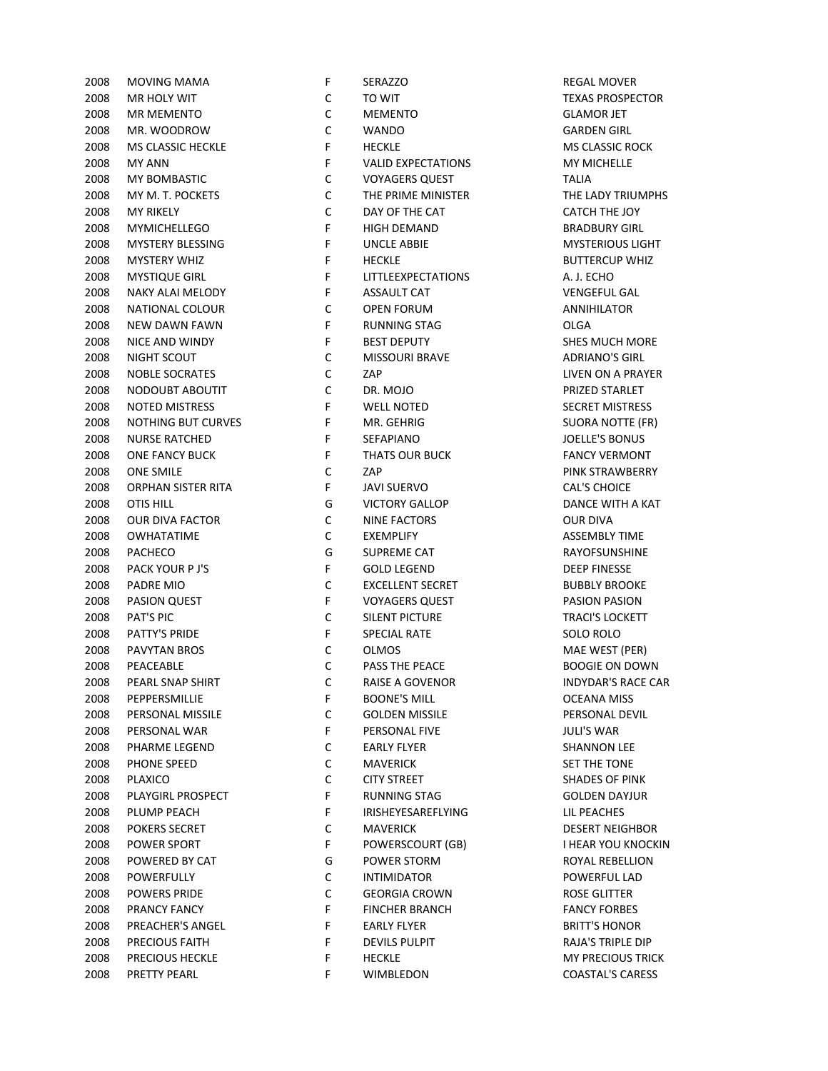| 2008 | <b>MOVING MAMA</b>     | F           | SERAZZO                   | <b>REGAL MOVE</b>    |
|------|------------------------|-------------|---------------------------|----------------------|
| 2008 | MR HOLY WIT            | С           | TO WIT                    | <b>TEXAS PROSPI</b>  |
| 2008 | <b>MR MEMENTO</b>      | $\mathsf C$ | <b>MEMENTO</b>            | <b>GLAMOR JET</b>    |
| 2008 | MR. WOODROW            | $\mathsf C$ | <b>WANDO</b>              | <b>GARDEN GIRL</b>   |
| 2008 | MS CLASSIC HECKLE      | F           | <b>HECKLE</b>             | MS CLASSIC R         |
| 2008 | <b>MY ANN</b>          | F           | <b>VALID EXPECTATIONS</b> | <b>MY MICHELLE</b>   |
| 2008 | MY BOMBASTIC           | $\mathsf C$ | <b>VOYAGERS QUEST</b>     | <b>TALIA</b>         |
| 2008 | MY M. T. POCKETS       | C           | THE PRIME MINISTER        | THE LADY TRI         |
| 2008 | <b>MY RIKELY</b>       | $\mathsf C$ | DAY OF THE CAT            | <b>CATCH THE JC</b>  |
| 2008 | <b>MYMICHELLEGO</b>    | F           | <b>HIGH DEMAND</b>        | <b>BRADBURY GI</b>   |
| 2008 | MYSTERY BLESSING       | F           | <b>UNCLE ABBIE</b>        | <b>MYSTERIOUS</b>    |
| 2008 | MYSTERY WHIZ           | F           | <b>HECKLE</b>             | <b>BUTTERCUP V</b>   |
| 2008 | <b>MYSTIQUE GIRL</b>   | F           | LITTLEEXPECTATIONS        | A. J. ECHO           |
| 2008 | NAKY ALAI MELODY       | F           | ASSAULT CAT               | <b>VENGEFUL GA</b>   |
| 2008 | NATIONAL COLOUR        | C           | <b>OPEN FORUM</b>         | ANNIHILATOR          |
| 2008 | NEW DAWN FAWN          | F           | <b>RUNNING STAG</b>       | OLGA                 |
| 2008 | NICE AND WINDY         | F           | <b>BEST DEPUTY</b>        | SHES MUCH N          |
| 2008 | NIGHT SCOUT            | C           | <b>MISSOURI BRAVE</b>     | <b>ADRIANO'S GI</b>  |
| 2008 | <b>NOBLE SOCRATES</b>  | C           | ZAP                       | LIVEN ON A PI        |
| 2008 | NODOUBT ABOUTIT        | $\mathsf C$ | DR. MOJO                  | PRIZED STARL         |
| 2008 | <b>NOTED MISTRESS</b>  | F           | <b>WELL NOTED</b>         | <b>SECRET MISTR</b>  |
| 2008 | NOTHING BUT CURVES     | F           | MR. GEHRIG                | <b>SUORA NOTTI</b>   |
| 2008 | <b>NURSE RATCHED</b>   | F           | SEFAPIANO                 | <b>JOELLE'S BON</b>  |
| 2008 | <b>ONE FANCY BUCK</b>  | F           | THATS OUR BUCK            | <b>FANCY VERM</b>    |
| 2008 | <b>ONE SMILE</b>       | C           | ZAP                       | <b>PINK STRAWB</b>   |
| 2008 | ORPHAN SISTER RITA     | F           | <b>JAVI SUERVO</b>        | <b>CAL'S CHOICE</b>  |
| 2008 | <b>OTIS HILL</b>       | G           | <b>VICTORY GALLOP</b>     | <b>DANCE WITH</b>    |
| 2008 | <b>OUR DIVA FACTOR</b> | С           | <b>NINE FACTORS</b>       | <b>OUR DIVA</b>      |
| 2008 | <b>OWHATATIME</b>      | $\mathsf C$ | <b>EXEMPLIFY</b>          | <b>ASSEMBLY TIM</b>  |
| 2008 | PACHECO                | G           | SUPREME CAT               | RAYOFSUNSH           |
| 2008 | PACK YOUR P J'S        | F           | <b>GOLD LEGEND</b>        | <b>DEEP FINESSE</b>  |
| 2008 | PADRE MIO              | $\mathsf C$ | <b>EXCELLENT SECRET</b>   | <b>BUBBLY BROC</b>   |
| 2008 | <b>PASION QUEST</b>    | F           | <b>VOYAGERS QUEST</b>     | <b>PASION PASIC</b>  |
| 2008 | PAT'S PIC              | $\mathsf C$ | SILENT PICTURE            | <b>TRACI'S LOCKI</b> |
| 2008 | PATTY'S PRIDE          | F           | <b>SPECIAL RATE</b>       | SOLO ROLO            |
| 2008 | PAVYTAN BROS           | C           | <b>OLMOS</b>              | MAE WEST (P          |
| 2008 | PEACEABLE              | $\mathsf C$ | PASS THE PEACE            | <b>BOOGIE ON D</b>   |
| 2008 | PEARL SNAP SHIRT       | С           | RAISE A GOVENOR           | <b>INDYDAR'S RA</b>  |
| 2008 | PEPPERSMILLIE          | F           | <b>BOONE'S MILL</b>       | <b>OCEANA MISS</b>   |
| 2008 | PERSONAL MISSILE       | С           | <b>GOLDEN MISSILE</b>     | PERSONAL DE          |
| 2008 | PERSONAL WAR           | F           | PERSONAL FIVE             | <b>JULI'S WAR</b>    |
| 2008 | PHARME LEGEND          | C           | <b>EARLY FLYER</b>        | <b>SHANNON LEI</b>   |
| 2008 | PHONE SPEED            | C           | <b>MAVERICK</b>           | <b>SET THE TONE</b>  |
| 2008 | <b>PLAXICO</b>         | C           | <b>CITY STREET</b>        | <b>SHADES OF PI</b>  |
| 2008 | PLAYGIRL PROSPECT      | F           | <b>RUNNING STAG</b>       | <b>GOLDEN DAY</b>    |
| 2008 | PLUMP PEACH            | F           | IRISHEYESAREFLYING        | LIL PEACHES          |
| 2008 | <b>POKERS SECRET</b>   | С           | <b>MAVERICK</b>           | <b>DESERT NEIGH</b>  |
| 2008 | POWER SPORT            | F           | POWERSCOURT (GB)          | I HEAR YOU KI        |
| 2008 | POWERED BY CAT         | G           | POWER STORM               | <b>ROYAL REBELI</b>  |
|      |                        | C           |                           |                      |
| 2008 | POWERFULLY             |             | <b>INTIMIDATOR</b>        | POWERFUL LA          |
| 2008 | <b>POWERS PRIDE</b>    | C           | <b>GEORGIA CROWN</b>      | <b>ROSE GLITTER</b>  |
| 2008 | PRANCY FANCY           | F           | <b>FINCHER BRANCH</b>     | <b>FANCY FORBE</b>   |
| 2008 | PREACHER'S ANGEL       | F           | <b>EARLY FLYER</b>        | <b>BRITT'S HONC</b>  |
| 2008 | PRECIOUS FAITH         | F           | <b>DEVILS PULPIT</b>      | <b>RAJA'S TRIPLE</b> |
| 2008 | PRECIOUS HECKLE        | F           | <b>HECKLE</b>             | <b>MY PRECIOUS</b>   |
| 2008 | PRETTY PEARL           | F           | WIMBLEDON                 | COASTAL'S CA         |

| F  | SERAZZO                         | <b>REGAL MOVER</b>                                |
|----|---------------------------------|---------------------------------------------------|
| C  | TO WIT                          | <b>TEXAS PROSPECTOR</b>                           |
| C  | <b>MEMENTO</b>                  | <b>GLAMOR JET</b>                                 |
| C  | <b>WANDO</b>                    | <b>GARDEN GIRL</b>                                |
| F  | <b>HECKLE</b>                   | <b>MS CLASSIC ROCK</b>                            |
| F  | <b>VALID EXPECTATIONS</b>       | <b>MY MICHELLE</b>                                |
| C  | <b>VOYAGERS QUEST</b>           | TALIA                                             |
| C  | THE PRIME MINISTER              | THE LADY TRIUMPHS                                 |
| C  | DAY OF THE CAT                  | CATCH THE JOY                                     |
| F  | <b>HIGH DEMAND</b>              | <b>BRADBURY GIRL</b>                              |
| F  | <b>UNCLE ABBIE</b>              | <b>MYSTERIOUS LIGHT</b>                           |
| F  | <b>HECKLE</b>                   | <b>BUTTERCUP WHIZ</b>                             |
| F  | <b>LITTLEEXPECTATIONS</b>       | A. J. ECHO                                        |
| F  | <b>ASSAULT CAT</b>              | <b>VENGEFUL GAL</b>                               |
| С  | OPEN FORUM                      | <b>ANNIHILATOR</b>                                |
| F  | <b>RUNNING STAG</b>             | OLGA                                              |
| F  | <b>BEST DEPUTY</b>              | <b>SHES MUCH MORE</b>                             |
| C  | <b>MISSOURI BRAVE</b>           | <b>ADRIANO'S GIRL</b>                             |
| C  | ZAP                             | LIVEN ON A PRAYER                                 |
| C  |                                 | PRIZED STARLET                                    |
| F  | DR. MOJO                        |                                                   |
| F  | <b>WELL NOTED</b><br>MR. GEHRIG | <b>SECRET MISTRESS</b><br><b>SUORA NOTTE (FR)</b> |
|    |                                 |                                                   |
| F  | <b>SEFAPIANO</b>                | <b>JOELLE'S BONUS</b>                             |
| F  | <b>THATS OUR BUCK</b>           | <b>FANCY VERMONT</b>                              |
| C  | ZAP                             | PINK STRAWBERRY                                   |
| F  | <b>JAVI SUERVO</b>              | <b>CAL'S CHOICE</b>                               |
| G  | <b>VICTORY GALLOP</b>           | DANCE WITH A KAT                                  |
| C  | <b>NINE FACTORS</b>             | OUR DIVA                                          |
| C  | EXEMPLIFY                       | <b>ASSEMBLY TIME</b>                              |
| G  | SUPREME CAT                     | RAYOFSUNSHINE                                     |
| F  | GOLD LEGEND                     | <b>DEEP FINESSE</b>                               |
| C  | <b>EXCELLENT SECRET</b>         | <b>BUBBLY BROOKE</b>                              |
| F  | <b>VOYAGERS QUEST</b>           | <b>PASION PASION</b>                              |
| С  | SILENT PICTURE                  | <b>TRACI'S LOCKETT</b>                            |
| F  | <b>SPECIAL RATE</b>             | SOLO ROLO                                         |
| С  | <b>OLMOS</b>                    | MAE WEST (PER)                                    |
| C  | <b>PASS THE PEACE</b>           | <b>BOOGIE ON DOWN</b>                             |
| С  | RAISE A GOVENOR                 | <b>INDYDAR'S RACE CAR</b>                         |
| F  | <b>BOONE'S MILL</b>             | OCEANA MISS                                       |
| C  | <b>GOLDEN MISSILE</b>           | PERSONAL DEVIL                                    |
| F  | PERSONAL FIVE                   | <b>JULI'S WAR</b>                                 |
| С  | <b>EARLY FLYER</b>              | SHANNON LEE                                       |
| C  | <b>MAVERICK</b>                 | <b>SET THE TONE</b>                               |
| C  | <b>CITY STREET</b>              | <b>SHADES OF PINK</b>                             |
| F  | RUNNING STAG                    | <b>GOLDEN DAYJUR</b>                              |
| F  | <b>IRISHEYESAREFLYING</b>       | LIL PEACHES                                       |
| С  | <b>MAVERICK</b>                 | DESERT NEIGHBOR                                   |
| F. | POWERSCOURT (GB)                | I HEAR YOU KNOCKIN                                |
| G  | POWER STORM                     | ROYAL REBELLION                                   |
| C  | <b>INTIMIDATOR</b>              | POWERFUL LAD                                      |
| C  | <b>GEORGIA CROWN</b>            | <b>ROSE GLITTER</b>                               |
| F  | <b>FINCHER BRANCH</b>           | <b>FANCY FORBES</b>                               |
| F  | EARLY FLYER                     | <b>BRITT'S HONOR</b>                              |
| F  | <b>DEVILS PULPIT</b>            | RAJA'S TRIPLE DIP                                 |
| F  | <b>HECKLE</b>                   | <b>MY PRECIOUS TRICK</b>                          |
| F. | <b>WIMBLEDON</b>                | COASTAL'S CARESS                                  |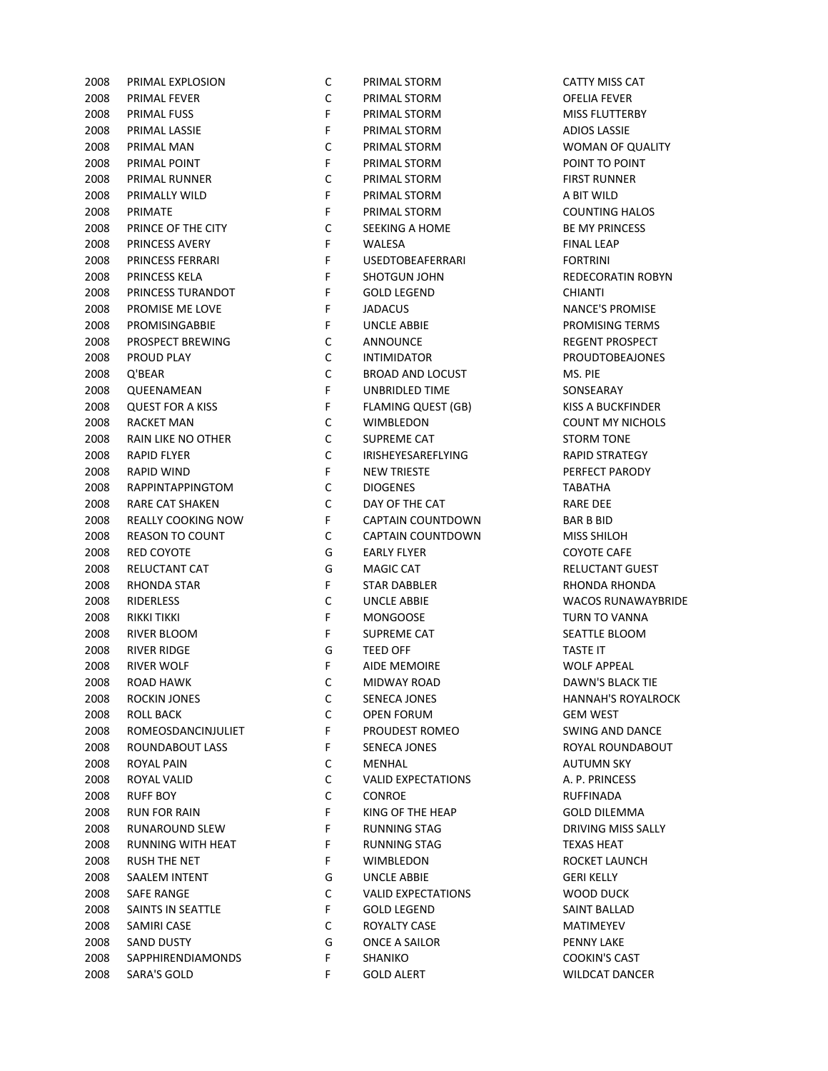| 2008 | PRIMAL EXPLOSION        | C           | PRIMAL STORM              | <b>CATTY MISS CAT</b>  |
|------|-------------------------|-------------|---------------------------|------------------------|
| 2008 | PRIMAL FEVER            | C           | PRIMAL STORM              | <b>OFELIA FEVER</b>    |
| 2008 | PRIMAL FUSS             | F           | PRIMAL STORM              | <b>MISS FLUTTERBY</b>  |
|      |                         | F           |                           |                        |
| 2008 | PRIMAL LASSIE           |             | PRIMAL STORM              | <b>ADIOS LASSIE</b>    |
| 2008 | PRIMAL MAN              | $\mathsf C$ | PRIMAL STORM              | WOMAN OF QU            |
| 2008 | PRIMAL POINT            | F           | PRIMAL STORM              | POINT TO POINT         |
| 2008 | PRIMAL RUNNER           | $\mathsf C$ | PRIMAL STORM              | FIRST RUNNER           |
| 2008 | PRIMALLY WILD           | F           | PRIMAL STORM              | A BIT WILD             |
| 2008 | PRIMATE                 | F           | PRIMAL STORM              | <b>COUNTING HALC</b>   |
| 2008 | PRINCE OF THE CITY      | $\mathsf C$ | SEEKING A HOME            | <b>BE MY PRINCESS</b>  |
| 2008 | PRINCESS AVERY          | F           | WALESA                    | <b>FINAL LEAP</b>      |
| 2008 | PRINCESS FERRARI        | F           | <b>USEDTOBEAFERRARI</b>   | <b>FORTRINI</b>        |
| 2008 | PRINCESS KELA           | F           | SHOTGUN JOHN              | <b>REDECORATIN R</b>   |
| 2008 | PRINCESS TURANDOT       | F           | <b>GOLD LEGEND</b>        | <b>CHIANTI</b>         |
| 2008 | PROMISE ME LOVE         | F           | <b>JADACUS</b>            | <b>NANCE'S PROMI:</b>  |
| 2008 | PROMISINGABBIE          | F           | UNCLE ABBIE               | PROMISING TERI         |
| 2008 | PROSPECT BREWING        | C           | ANNOUNCE                  | <b>REGENT PROSPE</b>   |
| 2008 | PROUD PLAY              | $\mathsf C$ | <b>INTIMIDATOR</b>        | <b>PROUDTOBEAJO</b>    |
| 2008 | Q'BEAR                  | $\mathsf C$ | <b>BROAD AND LOCUST</b>   | MS. PIE                |
| 2008 | QUEENAMEAN              | F           | UNBRIDLED TIME            | SONSEARAY              |
| 2008 | <b>QUEST FOR A KISS</b> | F           | <b>FLAMING QUEST (GB)</b> | <b>KISS A BUCKFIND</b> |
| 2008 | <b>RACKET MAN</b>       | $\mathsf C$ | WIMBLEDON                 | <b>COUNT MY NICH</b>   |
|      |                         | $\mathsf C$ |                           |                        |
| 2008 | RAIN LIKE NO OTHER      |             | SUPREME CAT               | <b>STORM TONE</b>      |
| 2008 | <b>RAPID FLYER</b>      | $\mathsf C$ | <b>IRISHEYESAREFLYING</b> | <b>RAPID STRATEGY</b>  |
| 2008 | RAPID WIND              | F           | <b>NEW TRIESTE</b>        | PERFECT PAROD          |
| 2008 | RAPPINTAPPINGTOM        | $\mathsf C$ | <b>DIOGENES</b>           | <b>TABATHA</b>         |
| 2008 | RARE CAT SHAKEN         | C           | DAY OF THE CAT            | <b>RARE DEE</b>        |
| 2008 | REALLY COOKING NOW      | F           | <b>CAPTAIN COUNTDOWN</b>  | <b>BAR B BID</b>       |
| 2008 | <b>REASON TO COUNT</b>  | $\mathsf C$ | CAPTAIN COUNTDOWN         | MISS SHILOH            |
| 2008 | RED COYOTE              | G           | <b>EARLY FLYER</b>        | <b>COYOTE CAFE</b>     |
| 2008 | RELUCTANT CAT           | G           | <b>MAGIC CAT</b>          | <b>RELUCTANT GUE</b>   |
| 2008 | RHONDA STAR             | F           | <b>STAR DABBLER</b>       | <b>RHONDA RHOND</b>    |
| 2008 | <b>RIDERLESS</b>        | $\mathsf C$ | <b>UNCLE ABBIE</b>        | <b>WACOS RUNAW</b>     |
| 2008 | RIKKI TIKKI             | F           | <b>MONGOOSE</b>           | <b>TURN TO VANNA</b>   |
| 2008 | RIVER BLOOM             | F           | <b>SUPREME CAT</b>        | SEATTLE BLOOM          |
| 2008 | <b>RIVER RIDGE</b>      | G           | <b>TEED OFF</b>           | <b>TASTE IT</b>        |
| 2008 | <b>RIVER WOLF</b>       | F           | <b>AIDE MEMOIRE</b>       | <b>WOLF APPEAL</b>     |
| 2008 | <b>ROAD HAWK</b>        | C           | MIDWAY ROAD               | <b>DAWN'S BLACK 1</b>  |
| 2008 | <b>ROCKIN JONES</b>     | С           | SENECA JONES              | <b>HANNAH'S ROYA</b>   |
| 2008 | <b>ROLL BACK</b>        | $\mathsf C$ | <b>OPEN FORUM</b>         | <b>GEM WEST</b>        |
| 2008 | ROMEOSDANCINJULIET      | F           | PROUDEST ROMEO            | <b>SWING AND DAN</b>   |
| 2008 | ROUNDABOUT LASS         | F           | SENECA JONES              | ROYAL ROUNDAI          |
| 2008 | ROYAL PAIN              | C           | MENHAL                    | <b>AUTUMN SKY</b>      |
| 2008 | ROYAL VALID             | C           | <b>VALID EXPECTATIONS</b> | A. P. PRINCESS         |
|      |                         | C           |                           |                        |
| 2008 | <b>RUFF BOY</b>         |             | CONROE                    | RUFFINADA              |
| 2008 | <b>RUN FOR RAIN</b>     | F           | KING OF THE HEAP          | <b>GOLD DILEMMA</b>    |
| 2008 | RUNAROUND SLEW          | F           | <b>RUNNING STAG</b>       | DRIVING MISS SA        |
| 2008 | RUNNING WITH HEAT       | F           | <b>RUNNING STAG</b>       | <b>TEXAS HEAT</b>      |
| 2008 | <b>RUSH THE NET</b>     | F           | WIMBLEDON                 | ROCKET LAUNCH          |
| 2008 | SAALEM INTENT           | G           | <b>UNCLE ABBIE</b>        | <b>GERI KELLY</b>      |
| 2008 | <b>SAFE RANGE</b>       | C           | <b>VALID EXPECTATIONS</b> | WOOD DUCK              |
| 2008 | SAINTS IN SEATTLE       | F           | <b>GOLD LEGEND</b>        | <b>SAINT BALLAD</b>    |
| 2008 | SAMIRI CASE             | C           | ROYALTY CASE              | MATIMEYEV              |
| 2008 | <b>SAND DUSTY</b>       | G           | ONCE A SAILOR             | <b>PENNY LAKE</b>      |
| 2008 | SAPPHIRENDIAMONDS       | F           | SHANIKO                   | <b>COOKIN'S CAST</b>   |
| 2008 | SARA'S GOLD             | F           | <b>GOLD ALERT</b>         | <b>WILDCAT DANCE</b>   |

| ◡ | <b>FINIVIAL JIUINI</b>    | ורש ככוועו ווורש          |
|---|---------------------------|---------------------------|
| С | PRIMAL STORM              | OFELIA FEVER              |
| F | PRIMAL STORM              | <b>MISS FLUTTERBY</b>     |
| F | PRIMAL STORM              | <b>ADIOS LASSIE</b>       |
| С | PRIMAL STORM              | WOMAN OF QUALITY          |
| F | PRIMAL STORM              | POINT TO POINT            |
| С | PRIMAL STORM              | <b>FIRST RUNNER</b>       |
| F | PRIMAL STORM              | A BIT WILD                |
| F | PRIMAL STORM              | COUNTING HALOS            |
| С | SEEKING A HOME            | <b>BE MY PRINCESS</b>     |
| F | WALESA                    | <b>FINAL LEAP</b>         |
| F | <b>USEDTOBEAFERRARI</b>   | <b>FORTRINI</b>           |
| F | SHOTGUN JOHN              | REDECORATIN ROBYN         |
| F | <b>GOLD LEGEND</b>        | <b>CHIANTI</b>            |
| F | JADACUS                   | <b>NANCE'S PROMISE</b>    |
| F | <b>UNCLE ABBIE</b>        | PROMISING TERMS           |
| С | ANNOUNCE                  | REGENT PROSPECT           |
| С | <b>INTIMIDATOR</b>        | <b>PROUDTOBEAJONES</b>    |
| С | <b>BROAD AND LOCUST</b>   | MS. PIE                   |
| F | UNBRIDLED TIME            | SONSEARAY                 |
| F | FLAMING QUEST (GB)        | KISS A BUCKFINDER         |
| С | WIMBLEDON                 | COUNT MY NICHOLS          |
| С | SUPREME CAT               | <b>STORM TONE</b>         |
| С | <b>IRISHEYESAREFLYING</b> | <b>RAPID STRATEGY</b>     |
| F | <b>NEW TRIESTE</b>        | PERFECT PARODY            |
| С | <b>DIOGENES</b>           | TABATHA                   |
| С | DAY OF THE CAT            | RARE DEE                  |
| F | <b>CAPTAIN COUNTDOWN</b>  | <b>BAR B BID</b>          |
| С | CAPTAIN COUNTDOWN         | MISS SHILOH               |
| G | EARLY FLYER               | COYOTE CAFE               |
| G | MAGIC CAT                 | <b>RELUCTANT GUEST</b>    |
| F | <b>STAR DABBLER</b>       | RHONDA RHONDA             |
| С | <b>UNCLE ABBIE</b>        | <b>WACOS RUNAWAYBRIDE</b> |
| F | <b>MONGOOSE</b>           | TURN TO VANNA             |
| F | SUPREME CAT               | SEATTLE BLOOM             |
| G | TEED OFF                  | TASTE IT                  |
| F | <b>AIDE MEMOIRE</b>       | <b>WOLF APPEAL</b>        |
| C | MIDWAY ROAD               | DAWN'S BLACK TIE          |
| С | SENECA JONES              | <b>HANNAH'S ROYALROCK</b> |
| С | <b>OPEN FORUM</b>         | GEM WEST                  |
| F | PROUDEST ROMEO            | SWING AND DANCE           |
| F | <b>SENECA JONES</b>       | ROYAL ROUNDABOUT          |
| С | MENHAL                    | <b>AUTUMN SKY</b>         |
| С | <b>VALID EXPECTATIONS</b> | A. P. PRINCESS            |
| С | <b>CONROE</b>             | RUFFINADA                 |
| F | KING OF THE HEAP          | <b>GOLD DILEMMA</b>       |
| F | <b>RUNNING STAG</b>       | DRIVING MISS SALLY        |
| F | <b>RUNNING STAG</b>       | <b>TEXAS HEAT</b>         |
| F | WIMBLEDON                 | ROCKET LAUNCH             |
| G | UNCLE ABBIE               | <b>GERI KELLY</b>         |
| С | <b>VALID EXPECTATIONS</b> | WOOD DUCK                 |
| F | <b>GOLD LEGEND</b>        | SAINT BALLAD              |
| С | ROYALTY CASE              | <b>MATIMEYEV</b>          |
| G | ONCE A SAILOR             | <b>PENNY LAKE</b>         |
| F | SHANIKO                   | COOKIN'S CAST             |
| F | <b>GOLD ALERT</b>         | <b>WILDCAT DANCER</b>     |
|   |                           |                           |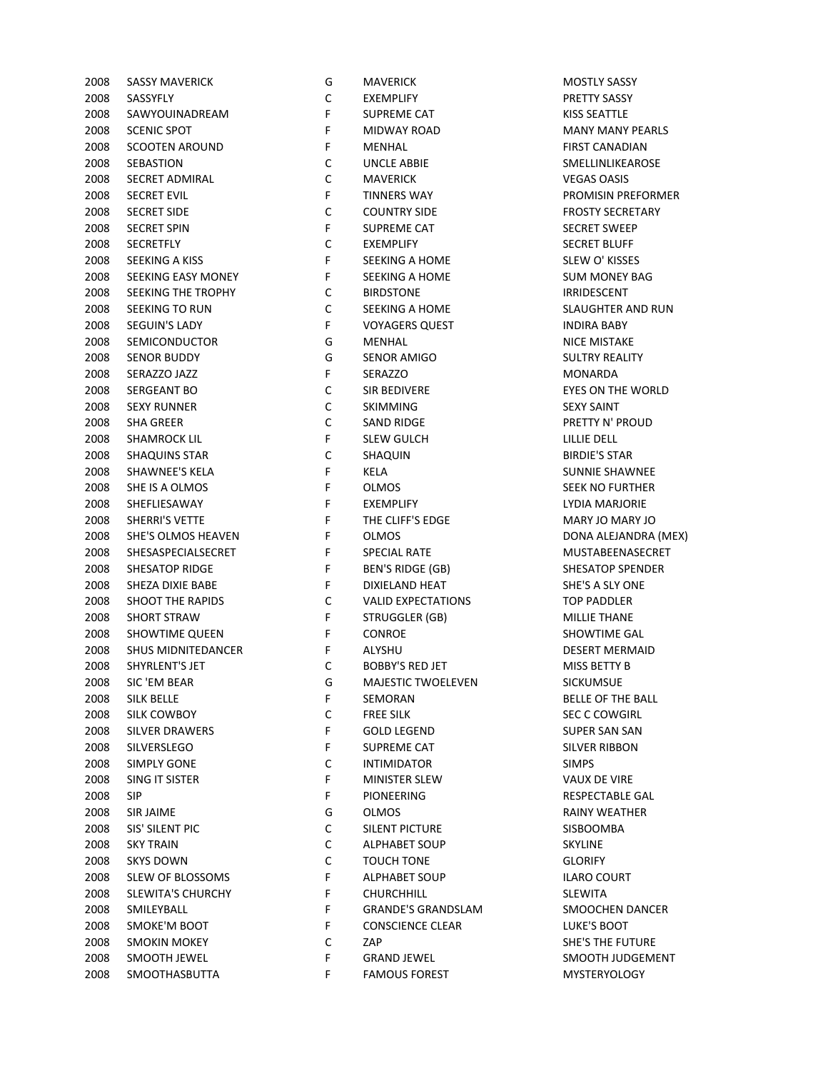| 2008 | <b>SASSY MAVERICK</b>     | G           | <b>MAVERICK</b>           | MOSTLY SASS          |
|------|---------------------------|-------------|---------------------------|----------------------|
| 2008 | SASSYFLY                  | С           | <b>EXEMPLIFY</b>          | PRETTY SASS'         |
| 2008 | SAWYOUINADREAM            | F           | SUPREME CAT               | <b>KISS SEATTLE</b>  |
| 2008 | <b>SCENIC SPOT</b>        | F           | <b>MIDWAY ROAD</b>        | <b>MANY MANY</b>     |
| 2008 | <b>SCOOTEN AROUND</b>     | F           | MENHAL                    | <b>FIRST CANAD</b>   |
| 2008 | <b>SEBASTION</b>          | $\mathsf C$ | <b>UNCLE ABBIE</b>        | SMELLINLIKE.         |
| 2008 | SECRET ADMIRAL            | $\mathsf C$ | <b>MAVERICK</b>           | <b>VEGAS OASIS</b>   |
| 2008 | <b>SECRET EVIL</b>        | F           | <b>TINNERS WAY</b>        | <b>PROMISIN PR</b>   |
| 2008 | <b>SECRET SIDE</b>        | $\mathsf C$ | <b>COUNTRY SIDE</b>       | <b>FROSTY SECR</b>   |
| 2008 | <b>SECRET SPIN</b>        | F           | SUPREME CAT               | <b>SECRET SWEE</b>   |
| 2008 | <b>SECRETFLY</b>          | $\mathsf C$ | <b>EXEMPLIFY</b>          | <b>SECRET BLUF</b>   |
| 2008 | SEEKING A KISS            | F           | SEEKING A HOME            | SLEW O' KISS         |
| 2008 | SEEKING EASY MONEY        | F           | <b>SEEKING A HOME</b>     | <b>SUM MONEY</b>     |
| 2008 | SEEKING THE TROPHY        | С           | <b>BIRDSTONE</b>          | IRRIDESCENT          |
| 2008 | SEEKING TO RUN            | С           | <b>SEEKING A HOME</b>     | SLAUGHTER /          |
| 2008 | SEGUIN'S LADY             | F.          | <b>VOYAGERS QUEST</b>     | <b>INDIRA BABY</b>   |
| 2008 | <b>SEMICONDUCTOR</b>      | G           | MENHAL                    | <b>NICE MISTAK</b>   |
| 2008 | <b>SENOR BUDDY</b>        | G           | <b>SENOR AMIGO</b>        | <b>SULTRY REAL</b>   |
| 2008 | SERAZZO JAZZ              | F           | SERAZZO                   | MONARDA              |
| 2008 | <b>SERGEANT BO</b>        | $\mathsf C$ | SIR BEDIVERE              | <b>EYES ON THE</b>   |
| 2008 | <b>SEXY RUNNER</b>        | $\mathsf C$ | <b>SKIMMING</b>           | <b>SEXY SAINT</b>    |
| 2008 | <b>SHA GREER</b>          | $\mathsf C$ | <b>SAND RIDGE</b>         | PRETTY N' PR         |
| 2008 | SHAMROCK LIL              | F           | <b>SLEW GULCH</b>         | LILLIE DELL          |
| 2008 | <b>SHAQUINS STAR</b>      | $\mathsf C$ | SHAQUIN                   | <b>BIRDIE'S STAI</b> |
| 2008 | <b>SHAWNEE'S KELA</b>     | F           | KELA                      | <b>SUNNIE SHAV</b>   |
| 2008 | SHE IS A OLMOS            | $\mathsf F$ | <b>OLMOS</b>              | <b>SEEK NO FUR</b>   |
| 2008 | SHEFLIESAWAY              | F           | EXEMPLIFY                 | <b>LYDIA MARJC</b>   |
| 2008 | <b>SHERRI'S VETTE</b>     | F           | THE CLIFF'S EDGE          | MARY JO MA           |
| 2008 | SHE'S OLMOS HEAVEN        | F           | <b>OLMOS</b>              | <b>DONA ALEJAI</b>   |
| 2008 | SHESASPECIALSECRET        | F           | <b>SPECIAL RATE</b>       | MUSTABEEN            |
| 2008 | SHESATOP RIDGE            | F           | BEN'S RIDGE (GB)          | SHESATOP SF          |
| 2008 | SHEZA DIXIE BABE          | F           | DIXIELAND HEAT            | SHE'S A SLY C        |
| 2008 | <b>SHOOT THE RAPIDS</b>   | C           | <b>VALID EXPECTATIONS</b> | <b>TOP PADDLEI</b>   |
| 2008 | <b>SHORT STRAW</b>        | F           | STRUGGLER (GB)            | <b>MILLIE THAN</b>   |
| 2008 | SHOWTIME QUEEN            | F           | CONROE                    | SHOWTIME G           |
| 2008 | <b>SHUS MIDNITEDANCER</b> | F           | ALYSHU                    | <b>DESERT MERI</b>   |
| 2008 | SHYRLENT'S JET            | $\mathsf C$ | <b>BOBBY'S RED JET</b>    | MISS BETTY E         |
| 2008 | SIC 'EM BEAR              | G           | MAJESTIC TWOELEVEN        | SICKUMSUE            |
| 2008 | <b>SILK BELLE</b>         | F           | SEMORAN                   | <b>BELLE OF THE</b>  |
| 2008 | SILK COWBOY               | С           | <b>FREE SILK</b>          | SEC C COWG           |
| 2008 | <b>SILVER DRAWERS</b>     | F.          | <b>GOLD LEGEND</b>        | <b>SUPER SAN S.</b>  |
| 2008 | SILVERSLEGO               | F           | SUPREME CAT               | <b>SILVER RIBBC</b>  |
| 2008 | SIMPLY GONE               | C           | <b>INTIMIDATOR</b>        | <b>SIMPS</b>         |
| 2008 | SING IT SISTER            | F.          | <b>MINISTER SLEW</b>      | <b>VAUX DE VIR</b>   |
| 2008 | <b>SIP</b>                | F.          | <b>PIONEERING</b>         | RESPECTABLE          |
| 2008 | <b>SIR JAIME</b>          | G           | <b>OLMOS</b>              | <b>RAINY WEAT</b>    |
| 2008 | SIS' SILENT PIC           | C           | <b>SILENT PICTURE</b>     | SISBOOMBA            |
| 2008 | <b>SKY TRAIN</b>          | C           | <b>ALPHABET SOUP</b>      | <b>SKYLINE</b>       |
| 2008 | <b>SKYS DOWN</b>          | C           | <b>TOUCH TONE</b>         | <b>GLORIFY</b>       |
| 2008 | SLEW OF BLOSSOMS          | F.          | <b>ALPHABET SOUP</b>      | <b>ILARO COURT</b>   |
| 2008 | <b>SLEWITA'S CHURCHY</b>  | F           | CHURCHHILL                | SLEWITA              |
| 2008 | SMILEYBALL                | F           | <b>GRANDE'S GRANDSLAM</b> | SMOOCHEN I           |
| 2008 | SMOKE'M BOOT              | F           | <b>CONSCIENCE CLEAR</b>   | LUKE'S BOOT          |
| 2008 | <b>SMOKIN MOKEY</b>       | С           | ZAP                       | SHE'S THE FU         |
| 2008 | SMOOTH JEWEL              | F           | <b>GRAND JEWEL</b>        | SMOOTH JUD           |
| 2008 | <b>SMOOTHASBUTTA</b>      | F           | <b>FAMOUS FOREST</b>      | MYSTERYOLC           |
|      |                           |             |                           |                      |

|                | MAVERICK                  |
|----------------|---------------------------|
|                | <b>EXEMPLIFY</b>          |
|                | SUPREME CAT               |
|                | MIDWAY ROAD               |
|                | MENHAL                    |
|                | <b>UNCLE ABBIE</b>        |
|                | <b>MAVERICK</b>           |
|                | <b>TINNERS WAY</b>        |
|                | <b>COUNTRY SIDE</b>       |
|                | <b>SUPREME CAT</b>        |
|                | <b>EXEMPLIFY</b>          |
|                | <b>SEEKING A HOME</b>     |
|                | <b>SEEKING A HOME</b>     |
|                | <b>BIRDSTONE</b>          |
|                | <b>SEEKING A HOME</b>     |
|                |                           |
|                | <b>VOYAGERS QUEST</b>     |
|                | MENHAL                    |
|                | <b>SENOR AMIGO</b>        |
|                | <b>SERAZZO</b>            |
|                | SIR BEDIVERE              |
|                | SKIMMING                  |
|                | SAND RIDGE                |
|                | SLEW GULCH                |
|                | SHAQUIN                   |
|                | <b>KELA</b>               |
|                | OLMOS                     |
|                | <b>EXEMPLIFY</b>          |
| $\overline{a}$ | THE CLIFF'S EDGE          |
| $\overline{a}$ | <b>OLMOS</b>              |
|                | <b>SPECIAL RATE</b>       |
|                | <b>BEN'S RIDGE (GB)</b>   |
|                | DIXIELAND HEAT            |
|                | <b>VALID EXPECTATIONS</b> |
|                | STRUGGLER (GB)            |
|                | <b>CONROE</b>             |
|                | ALYSHU                    |
|                | <b>BOBBY'S RED JET</b>    |
|                | <b>MAJESTIC TWOELEVEN</b> |
|                | SEMORAN                   |
|                | <b>FREE SILK</b>          |
|                | GOLD LEGEND               |
|                | SUPREME CAT               |
|                | INTIMIDATOR               |
|                | <b>MINISTER SLEW</b>      |
|                | PIONEERING                |
|                | <b>OLMOS</b>              |
|                | <b>SILENT PICTURE</b>     |
|                | <b>ALPHABET SOUP</b>      |
|                | TOUCH TONE                |
|                | <b>ALPHABET SOUP</b>      |
|                | <b>CHURCHHILL</b>         |
|                | <b>GRANDE'S GRANDSLAM</b> |
|                | <b>CONSCIENCE CLEAR</b>   |
|                | ZAP                       |
|                | <b>GRAND JEWEL</b>        |
|                | <b>FAMOUS FOREST</b>      |
|                |                           |

MOSTLY SASSY PRETTY SASSY MANY MANY PEARLS **FIRST CANADIAN** SMELLINLIKEAROSE VEGAS OASIS PROMISIN PREFORMER FROSTY SECRETARY SECRET SWEEP **SECRET BLUFF** SLEW O' KISSES SUM MONEY BAG SLAUGHTER AND RUN **NICE MISTAKE** SULTRY REALITY **EYES ON THE WORLD** PRETTY N' PROUD **BIRDIE'S STAR** SUNNIE SHAWNEE SEEK NO FURTHER LYDIA MARJORIE MARY JO MARY JO DONA ALEJANDRA (MEX) MUSTABEENASECRET SHESATOP SPENDER SHE'S A SLY ONE TOP PADDLER **MILLIE THANE** SHOWTIME GAL DESERT MERMAID MISS BETTY B BELLE OF THE BALL SEC C COWGIRL SUPER SAN SAN SILVER RIBBON VAUX DE VIRE RESPECTABLE GAL RAINY WEATHER **ILARO COURT** SMOOCHEN DANCER SHE'S THE FUTURE SMOOTH JUDGEMENT MYSTERYOLOGY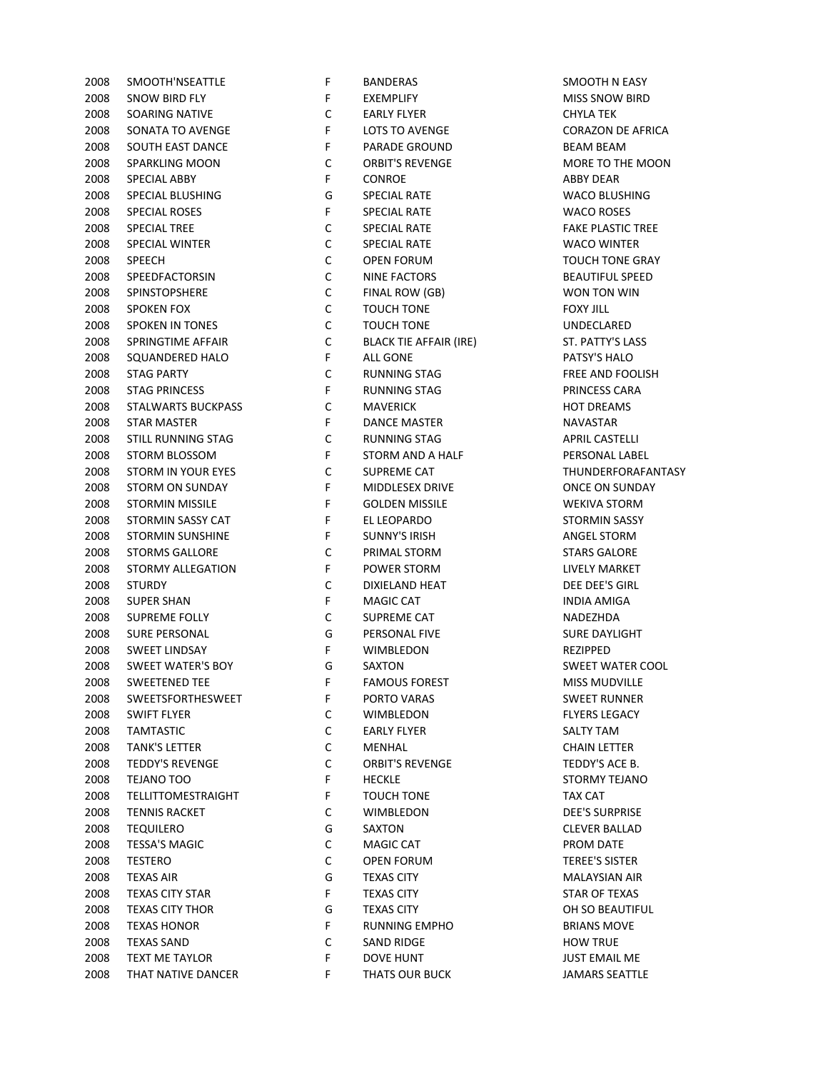| 2008 | SMOOTH NSEATTLE           | Н,          | BANDERAS                      | SMOOTH N E/          |
|------|---------------------------|-------------|-------------------------------|----------------------|
| 2008 | <b>SNOW BIRD FLY</b>      | F           | EXEMPLIFY                     | MISS SNOW E          |
| 2008 | SOARING NATIVE            | $\mathsf C$ | <b>EARLY FLYER</b>            | <b>CHYLA TEK</b>     |
| 2008 | SONATA TO AVENGE          | F           | LOTS TO AVENGE                | <b>CORAZON DE</b>    |
| 2008 | SOUTH EAST DANCE          | F           | <b>PARADE GROUND</b>          | <b>BEAM BEAM</b>     |
| 2008 | <b>SPARKLING MOON</b>     | $\mathsf C$ | <b>ORBIT'S REVENGE</b>        | <b>MORE TO THE</b>   |
| 2008 | SPECIAL ABBY              | F           | <b>CONROE</b>                 | <b>ABBY DEAR</b>     |
| 2008 | SPECIAL BLUSHING          | G           | <b>SPECIAL RATE</b>           | <b>WACO BLUSH</b>    |
| 2008 | <b>SPECIAL ROSES</b>      | F           | <b>SPECIAL RATE</b>           | <b>WACO ROSES</b>    |
| 2008 | <b>SPECIAL TREE</b>       | $\mathsf C$ | <b>SPECIAL RATE</b>           | <b>FAKE PLASTIC</b>  |
| 2008 | <b>SPECIAL WINTER</b>     | $\mathsf C$ | <b>SPECIAL RATE</b>           | <b>WACO WINTE</b>    |
| 2008 | <b>SPEECH</b>             | $\mathsf C$ | <b>OPEN FORUM</b>             | <b>TOUCH TONE</b>    |
| 2008 | SPEEDFACTORSIN            | $\mathsf C$ | <b>NINE FACTORS</b>           | <b>BEAUTIFUL SF</b>  |
| 2008 | SPINSTOPSHERE             | $\mathsf C$ | FINAL ROW (GB)                | WON TON WI           |
| 2008 | <b>SPOKEN FOX</b>         | $\mathsf C$ | TOUCH TONE                    | <b>FOXY JILL</b>     |
| 2008 | <b>SPOKEN IN TONES</b>    | $\mathsf C$ | <b>TOUCH TONE</b>             | UNDECLARED           |
| 2008 | SPRINGTIME AFFAIR         | $\mathsf C$ | <b>BLACK TIE AFFAIR (IRE)</b> | ST. PATTY'S L        |
| 2008 | SQUANDERED HALO           | F           | ALL GONE                      | PATSY'S HALC         |
| 2008 | <b>STAG PARTY</b>         | $\mathsf C$ | RUNNING STAG                  | <b>FREE AND FO</b>   |
| 2008 | <b>STAG PRINCESS</b>      | F           | <b>RUNNING STAG</b>           | PRINCESS CAP         |
| 2008 | <b>STALWARTS BUCKPASS</b> | $\mathsf C$ | <b>MAVERICK</b>               | <b>HOT DREAMS</b>    |
| 2008 | <b>STAR MASTER</b>        | F           | <b>DANCE MASTER</b>           | <b>NAVASTAR</b>      |
| 2008 | STILL RUNNING STAG        | $\mathsf C$ | <b>RUNNING STAG</b>           | <b>APRIL CASTEL</b>  |
|      | STORM BLOSSOM             | F           |                               |                      |
| 2008 |                           |             | STORM AND A HALF              | PERSONAL LA          |
| 2008 | STORM IN YOUR EYES        | $\mathsf C$ | SUPREME CAT                   | THUNDERFOR           |
| 2008 | <b>STORM ON SUNDAY</b>    | F           | MIDDLESEX DRIVE               | ONCE ON SUP          |
| 2008 | <b>STORMIN MISSILE</b>    | F           | <b>GOLDEN MISSILE</b>         | <b>WEKIVA STOF</b>   |
| 2008 | STORMIN SASSY CAT         | F           | EL LEOPARDO                   | <b>STORMIN SAS</b>   |
| 2008 | <b>STORMIN SUNSHINE</b>   | F           | <b>SUNNY'S IRISH</b>          | <b>ANGEL STORM</b>   |
| 2008 | <b>STORMS GALLORE</b>     | $\mathsf C$ | PRIMAL STORM                  | <b>STARS GALOR</b>   |
| 2008 | STORMY ALLEGATION         | F           | POWER STORM                   | LIVELY MARKI         |
| 2008 | <b>STURDY</b>             | $\mathsf C$ | DIXIELAND HEAT                | DEE DEE'S GIF        |
| 2008 | <b>SUPER SHAN</b>         | F           | <b>MAGIC CAT</b>              | <b>INDIA AMIGA</b>   |
| 2008 | SUPREME FOLLY             | $\mathsf C$ | SUPREME CAT                   | NADEZHDA             |
| 2008 | SURE PERSONAL             | G           | PERSONAL FIVE                 | <b>SURE DAYLIGI</b>  |
| 2008 | <b>SWEET LINDSAY</b>      | F           | WIMBLEDON                     | REZIPPED             |
| 2008 | <b>SWEET WATER'S BOY</b>  | G           | SAXTON                        | <b>SWEET WATE</b>    |
| 2008 | <b>SWEETENED TEE</b>      | F           | <b>FAMOUS FOREST</b>          | MISS MUDVIL          |
| 2008 | SWEETSFORTHESWEET         | F           | PORTO VARAS                   | <b>SWEET RUNN</b>    |
| 2008 | <b>SWIFT FLYER</b>        | С           | WIMBLEDON                     | <b>FLYERS LEGAO</b>  |
| 2008 | <b>TAMTASTIC</b>          | C           | <b>EARLY FLYER</b>            | SALTY TAM            |
| 2008 | <b>TANK'S LETTER</b>      | C           | MENHAL                        | <b>CHAIN LETTER</b>  |
| 2008 | <b>TEDDY'S REVENGE</b>    | C           | <b>ORBIT'S REVENGE</b>        | TEDDY'S ACE          |
| 2008 | TEJANO TOO                | F           | <b>HECKLE</b>                 | <b>STORMY TEJA</b>   |
| 2008 | <b>TELLITTOMESTRAIGHT</b> | F           | TOUCH TONE                    | TAX CAT              |
| 2008 | <b>TENNIS RACKET</b>      | C           | <b>WIMBLEDON</b>              | <b>DEE'S SURPRI</b>  |
| 2008 | <b>TEQUILERO</b>          | G           | SAXTON                        | <b>CLEVER BALLA</b>  |
| 2008 | <b>TESSA'S MAGIC</b>      | С           | <b>MAGIC CAT</b>              | PROM DATE            |
| 2008 | <b>TESTERO</b>            | С           | <b>OPEN FORUM</b>             | <b>TEREE'S SISTE</b> |
| 2008 | <b>TEXAS AIR</b>          | G           | <b>TEXAS CITY</b>             | MALAYSIAN A          |
| 2008 | <b>TEXAS CITY STAR</b>    | F           | <b>TEXAS CITY</b>             | STAR OF TEXA         |
| 2008 | <b>TEXAS CITY THOR</b>    | G           | <b>TEXAS CITY</b>             | OH SO BEAUT          |
| 2008 | <b>TEXAS HONOR</b>        | F           | RUNNING EMPHO                 | <b>BRIANS MOVI</b>   |
| 2008 | <b>TEXAS SAND</b>         | С           | <b>SAND RIDGE</b>             | <b>HOW TRUE</b>      |
| 2008 | <b>TEXT ME TAYLOR</b>     | F           | <b>DOVE HUNT</b>              | <b>JUST EMAIL N</b>  |
| 2008 | THAT NATIVE DANCER        | F           | THATS OUR BUCK                | <b>JAMARS SEAT</b>   |
|      |                           |             |                               |                      |

| 2008 | SMOOTH'NSEATTLE           | F           | <b>BANDERAS</b>               | SMOOTH N EASY            |
|------|---------------------------|-------------|-------------------------------|--------------------------|
| 2008 | SNOW BIRD FLY             | F           | <b>EXEMPLIFY</b>              | <b>MISS SNOW BIRD</b>    |
| 2008 | SOARING NATIVE            | C           | <b>EARLY FLYER</b>            | <b>CHYLA TEK</b>         |
| 2008 | SONATA TO AVENGE          | F           | LOTS TO AVENGE                | <b>CORAZON DE AFRICA</b> |
| 2008 | SOUTH EAST DANCE          | F           | <b>PARADE GROUND</b>          | <b>BEAM BEAM</b>         |
| 2008 | <b>SPARKLING MOON</b>     | $\mathsf C$ | <b>ORBIT'S REVENGE</b>        | MORE TO THE MOON         |
| 2008 | SPECIAL ABBY              | F           | <b>CONROE</b>                 | <b>ABBY DEAR</b>         |
| 2008 | SPECIAL BLUSHING          | G           | <b>SPECIAL RATE</b>           | <b>WACO BLUSHING</b>     |
| 2008 | <b>SPECIAL ROSES</b>      | F           | <b>SPECIAL RATE</b>           | <b>WACO ROSES</b>        |
| 2008 | <b>SPECIAL TREE</b>       | $\mathsf C$ | <b>SPECIAL RATE</b>           | <b>FAKE PLASTIC TREE</b> |
| 2008 | <b>SPECIAL WINTER</b>     | $\mathsf C$ | <b>SPECIAL RATE</b>           | <b>WACO WINTER</b>       |
| 2008 | <b>SPEECH</b>             | $\mathsf C$ | <b>OPEN FORUM</b>             | <b>TOUCH TONE GRAY</b>   |
| 2008 | SPEEDFACTORSIN            | $\mathsf C$ | <b>NINE FACTORS</b>           | <b>BEAUTIFUL SPEED</b>   |
| 2008 | SPINSTOPSHERE             | $\mathsf C$ | FINAL ROW (GB)                | WON TON WIN              |
| 2008 | <b>SPOKEN FOX</b>         | $\mathsf C$ | <b>TOUCH TONE</b>             | <b>FOXY JILL</b>         |
| 2008 | <b>SPOKEN IN TONES</b>    | $\mathsf C$ | <b>TOUCH TONE</b>             | UNDECLARED               |
| 2008 | <b>SPRINGTIME AFFAIR</b>  | $\mathsf C$ | <b>BLACK TIE AFFAIR (IRE)</b> | ST. PATTY'S LASS         |
| 2008 | SQUANDERED HALO           | F           | <b>ALL GONE</b>               | PATSY'S HALO             |
| 2008 | <b>STAG PARTY</b>         | $\mathsf C$ | RUNNING STAG                  | <b>FREE AND FOOLISH</b>  |
| 2008 | <b>STAG PRINCESS</b>      | F           | <b>RUNNING STAG</b>           | PRINCESS CARA            |
| 2008 | <b>STALWARTS BUCKPASS</b> | $\mathsf C$ | <b>MAVERICK</b>               | <b>HOT DREAMS</b>        |
| 2008 | STAR MASTER               | F           | DANCE MASTER                  | <b>NAVASTAR</b>          |
| 2008 | STILL RUNNING STAG        | $\mathsf C$ | <b>RUNNING STAG</b>           | <b>APRIL CASTELLI</b>    |
| 2008 | STORM BLOSSOM             | F           | STORM AND A HALF              | PERSONAL LABEL           |
| 2008 | STORM IN YOUR EYES        | C           | SUPREME CAT                   | THUNDERFORAFANTASY       |
| 2008 | <b>STORM ON SUNDAY</b>    | F           | MIDDLESEX DRIVE               | <b>ONCE ON SUNDAY</b>    |
| 2008 | <b>STORMIN MISSILE</b>    | F           | <b>GOLDEN MISSILE</b>         | <b>WEKIVA STORM</b>      |
| 2008 | STORMIN SASSY CAT         | F           | EL LEOPARDO                   | STORMIN SASSY            |
| 2008 | <b>STORMIN SUNSHINE</b>   | F           | <b>SUNNY'S IRISH</b>          | <b>ANGEL STORM</b>       |
| 2008 | <b>STORMS GALLORE</b>     | C           | PRIMAL STORM                  | <b>STARS GALORE</b>      |
| 2008 | STORMY ALLEGATION         | F           | POWER STORM                   | LIVELY MARKET            |
| 2008 | <b>STURDY</b>             | $\mathsf C$ | DIXIELAND HEAT                | DEE DEE'S GIRL           |
| 2008 | <b>SUPER SHAN</b>         | F           | <b>MAGIC CAT</b>              | <b>INDIA AMIGA</b>       |
| 2008 | SUPREME FOLLY             | $\mathsf C$ | SUPREME CAT                   | NADEZHDA                 |
| 2008 | <b>SURE PERSONAL</b>      | G           | PERSONAL FIVE                 | <b>SURE DAYLIGHT</b>     |
| 2008 | <b>SWEET LINDSAY</b>      | F           | WIMBLEDON                     | REZIPPED                 |
| 2008 | SWEET WATER'S BOY         | G           | SAXTON                        | <b>SWEET WATER COOL</b>  |
| 2008 | <b>SWEETENED TEE</b>      | F           | <b>FAMOUS FOREST</b>          | MISS MUDVILLE            |
| 2008 | SWEETSFORTHESWEET         | F           | PORTO VARAS                   | <b>SWEET RUNNER</b>      |
| 2008 | <b>SWIFT FLYER</b>        | C           | WIMBLEDON                     | <b>FLYERS LEGACY</b>     |
| 2008 | <b>TAMTASTIC</b>          | C           | <b>EARLY FLYER</b>            | SALTY TAM                |
| 2008 | TANK'S LETTER             | C           | MENHAL                        | <b>CHAIN LETTER</b>      |
| 2008 | <b>TEDDY'S REVENGE</b>    | C           | <b>ORBIT'S REVENGE</b>        | TEDDY'S ACE B.           |
| 2008 | TEJANO TOO                | F           | <b>HECKLE</b>                 | STORMY TEJANO            |
| 2008 | <b>TELLITTOMESTRAIGHT</b> | F           | <b>TOUCH TONE</b>             | <b>TAX CAT</b>           |
| 2008 | <b>TENNIS RACKET</b>      | C           | <b>WIMBLEDON</b>              | <b>DEE'S SURPRISE</b>    |
| 2008 | <b>TEQUILERO</b>          | G           | SAXTON                        | <b>CLEVER BALLAD</b>     |
| 2008 | <b>TESSA'S MAGIC</b>      | C           | <b>MAGIC CAT</b>              | PROM DATE                |
| 2008 | <b>TESTERO</b>            | C           | <b>OPEN FORUM</b>             | <b>TEREE'S SISTER</b>    |
| 2008 | <b>TEXAS AIR</b>          | G           | <b>TEXAS CITY</b>             | <b>MALAYSIAN AIR</b>     |
| 2008 | <b>TEXAS CITY STAR</b>    | F           | <b>TEXAS CITY</b>             | STAR OF TEXAS            |
| 2008 | <b>TEXAS CITY THOR</b>    | G           | <b>TEXAS CITY</b>             | OH SO BEAUTIFUL          |
| 2008 | <b>TEXAS HONOR</b>        | F           | <b>RUNNING EMPHO</b>          | <b>BRIANS MOVE</b>       |
| 2008 | <b>TEXAS SAND</b>         | C           | <b>SAND RIDGE</b>             | <b>HOW TRUE</b>          |
| 2008 | TEXT ME TAYLOR            | F           | <b>DOVE HUNT</b>              | JUST EMAIL ME            |
| 2008 | THAT NATIVE DANCER        | F           | <b>THATS OUR BUCK</b>         | <b>JAMARS SEATTLE</b>    |
|      |                           |             |                               |                          |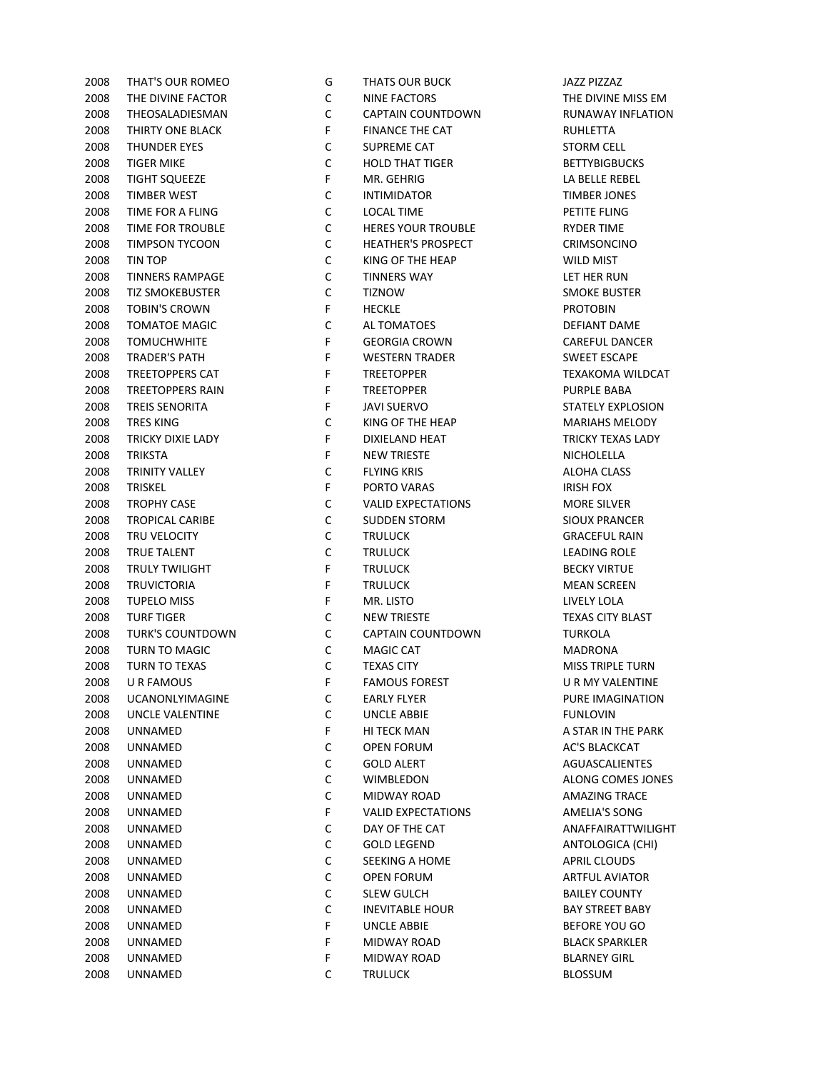| 2008 | THAT'S OUR ROMEO        | G | <b>IHAIS OUR BUCK</b>     | JAZZ PIZZA       |
|------|-------------------------|---|---------------------------|------------------|
| 2008 | THE DIVINE FACTOR       | С | NINE FACTORS              | THE DIVIN        |
| 2008 | THEOSALADIESMAN         | C | CAPTAIN COUNTDOWN         | RUNAWA'          |
| 2008 | THIRTY ONE BLACK        | F | <b>FINANCE THE CAT</b>    | <b>RUHLETTA</b>  |
| 2008 | <b>THUNDER EYES</b>     | C | SUPREME CAT               | <b>STORM CI</b>  |
| 2008 | <b>TIGER MIKE</b>       | C | <b>HOLD THAT TIGER</b>    | <b>BETTYBIG</b>  |
| 2008 | <b>TIGHT SQUEEZE</b>    | F | MR. GEHRIG                | LA BELLE I       |
| 2008 | <b>TIMBER WEST</b>      | C | <b>INTIMIDATOR</b>        | TIMBER JO        |
| 2008 | TIME FOR A FLING        | C | <b>LOCAL TIME</b>         | PETITE FLI       |
| 2008 | TIME FOR TROUBLE        | С | <b>HERES YOUR TROUBLE</b> | <b>RYDER TIN</b> |
| 2008 | TIMPSON TYCOON          | C | <b>HEATHER'S PROSPECT</b> | <b>CRIMSON</b>   |
| 2008 | TIN TOP                 | C | KING OF THE HEAP          | <b>WILD MIS</b>  |
| 2008 | <b>TINNERS RAMPAGE</b>  | C | <b>TINNERS WAY</b>        | LET HER R        |
| 2008 | <b>TIZ SMOKEBUSTER</b>  | C | <b>TIZNOW</b>             | <b>SMOKE BL</b>  |
| 2008 | <b>TOBIN'S CROWN</b>    | F | <b>HECKLE</b>             | <b>PROTOBIN</b>  |
| 2008 | <b>TOMATOE MAGIC</b>    | C | AL TOMATOES               | <b>DEFIANT</b>   |
| 2008 | <b>TOMUCHWHITE</b>      | F | <b>GEORGIA CROWN</b>      | <b>CAREFUL</b>   |
| 2008 | TRADER'S PATH           | F | <b>WESTERN TRADER</b>     | <b>SWEET ES</b>  |
| 2008 | <b>TREETOPPERS CAT</b>  | F | <b>TREETOPPER</b>         | <b>TEXAKOM</b>   |
| 2008 | <b>TREETOPPERS RAIN</b> | F | <b>TREETOPPER</b>         | PURPLE B         |
| 2008 | <b>TREIS SENORITA</b>   | F | <b>JAVI SUERVO</b>        | <b>STATELY E</b> |
| 2008 | <b>TRES KING</b>        | C | KING OF THE HEAP          | <b>MARIAHS</b>   |
| 2008 | TRICKY DIXIE LADY       | F | <b>DIXIELAND HEAT</b>     | <b>TRICKY TE</b> |
| 2008 | <b>TRIKSTA</b>          | F | <b>NEW TRIESTE</b>        | <b>NICHOLEL</b>  |
| 2008 | <b>TRINITY VALLEY</b>   | C | <b>FLYING KRIS</b>        | ALOHA CL         |
| 2008 | <b>TRISKEL</b>          | F | PORTO VARAS               | <b>IRISH FOX</b> |
| 2008 | <b>TROPHY CASE</b>      | С | <b>VALID EXPECTATIONS</b> | <b>MORE SIL</b>  |
| 2008 | <b>TROPICAL CARIBE</b>  | C | <b>SUDDEN STORM</b>       | SIOUX PR/        |
| 2008 | TRU VELOCITY            | C | <b>TRULUCK</b>            | <b>GRACEFUI</b>  |
| 2008 | <b>TRUE TALENT</b>      | C | <b>TRULUCK</b>            | <b>LEADING</b>   |
| 2008 | <b>TRULY TWILIGHT</b>   | F | <b>TRULUCK</b>            | <b>BECKY VIR</b> |
| 2008 | <b>TRUVICTORIA</b>      | F | <b>TRULUCK</b>            | <b>MEAN SCI</b>  |
| 2008 | <b>TUPELO MISS</b>      | F | MR. LISTO                 | LIVELY LO        |
| 2008 | <b>TURF TIGER</b>       | C | <b>NEW TRIESTE</b>        | <b>TEXAS CIT</b> |
| 2008 | <b>TURK'S COUNTDOWN</b> | C | CAPTAIN COUNTDOWN         | <b>TURKOLA</b>   |
| 2008 | TURN TO MAGIC           | C | MAGIC CAT                 | <b>MADRON</b>    |
| 2008 | <b>TURN TO TEXAS</b>    | C | <b>TEXAS CITY</b>         | <b>MISS TRIP</b> |
| 2008 | U R FAMOUS              | F | <b>FAMOUS FOREST</b>      | URMYV            |
| 2008 | <b>UCANONLYIMAGINE</b>  | C | EARLY FLYER               | PURE IMA         |
| 2008 | <b>UNCLE VALENTINE</b>  | С | <b>UNCLE ABBIE</b>        | <b>FUNLOVIN</b>  |
| 2008 | UNNAMED                 | F | HI TECK MAN               | A STAR IN        |
| 2008 | UNNAMED                 | С | <b>OPEN FORUM</b>         | <b>AC'S BLAC</b> |
| 2008 | UNNAMED                 | С | <b>GOLD ALERT</b>         | <b>AGUASCA</b>   |
|      |                         | С | <b>WIMBLEDON</b>          |                  |
| 2008 | UNNAMED                 |   |                           | ALONG CO         |
| 2008 | UNNAMED                 | С | MIDWAY ROAD               | AMAZING          |
| 2008 | UNNAMED                 | F | <b>VALID EXPECTATIONS</b> | <b>AMELIA'S</b>  |
| 2008 | UNNAMED                 | С | DAY OF THE CAT            | <b>ANAFFAIR</b>  |
| 2008 | UNNAMED                 | С | <b>GOLD LEGEND</b>        | <b>ANTOLOG</b>   |
| 2008 | UNNAMED                 | С | SEEKING A HOME            | <b>APRIL CLC</b> |
| 2008 | UNNAMED                 | С | <b>OPEN FORUM</b>         | <b>ARTFUL A</b>  |
| 2008 | UNNAMED                 | С | <b>SLEW GULCH</b>         | <b>BAILEY CC</b> |
| 2008 | UNNAMED                 | С | <b>INEVITABLE HOUR</b>    | <b>BAY STREI</b> |
| 2008 | UNNAMED                 | F | <b>UNCLE ABBIE</b>        | <b>BEFORE Y</b>  |
| 2008 | UNNAMED                 | F | MIDWAY ROAD               | <b>BLACK SP</b>  |
| 2008 | UNNAMED                 | F | MIDWAY ROAD               | <b>BLARNEY</b>   |
| 2008 | UNNAMED                 | С | <b>TRULUCK</b>            | <b>BLOSSUM</b>   |

| 2008 | THAT'S OUR ROMEO       | G           | THATS OUR BUCK            | JAZZ PIZZAZ          |
|------|------------------------|-------------|---------------------------|----------------------|
| 2008 | THE DIVINE FACTOR      | С           | NINE FACTORS              | THE DIVINE M         |
| 2008 | THEOSALADIESMAN        | С           | CAPTAIN COUNTDOWN         | <b>RUNAWAY IN</b>    |
| 2008 | THIRTY ONE BLACK       | F           | <b>FINANCE THE CAT</b>    | RUHLETTA             |
| 2008 | <b>THUNDER EYES</b>    | C           | SUPREME CAT               | <b>STORM CELL</b>    |
| 2008 | <b>TIGER MIKE</b>      | C           | <b>HOLD THAT TIGER</b>    | <b>BETTYBIGBUC</b>   |
| 2008 | <b>TIGHT SQUEEZE</b>   | F           | MR. GEHRIG                | LA BELLE REBI        |
| 2008 | <b>TIMBER WEST</b>     | С           | <b>INTIMIDATOR</b>        | TIMBER JONE          |
| 2008 | TIME FOR A FLING       | C           | <b>LOCAL TIME</b>         | PETITE FLING         |
| 2008 | TIME FOR TROUBLE       | С           | <b>HERES YOUR TROUBLE</b> | RYDER TIME           |
| 2008 | TIMPSON TYCOON         | C           | <b>HEATHER'S PROSPECT</b> | <b>CRIMSONCING</b>   |
| 2008 | TIN TOP                | C           | KING OF THE HEAP          | <b>WILD MIST</b>     |
| 2008 | <b>TINNERS RAMPAGE</b> | C           | <b>TINNERS WAY</b>        | LET HER RUN          |
| 2008 | TIZ SMOKEBUSTER        | C           | <b>TIZNOW</b>             | <b>SMOKE BUSTE</b>   |
| 2008 | <b>TOBIN'S CROWN</b>   | F           | <b>HECKLE</b>             | <b>PROTOBIN</b>      |
| 2008 | <b>TOMATOE MAGIC</b>   | С           | AL TOMATOES               | <b>DEFIANT DAN</b>   |
| 2008 | <b>TOMUCHWHITE</b>     | F           | <b>GEORGIA CROWN</b>      | CAREFUL DAN          |
| 2008 | <b>TRADER'S PATH</b>   | F           | <b>WESTERN TRADER</b>     | <b>SWEET ESCAP</b>   |
| 2008 | TREETOPPERS CAT        | F           | <b>TREETOPPER</b>         | <b>TEXAKOMA W</b>    |
| 2008 | TREETOPPERS RAIN       | F           | <b>TREETOPPER</b>         | <b>PURPLE BABA</b>   |
| 2008 | <b>TREIS SENORITA</b>  | F           | <b>JAVI SUERVO</b>        | <b>STATELY EXPL</b>  |
| 2008 | <b>TRES KING</b>       | С           | KING OF THE HEAP          | <b>MARIAHS ME</b>    |
| 2008 | TRICKY DIXIE LADY      | F           | DIXIELAND HEAT            | <b>TRICKY TEXAS</b>  |
| 2008 | <b>TRIKSTA</b>         | F           | <b>NEW TRIESTE</b>        | NICHOLELLA           |
| 2008 | TRINITY VALLEY         | С           | <b>FLYING KRIS</b>        | <b>ALOHA CLASS</b>   |
| 2008 | <b>TRISKEL</b>         | F           | PORTO VARAS               | <b>IRISH FOX</b>     |
| 2008 | <b>TROPHY CASE</b>     | С           | <b>VALID EXPECTATIONS</b> | <b>MORE SILVER</b>   |
| 2008 | <b>TROPICAL CARIBE</b> | C           | <b>SUDDEN STORM</b>       | <b>SIOUX PRANC</b>   |
| 2008 | TRU VELOCITY           | C           | <b>TRULUCK</b>            | <b>GRACEFUL RA</b>   |
| 2008 | TRUE TALENT            | С           | <b>TRULUCK</b>            | <b>LEADING ROL</b>   |
| 2008 | TRULY TWILIGHT         | F           | <b>TRULUCK</b>            | <b>BECKY VIRTUE</b>  |
| 2008 | <b>TRUVICTORIA</b>     | F           | <b>TRULUCK</b>            | <b>MEAN SCREEN</b>   |
| 2008 | <b>TUPELO MISS</b>     | F           | MR. LISTO                 | LIVELY LOLA          |
| 2008 | <b>TURF TIGER</b>      | C           | <b>NEW TRIESTE</b>        | <b>TEXAS CITY BL</b> |
| 2008 | TURK'S COUNTDOWN       | C           | CAPTAIN COUNTDOWN         | <b>TURKOLA</b>       |
| 2008 | TURN TO MAGIC          | C           | <b>MAGIC CAT</b>          | <b>MADRONA</b>       |
| 2008 | <b>TURN TO TEXAS</b>   | $\mathsf C$ | <b>TEXAS CITY</b>         | <b>MISS TRIPLE T</b> |
|      |                        | F.          |                           | U R MY VALEN         |
|      | 2008 UR FAMOUS         |             | <b>FAMOUS FOREST</b>      |                      |
| 2008 | <b>UCANONLYIMAGINE</b> | с           | EARLY FLYER               | <b>PURE IMAGIN</b>   |
| 2008 | UNCLE VALENTINE        | с           | UNCLE ABBIE               | <b>FUNLOVIN</b>      |
| 2008 | UNNAMED                | F           | HI TECK MAN               | A STAR IN THE        |
| 2008 | UNNAMED                | с           | <b>OPEN FORUM</b>         | AC'S BLACKCA         |
| 2008 | UNNAMED                | с           | <b>GOLD ALERT</b>         | AGUASCALIEN          |
| 2008 | UNNAMED                | с           | WIMBLEDON                 | <b>ALONG COME</b>    |
| 2008 | UNNAMED                | С           | MIDWAY ROAD               | <b>AMAZING TRA</b>   |
| 2008 | UNNAMED                | F           | <b>VALID EXPECTATIONS</b> | <b>AMELIA'S SON</b>  |
| 2008 | UNNAMED                | С           | DAY OF THE CAT            | ANAFFAIRATT          |
| 2008 | UNNAMED                | С           | <b>GOLD LEGEND</b>        | ANTOLOGICA           |
| 2008 | UNNAMED                | С           | SEEKING A HOME            | <b>APRIL CLOUD:</b>  |
| 2008 | UNNAMED                | С           | OPEN FORUM                | <b>ARTFUL AVIAT</b>  |
| 2008 | UNNAMED                | С           | <b>SLEW GULCH</b>         | <b>BAILEY COUN</b>   |
| 2008 | UNNAMED                | С           | <b>INEVITABLE HOUR</b>    | <b>BAY STREET B</b>  |
| 2008 | UNNAMED                | F           | <b>UNCLE ABBIE</b>        | <b>BEFORE YOU</b>    |
| 2008 | UNNAMED                | F           | MIDWAY ROAD               | <b>BLACK SPARKI</b>  |
| 2008 | UNNAMED                | F           | MIDWAY ROAD               | <b>BLARNEY GIRI</b>  |
| 2008 | UNNAMED                | С           | <b>TRULUCK</b>            | <b>BLOSSUM</b>       |

THE DIVINE MISS EM RUNAWAY INFLATION **BETTYBIGBUCKS** LA BELLE REBEL **TIMBER JONES CRIMSONCINO** LET HER RUN **SMOKE BUSTER** DEFIANT DAME CAREFUL DANCER SWEET ESCAPE TEXAKOMA WILDCAT STATELY EXPLOSION MARIAHS MELODY TRICKY TEXAS LADY **NICHOLELLA** SIOUX PRANCER **GRACEFUL RAIN** LEADING ROLE **BECKY VIRTUE MEAN SCREEN** TEXAS CITY BLAST MISS TRIPLE TURN **U R MY VALENTINE** PURE IMAGINATION A STAR IN THE PARK AC'S BLACKCAT AGUASCALIENTES ALONG COMES JONES AMAZING TRACE AMELIA'S SONG ANAFFAIRATTWILIGHT ANTOLOGICA (CHI) **APRIL CLOUDS ARTFUL AVIATOR BAILEY COUNTY** BAY STREET BABY BEFORE YOU GO **BLACK SPARKLER BLARNEY GIRL**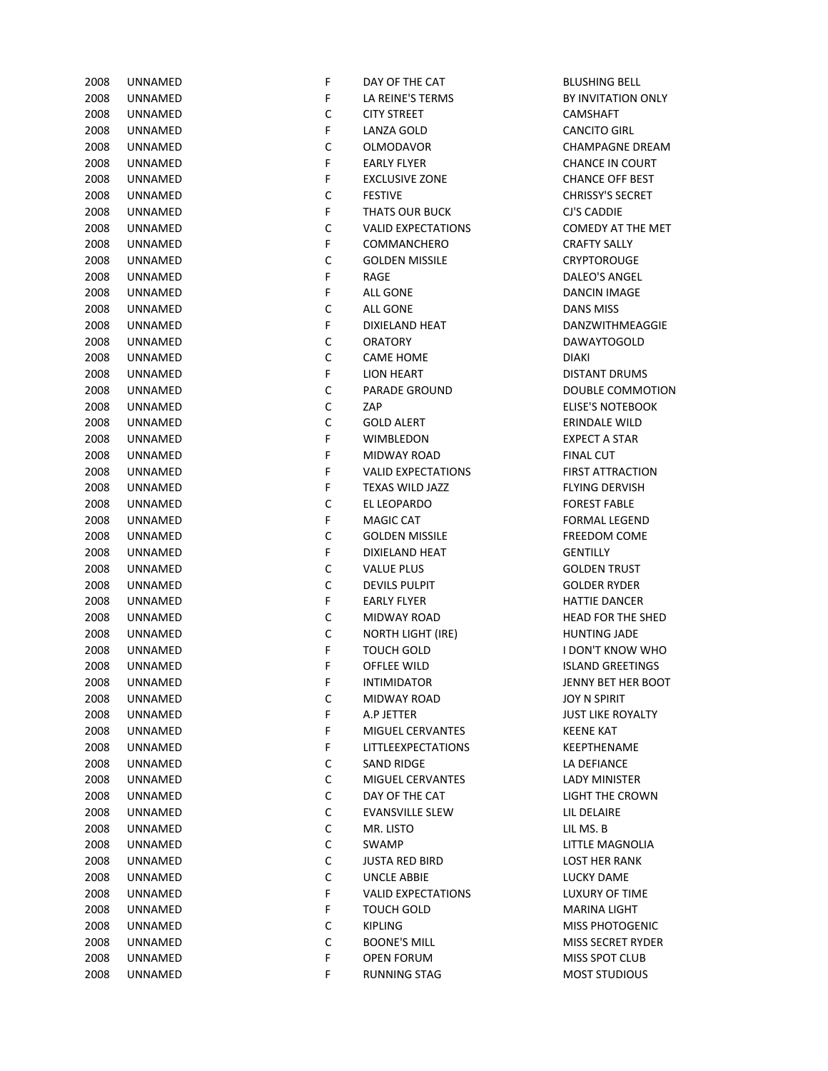| 2008   | UNNAMED         |
|--------|-----------------|
|        | 2008 UNNAMED    |
|        | 2008 UNNAMED    |
|        | 2008 UNNAMED    |
|        | 2008 UNNAMED    |
|        | 2008 UNNAMED    |
|        | 2008 UNNAMED    |
|        | 2008 UNNAMED    |
|        | 2008 UNNAMED    |
|        | 2008 UNNAMED    |
|        |                 |
|        | 2008 UNNAMED    |
|        | 2008 UNNAMED    |
|        | 2008 UNNAMED    |
|        | 2008 UNNAMED    |
|        | 2008 UNNAMED    |
|        | 2008 UNNAMED    |
|        | 2008 UNNAMED    |
|        | 2008 UNNAMED    |
|        | 2008 UNNAMED    |
|        | 2008 UNNAMED    |
|        | 2008 UNNAMED    |
|        | 2008 UNNAMED    |
|        | 2008 UNNAMED    |
|        | 2008 UNNAMED    |
|        | 2008 UNNAMED    |
|        | 2008 UNNAMED    |
|        | 2008 UNNAMED    |
|        | 2008 UNNAMED    |
|        | 2008 UNNAMED    |
|        | 2008 UNNAMED    |
|        |                 |
|        | 2008 UNNAMED    |
|        | 2008 UNNAMED    |
|        | 2008 UNNAMED    |
|        | 2008 UNNAMED    |
|        | 2008 UNNAMED    |
|        | 2008 UNNAMED    |
|        | 2008 UNNAMED    |
| 2008   | UNNAMED         |
| 2008   | UNNAMED         |
| 2008   | UNNAMED         |
| 2008   | UNNAMED         |
| 2008   | UNNAMED         |
| 2008   | UNNAMED         |
| 2008   | UNNAMED         |
| 2008   | UNNAMED         |
| 2008   | UNNAMED         |
| 2008   | UNNAMED         |
| 2008   | UNNAMED         |
| 2008   | UNNAMED         |
| 2008   | UNNAMED         |
| 2008   | UNNAMED         |
| 2008   | UNNAMED         |
|        |                 |
| 2008   | UNNAMED         |
| 2008   | UNNAMED         |
| 2008   | UNNAMED         |
| 2008 - | <b>IINNAMED</b> |

| 2008 | UNNAMED        | F           | DAY OF THE CAT            | <b>BLUSHING BELL</b>    |
|------|----------------|-------------|---------------------------|-------------------------|
| 2008 | UNNAMED        | F           | LA REINE'S TERMS          | BY INVITATION O         |
| 2008 | UNNAMED        | C           | <b>CITY STREET</b>        | <b>CAMSHAFT</b>         |
| 2008 | UNNAMED        | F           | LANZA GOLD                | <b>CANCITO GIRL</b>     |
| 2008 | UNNAMED        | $\mathsf C$ | <b>OLMODAVOR</b>          | <b>CHAMPAGNE DRI</b>    |
| 2008 | UNNAMED        | F           | <b>EARLY FLYER</b>        | <b>CHANCE IN COUF</b>   |
| 2008 | UNNAMED        | F           | <b>EXCLUSIVE ZONE</b>     | <b>CHANCE OFF BES</b>   |
| 2008 | UNNAMED        | $\mathsf C$ | <b>FESTIVE</b>            | <b>CHRISSY'S SECRET</b> |
| 2008 | UNNAMED        | F           | <b>THATS OUR BUCK</b>     | CJ'S CADDIE             |
| 2008 | UNNAMED        | $\mathsf C$ | <b>VALID EXPECTATIONS</b> | <b>COMEDY AT THE</b>    |
| 2008 | UNNAMED        | F           | COMMANCHERO               | <b>CRAFTY SALLY</b>     |
| 2008 | UNNAMED        | $\mathsf C$ | <b>GOLDEN MISSILE</b>     | <b>CRYPTOROUGE</b>      |
| 2008 | UNNAMED        | F           | RAGE                      | DALEO'S ANGEL           |
| 2008 | UNNAMED        | F           | <b>ALL GONE</b>           | <b>DANCIN IMAGE</b>     |
| 2008 | UNNAMED        | $\mathsf C$ | ALL GONE                  | DANS MISS               |
| 2008 | UNNAMED        | F           | DIXIELAND HEAT            | DANZWITHMEAG            |
| 2008 | UNNAMED        | $\mathsf C$ | <b>ORATORY</b>            | DAWAYTOGOLD             |
| 2008 | UNNAMED        | $\mathsf C$ | <b>CAME HOME</b>          | <b>DIAKI</b>            |
| 2008 | UNNAMED        | F           | <b>LION HEART</b>         | <b>DISTANT DRUMS</b>    |
| 2008 | UNNAMED        | $\mathsf C$ | <b>PARADE GROUND</b>      | DOUBLE COMMC            |
| 2008 | UNNAMED        | $\mathsf C$ | ZAP                       | <b>ELISE'S NOTEBOC</b>  |
| 2008 | UNNAMED        | $\mathsf C$ | <b>GOLD ALERT</b>         | ERINDALE WILD           |
| 2008 | UNNAMED        | F           | <b>WIMBLEDON</b>          | <b>EXPECT A STAR</b>    |
| 2008 | UNNAMED        | F           | MIDWAY ROAD               | <b>FINAL CUT</b>        |
| 2008 | UNNAMED        | F           | <b>VALID EXPECTATIONS</b> | <b>FIRST ATTRACTIO</b>  |
| 2008 | UNNAMED        | F           | TEXAS WILD JAZZ           | FLYING DERVISH          |
| 2008 |                | $\mathsf C$ | EL LEOPARDO               | <b>FOREST FABLE</b>     |
|      | UNNAMED        | F           |                           |                         |
| 2008 | UNNAMED        |             | <b>MAGIC CAT</b>          | <b>FORMAL LEGEND</b>    |
| 2008 | UNNAMED        | $\mathsf C$ | <b>GOLDEN MISSILE</b>     | <b>FREEDOM COME</b>     |
| 2008 | UNNAMED        | F           | DIXIELAND HEAT            | <b>GENTILLY</b>         |
| 2008 | UNNAMED        | $\mathsf C$ | <b>VALUE PLUS</b>         | <b>GOLDEN TRUST</b>     |
| 2008 | UNNAMED        | $\mathsf C$ | <b>DEVILS PULPIT</b>      | <b>GOLDER RYDER</b>     |
| 2008 | UNNAMED        | F           | <b>EARLY FLYER</b>        | <b>HATTIE DANCER</b>    |
| 2008 | UNNAMED        | $\mathsf C$ | MIDWAY ROAD               | <b>HEAD FOR THE SH</b>  |
| 2008 | UNNAMED        | $\mathsf C$ | <b>NORTH LIGHT (IRE)</b>  | <b>HUNTING JADE</b>     |
| 2008 | UNNAMED        | F           | <b>TOUCH GOLD</b>         | I DON'T KNOW W          |
| 2008 | <b>UNNAMED</b> | F           | OFFLEE WILD               | <b>ISLAND GREETING</b>  |
| 2008 | UNNAMED        | F.          | <b>INTIMIDATOR</b>        | JENNY BET HER B         |
| 2008 | UNNAMED        | C           | MIDWAY ROAD               | JOY N SPIRIT            |
| 2008 | <b>UNNAMED</b> | F           | A.P JETTER                | <b>JUST LIKE ROYALT</b> |
| 2008 | UNNAMED        | F           | MIGUEL CERVANTES          | <b>KEENE KAT</b>        |
| 2008 | UNNAMED        | F           | LITTLEEXPECTATIONS        | KEEPTHENAME             |
| 2008 | UNNAMED        | С           | <b>SAND RIDGE</b>         | LA DEFIANCE             |
| 2008 | <b>UNNAMED</b> | C           | MIGUEL CERVANTES          | LADY MINISTER           |
| 2008 | UNNAMED        | $\mathsf C$ | DAY OF THE CAT            | <b>LIGHT THE CROW</b>   |
| 2008 | UNNAMED        | $\mathsf C$ | <b>EVANSVILLE SLEW</b>    | LIL DELAIRE             |
| 2008 | UNNAMED        | $\mathsf C$ | MR. LISTO                 | LIL MS. B               |
| 2008 | UNNAMED        | $\mathsf C$ | SWAMP                     | LITTLE MAGNOLI          |
| 2008 | UNNAMED        | $\mathsf C$ | <b>JUSTA RED BIRD</b>     | <b>LOST HER RANK</b>    |
| 2008 | UNNAMED        | $\mathsf C$ | <b>UNCLE ABBIE</b>        | <b>LUCKY DAME</b>       |
| 2008 | UNNAMED        | F           | <b>VALID EXPECTATIONS</b> | <b>LUXURY OF TIME</b>   |
| 2008 | UNNAMED        | F           | TOUCH GOLD                | MARINA LIGHT            |
| 2008 | UNNAMED        | C           | <b>KIPLING</b>            | <b>MISS PHOTOGEN</b>    |
| 2008 | UNNAMED        | С           | <b>BOONE'S MILL</b>       | MISS SECRET RYD         |
| 2008 | UNNAMED        | F           | <b>OPEN FORUM</b>         | MISS SPOT CLUB          |
| 2008 | UNNAMED        | F           | <b>RUNNING STAG</b>       | <b>MOST STUDIOUS</b>    |

BY INVITATION ONLY **CANCITO GIRL** CHAMPAGNE DREAM CHANCE IN COURT CHANCE OFF BEST CHRISSY'S SECRET COMEDY AT THE MET **CRAFTY SALLY** CRYPTOROUGE DALEO'S ANGEL DANCIN IMAGE DANZWITHMEAGGIE DAWAYTOGOLD DISTANT DRUMS DOUBLE COMMOTION **ELISE'S NOTEBOOK** ERINDALE WILD **EXPECT A STAR FIRST ATTRACTION** FLYING DERVISH **FOREST FABLE** FORMAL LEGEND FREEDOM COME **GOLDEN TRUST GOLDER RYDER** HATTIE DANCER HEAD FOR THE SHED HUNTING JADE **I DON'T KNOW WHO ISLAND GREETINGS** JENNY BET HER BOOT JOY N SPIRIT JUST LIKE ROYALTY KEEPTHENAME LA DEFIANCE LADY MINISTER LIGHT THE CROWN LITTLE MAGNOLIA LOST HER RANK LUCKY DAME LUXURY OF TIME **MARINA LIGHT MISS PHOTOGENIC** MISS SECRET RYDER MISS SPOT CLUB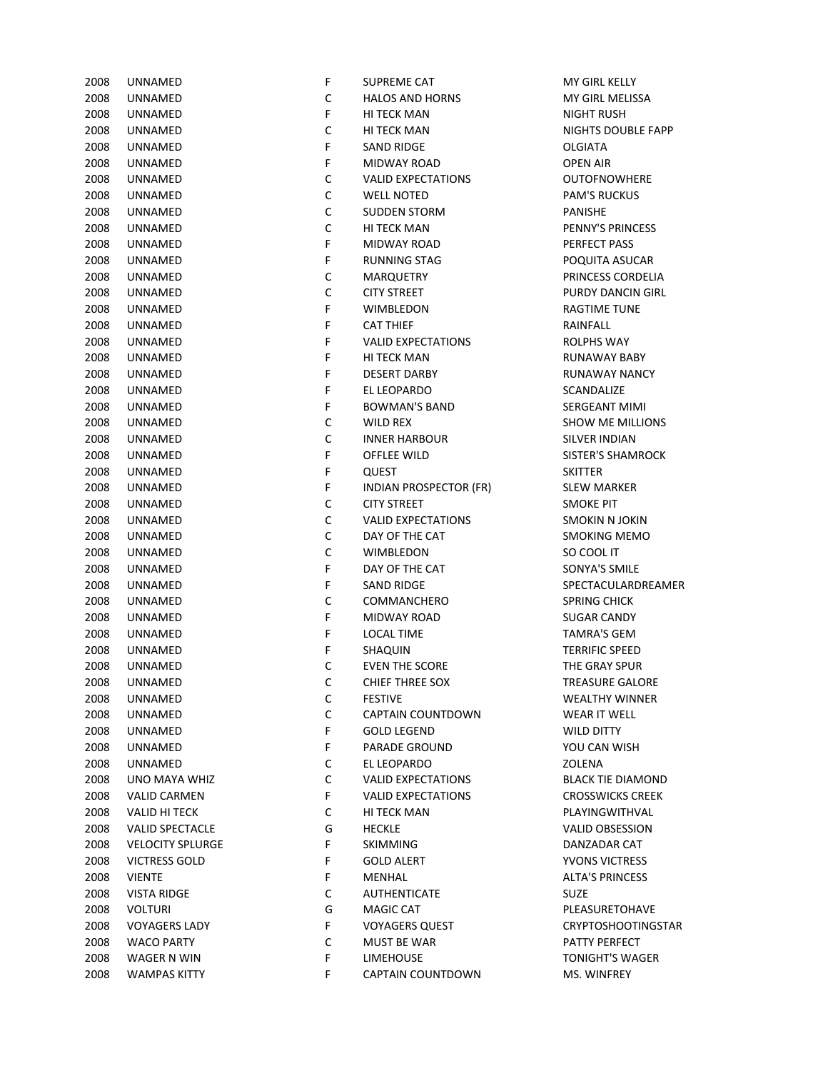| 2008 | UNNAMED                 | F | SUPREME CAT                   | MY GIRL KELLY        |
|------|-------------------------|---|-------------------------------|----------------------|
| 2008 | UNNAMED                 | С | <b>HALOS AND HORNS</b>        | MY GIRL MELIS        |
| 2008 | UNNAMED                 | F | HI TECK MAN                   | NIGHT RUSH           |
| 2008 | UNNAMED                 | C | HI TECK MAN                   | NIGHTS DOUB          |
| 2008 | UNNAMED                 | F | <b>SAND RIDGE</b>             | OLGIATA              |
| 2008 | UNNAMED                 | F | MIDWAY ROAD                   | <b>OPEN AIR</b>      |
| 2008 | UNNAMED                 | C | <b>VALID EXPECTATIONS</b>     | <b>OUTOFNOWH</b>     |
| 2008 | UNNAMED                 | C | <b>WELL NOTED</b>             | <b>PAM'S RUCKU</b>   |
| 2008 | UNNAMED                 | C | <b>SUDDEN STORM</b>           | PANISHE              |
| 2008 | UNNAMED                 | C | HI TECK MAN                   | PENNY'S PRING        |
| 2008 | UNNAMED                 | F | MIDWAY ROAD                   | PERFECT PASS         |
| 2008 | UNNAMED                 | F | <b>RUNNING STAG</b>           | POQUITA ASU          |
| 2008 | UNNAMED                 | C | <b>MARQUETRY</b>              | PRINCESS COR         |
| 2008 | UNNAMED                 | C | <b>CITY STREET</b>            | <b>PURDY DANCII</b>  |
| 2008 | UNNAMED                 | F | <b>WIMBLEDON</b>              | <b>RAGTIME TUN</b>   |
| 2008 | UNNAMED                 | F | <b>CAT THIEF</b>              | RAINFALL             |
| 2008 | UNNAMED                 | F | <b>VALID EXPECTATIONS</b>     | ROLPHS WAY           |
| 2008 | UNNAMED                 | F | <b>HI TECK MAN</b>            | <b>RUNAWAY BA</b>    |
| 2008 | UNNAMED                 | F | <b>DESERT DARBY</b>           | RUNAWAY NA           |
| 2008 | UNNAMED                 | F | EL LEOPARDO                   | SCANDALIZE           |
| 2008 | UNNAMED                 | F | BOWMAN'S BAND                 | <b>SERGEANT MII</b>  |
| 2008 | UNNAMED                 | C | WILD REX                      | SHOW ME MIL          |
| 2008 | UNNAMED                 | C | <b>INNER HARBOUR</b>          | <b>SILVER INDIAN</b> |
| 2008 | UNNAMED                 | F | OFFLEE WILD                   | SISTER'S SHAN        |
| 2008 | UNNAMED                 | F | QUEST                         | <b>SKITTER</b>       |
| 2008 | UNNAMED                 | F | <b>INDIAN PROSPECTOR (FR)</b> | <b>SLEW MARKEF</b>   |
| 2008 | UNNAMED                 | C | <b>CITY STREET</b>            | <b>SMOKE PIT</b>     |
| 2008 | UNNAMED                 | C | <b>VALID EXPECTATIONS</b>     | <b>SMOKIN N JOK</b>  |
| 2008 | UNNAMED                 | C | DAY OF THE CAT                | <b>SMOKING MEI</b>   |
| 2008 | UNNAMED                 | C | <b>WIMBLEDON</b>              | SO COOL IT           |
| 2008 | UNNAMED                 | F | DAY OF THE CAT                | SONYA'S SMIL         |
| 2008 | UNNAMED                 | F | <b>SAND RIDGE</b>             | SPECTACULAR          |
| 2008 | UNNAMED                 | C | COMMANCHERO                   | <b>SPRING CHICK</b>  |
| 2008 | UNNAMED                 | F | <b>MIDWAY ROAD</b>            | <b>SUGAR CANDY</b>   |
| 2008 | UNNAMED                 | F | <b>LOCAL TIME</b>             | <b>TAMRA'S GEM</b>   |
| 2008 | UNNAMED                 | F | SHAQUIN                       | <b>TERRIFIC SPEE</b> |
| 2008 | UNNAMED                 | C | <b>EVEN THE SCORE</b>         | THE GRAY SPU         |
| 2008 | UNNAMED                 | С | <b>CHIEF THREE SOX</b>        | <b>TREASURE GAI</b>  |
| 2008 | UNNAMED                 | С | <b>FESTIVE</b>                | WEALTHY WIN          |
| 2008 | UNNAMED                 | с | CAPTAIN COUNTDOWN             | <b>WEAR IT WELL</b>  |
| 2008 | UNNAMED                 | F | <b>GOLD LEGEND</b>            | WILD DITTY           |
| 2008 | UNNAMED                 | F | <b>PARADE GROUND</b>          | YOU CAN WISH         |
| 2008 | UNNAMED                 | с | EL LEOPARDO                   | ZOLENA               |
| 2008 | UNO MAYA WHIZ           | с | <b>VALID EXPECTATIONS</b>     | <b>BLACK TIE DIA</b> |
| 2008 | <b>VALID CARMEN</b>     | F | <b>VALID EXPECTATIONS</b>     | <b>CROSSWICKS O</b>  |
| 2008 | <b>VALID HI TECK</b>    | с | <b>HI TECK MAN</b>            | PLAYINGWITH          |
| 2008 | <b>VALID SPECTACLE</b>  | G | <b>HECKLE</b>                 | <b>VALID OBSESS</b>  |
| 2008 | <b>VELOCITY SPLURGE</b> | F | <b>SKIMMING</b>               | DANZADAR CA          |
| 2008 | <b>VICTRESS GOLD</b>    | F | <b>GOLD ALERT</b>             | YVONS VICTRE         |
| 2008 | <b>VIENTE</b>           | F | MENHAL                        | <b>ALTA'S PRINCE</b> |
| 2008 | <b>VISTA RIDGE</b>      | с | <b>AUTHENTICATE</b>           | SUZE                 |
| 2008 | <b>VOLTURI</b>          | G | <b>MAGIC CAT</b>              | PLEASURETOH          |
| 2008 | <b>VOYAGERS LADY</b>    | F | <b>VOYAGERS QUEST</b>         | CRYPTOSHOO           |
| 2008 | <b>WACO PARTY</b>       | С | MUST BE WAR                   | <b>PATTY PERFEC</b>  |
| 2008 | WAGER N WIN             | F | <b>LIMEHOUSE</b>              | <b>TONIGHT'S WA</b>  |
| 2008 | <b>WAMPAS KITTY</b>     | F | CAPTAIN COUNTDOWN             | MS. WINFREY          |
|      |                         |   |                               |                      |

| 2008 | <b>UNNAMED</b>          | F           | SUPREME CAT                   | MY GIRL KELLY             |
|------|-------------------------|-------------|-------------------------------|---------------------------|
| 2008 | UNNAMED                 | $\mathsf C$ | <b>HALOS AND HORNS</b>        | MY GIRL MELISSA           |
| 2008 | UNNAMED                 | F           | <b>HI TECK MAN</b>            | <b>NIGHT RUSH</b>         |
| 2008 | UNNAMED                 | $\mathsf C$ | <b>HI TECK MAN</b>            | NIGHTS DOUBLE FAPP        |
| 2008 | UNNAMED                 | F           | <b>SAND RIDGE</b>             | <b>OLGIATA</b>            |
| 2008 | UNNAMED                 | F           | MIDWAY ROAD                   | <b>OPEN AIR</b>           |
| 2008 | UNNAMED                 | С           | <b>VALID EXPECTATIONS</b>     | <b>OUTOFNOWHERE</b>       |
| 2008 | UNNAMED                 | $\mathsf C$ | <b>WELL NOTED</b>             | <b>PAM'S RUCKUS</b>       |
| 2008 | UNNAMED                 | $\mathsf C$ | <b>SUDDEN STORM</b>           | <b>PANISHE</b>            |
| 2008 | UNNAMED                 | $\mathsf C$ | <b>HI TECK MAN</b>            | PENNY'S PRINCESS          |
| 2008 | UNNAMED                 | F           | MIDWAY ROAD                   | PERFECT PASS              |
| 2008 | UNNAMED                 | F           | <b>RUNNING STAG</b>           | POQUITA ASUCAR            |
| 2008 | UNNAMED                 | С           | <b>MARQUETRY</b>              | PRINCESS CORDELIA         |
| 2008 | UNNAMED                 | $\mathsf C$ | <b>CITY STREET</b>            | PURDY DANCIN GIRL         |
| 2008 | UNNAMED                 | F           | <b>WIMBLEDON</b>              | <b>RAGTIME TUNE</b>       |
| 2008 | UNNAMED                 | F           | <b>CAT THIEF</b>              | RAINFALL                  |
| 2008 | <b>UNNAMED</b>          | F           | <b>VALID EXPECTATIONS</b>     | <b>ROLPHS WAY</b>         |
| 2008 | <b>UNNAMED</b>          | F           | <b>HI TECK MAN</b>            | <b>RUNAWAY BABY</b>       |
| 2008 | <b>UNNAMED</b>          | F           | <b>DESERT DARBY</b>           | <b>RUNAWAY NANCY</b>      |
| 2008 | <b>UNNAMED</b>          | F           | EL LEOPARDO                   | SCANDALIZE                |
| 2008 | <b>UNNAMED</b>          | F           | <b>BOWMAN'S BAND</b>          | <b>SERGEANT MIMI</b>      |
| 2008 | <b>UNNAMED</b>          | С           | <b>WILD REX</b>               | <b>SHOW ME MILLIONS</b>   |
| 2008 | <b>UNNAMED</b>          | $\mathsf C$ | <b>INNER HARBOUR</b>          | <b>SILVER INDIAN</b>      |
| 2008 | <b>UNNAMED</b>          | F           | <b>OFFLEE WILD</b>            | <b>SISTER'S SHAMROCK</b>  |
| 2008 | UNNAMED                 | F           | <b>QUEST</b>                  | <b>SKITTER</b>            |
| 2008 | UNNAMED                 | F           | <b>INDIAN PROSPECTOR (FR)</b> | <b>SLEW MARKER</b>        |
| 2008 | UNNAMED                 | С           | <b>CITY STREET</b>            | <b>SMOKE PIT</b>          |
| 2008 | UNNAMED                 | $\mathsf C$ | <b>VALID EXPECTATIONS</b>     | <b>SMOKIN N JOKIN</b>     |
| 2008 | UNNAMED                 | $\mathsf C$ | DAY OF THE CAT                | <b>SMOKING MEMO</b>       |
| 2008 | UNNAMED                 | $\mathsf C$ | <b>WIMBLEDON</b>              | SO COOL IT                |
| 2008 | UNNAMED                 | F           | DAY OF THE CAT                | SONYA'S SMILE             |
| 2008 | UNNAMED                 | F           | <b>SAND RIDGE</b>             | SPECTACULARDREAMER        |
| 2008 | <b>UNNAMED</b>          | C           | COMMANCHERO                   | <b>SPRING CHICK</b>       |
| 2008 | <b>UNNAMED</b>          | F           | MIDWAY ROAD                   | <b>SUGAR CANDY</b>        |
| 2008 | UNNAMED                 | F           | <b>LOCAL TIME</b>             | <b>TAMRA'S GEM</b>        |
| 2008 | UNNAMED                 | F           | SHAQUIN                       | <b>TERRIFIC SPEED</b>     |
| 2008 | UNNAMED                 | С           | <b>EVEN THE SCORE</b>         | THE GRAY SPUR             |
| 2008 | UNNAMED                 | $\mathsf C$ | <b>CHIEF THREE SOX</b>        | <b>TREASURE GALORE</b>    |
| 2008 | UNNAMED                 | С           | <b>FESTIVE</b>                | <b>WEALTHY WINNER</b>     |
| 2008 | UNNAMED                 | С           | CAPTAIN COUNTDOWN             | WEAR IT WELL              |
| 2008 | UNNAMED                 | F           | <b>GOLD LEGEND</b>            | WILD DITTY                |
| 2008 | UNNAMED                 | F           | <b>PARADE GROUND</b>          | YOU CAN WISH              |
| 2008 | UNNAMED                 | C           | EL LEOPARDO                   | ZOLENA                    |
| 2008 | UNO MAYA WHIZ           | C           | <b>VALID EXPECTATIONS</b>     | <b>BLACK TIE DIAMOND</b>  |
| 2008 | <b>VALID CARMEN</b>     | F           | <b>VALID EXPECTATIONS</b>     | <b>CROSSWICKS CREEK</b>   |
| 2008 | <b>VALID HI TECK</b>    | C           | HI TECK MAN                   | PLAYINGWITHVAL            |
| 2008 | <b>VALID SPECTACLE</b>  | G           | <b>HECKLE</b>                 | <b>VALID OBSESSION</b>    |
| 2008 | <b>VELOCITY SPLURGE</b> | F           | SKIMMING                      | DANZADAR CAT              |
| 2008 | <b>VICTRESS GOLD</b>    | F           | <b>GOLD ALERT</b>             | <b>YVONS VICTRESS</b>     |
| 2008 | <b>VIENTE</b>           | F           | MENHAL                        | <b>ALTA'S PRINCESS</b>    |
| 2008 | VISTA RIDGE             | C           | <b>AUTHENTICATE</b>           | <b>SUZE</b>               |
| 2008 | VOLTURI                 | G           | MAGIC CAT                     | PLEASURETOHAVE            |
| 2008 | <b>VOYAGERS LADY</b>    | F           | <b>VOYAGERS QUEST</b>         | <b>CRYPTOSHOOTINGSTAR</b> |
| 2008 | WACO PARTY              | C           | <b>MUST BE WAR</b>            | PATTY PERFECT             |
| 2008 | WAGER N WIN             | F           | <b>LIMEHOUSE</b>              | <b>TONIGHT'S WAGER</b>    |
| ∘∩∩מ | WARADAC VITTY           |             | CADTAIN COUNTDOMM             | MC MUNIFOLV               |